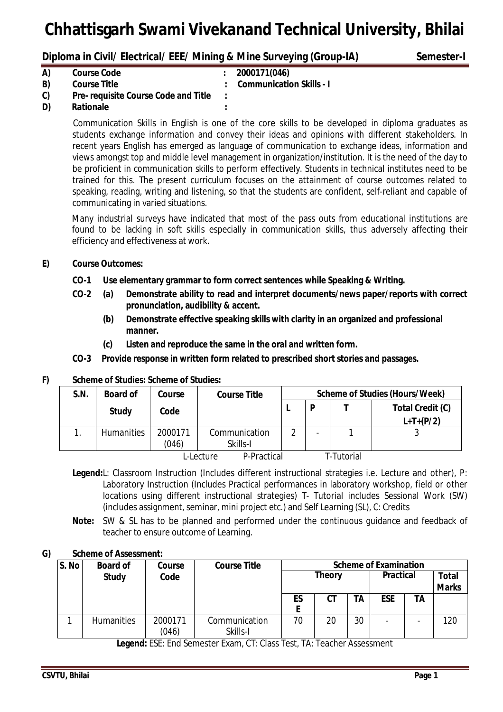# **Diploma in Civil/ Electrical/ EEE/ Mining & Mine Surveying (Group-IA) Semester-I**

| A) | <b>Course Code</b>                          | : 2000171(046)             |
|----|---------------------------------------------|----------------------------|
| B) | <b>Course Title</b>                         | : Communication Skills - I |
| C) | <b>Pre- requisite Course Code and Title</b> |                            |
| D) | <b>Rationale</b>                            |                            |

Communication Skills in English is one of the core skills to be developed in diploma graduates as students exchange information and convey their ideas and opinions with different stakeholders. In recent years English has emerged as language of communication to exchange ideas, information and views amongst top and middle level management in organization/institution. It is the need of the day to be proficient in communication skills to perform effectively. Students in technical institutes need to be trained for this. The present curriculum focuses on the attainment of course outcomes related to speaking, reading, writing and listening, so that the students are confident, self-reliant and capable of communicating in varied situations.

Many industrial surveys have indicated that most of the pass outs from educational institutions are found to be lacking in soft skills especially in communication skills, thus adversely affecting their efficiency and effectiveness at work.

# **E) Course Outcomes:**

- **CO-1 Use elementary grammar to form correct sentences while Speaking & Writing.**
- **CO-2 (a) Demonstrate ability to read and interpret documents/news paper/reports with correct pronunciation, audibility & accent.**
	- **(b) Demonstrate effective speaking skills with clarity in an organized and professional manner.**
	- **(c) Listen and reproduce the same in the oral and written form.**
- **CO-3 Provide response in written form related to prescribed short stories and passages.**

# **F) Scheme of Studies: Scheme of Studies:**

| S.N.      | <b>Board of</b>   | Course  | <b>Course Title</b> | <b>Scheme of Studies (Hours/Week)</b> |  |            |                  |
|-----------|-------------------|---------|---------------------|---------------------------------------|--|------------|------------------|
|           | <b>Study</b>      | Code    |                     |                                       |  |            | Total Credit (C) |
|           |                   |         |                     |                                       |  |            | $L+T+(P/2)$      |
|           | <b>Humanities</b> | 2000171 | Communication       | ◠                                     |  |            | ື                |
|           |                   | (046)   | Skills-I            |                                       |  |            |                  |
| L-Lecture |                   |         | P-Practical         |                                       |  | T-Tutorial |                  |

**Legend:**L: Classroom Instruction (Includes different instructional strategies i.e. Lecture and other), P: Laboratory Instruction (Includes Practical performances in laboratory workshop, field or other locations using different instructional strategies) T- Tutorial includes Sessional Work (SW) (includes assignment, seminar, mini project etc.) and Self Learning (SL), C: Credits

**Note:** SW & SL has to be planned and performed under the continuous guidance and feedback of teacher to ensure outcome of Learning.

# **G) Scheme of Assessment:**

| S. No | <b>Board of</b>   | Course           | <b>Course Title</b>       |               | <b>Scheme of Examination</b> |                  |            |                              |     |
|-------|-------------------|------------------|---------------------------|---------------|------------------------------|------------------|------------|------------------------------|-----|
|       | <b>Study</b>      | Code             |                           | <b>Theory</b> |                              | <b>Practical</b> |            | <b>Total</b><br><b>Marks</b> |     |
|       |                   |                  |                           | ES            | CТ                           | TA               | <b>ESE</b> | TA                           |     |
|       | <b>Humanities</b> | 2000171<br>(046) | Communication<br>Skills-I | 70            | 20                           | 30               |            |                              | 120 |

**Legend:** ESE: End Semester Exam, CT: Class Test, TA: Teacher Assessment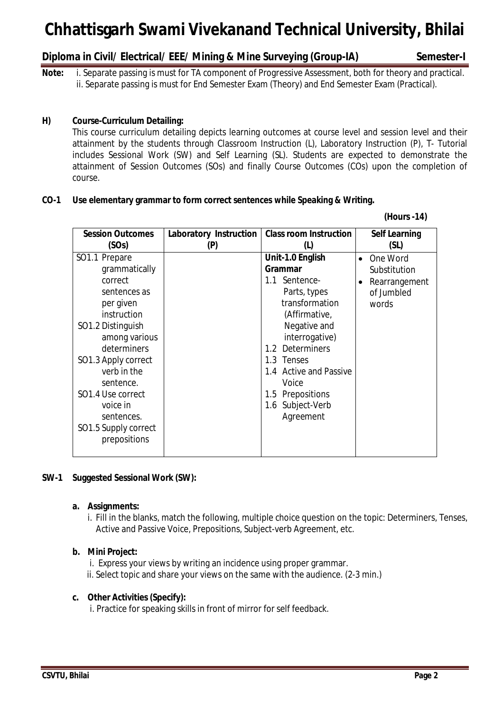# **Diploma in Civil/ Electrical/ EEE/ Mining & Mine Surveying (Group-IA) Semester-I**

 **(Hours -14)**

**Note:** i. Separate passing is must for TA component of Progressive Assessment, both for theory and practical. ii. Separate passing is must for End Semester Exam (Theory) and End Semester Exam (Practical).

# **H) Course-Curriculum Detailing:**

This course curriculum detailing depicts learning outcomes at course level and session level and their attainment by the students through Classroom Instruction (L), Laboratory Instruction (P), T- Tutorial includes Sessional Work (SW) and Self Learning (SL). Students are expected to demonstrate the attainment of Session Outcomes (SOs) and finally Course Outcomes (COs) upon the completion of course.

### **CO-1 Use elementary grammar to form correct sentences while Speaking & Writing.**

| <b>Session Outcomes</b> | Laboratory Instruction | <b>Class room Instruction</b> | <b>Self Learning</b> |
|-------------------------|------------------------|-------------------------------|----------------------|
| (SOs)                   | (P)                    | $\mathbf{L}$                  | (SL)                 |
| SO1.1 Prepare           |                        | Unit-1.0 English              | • One Word           |
| grammatically           |                        | <b>Grammar</b>                | Substitution         |
| correct                 |                        | 1.1 Sentence-                 | Rearrangement        |
| sentences as            |                        | Parts, types                  | of Jumbled           |
| per given               |                        | transformation                | words                |
| instruction             |                        | (Affirmative,                 |                      |
| SO1.2 Distinguish       |                        | Negative and                  |                      |
| among various           |                        | interrogative)                |                      |
| determiners             |                        | 1.2 Determiners               |                      |
| SO1.3 Apply correct     |                        | 1.3 Tenses                    |                      |
| verb in the             |                        | 1.4 Active and Passive        |                      |
| sentence.               |                        | Voice                         |                      |
| SO1.4 Use correct       |                        | 1.5 Prepositions              |                      |
| voice in                |                        | 1.6 Subject-Verb              |                      |
| sentences.              |                        | Agreement                     |                      |
| SO1.5 Supply correct    |                        |                               |                      |
| prepositions            |                        |                               |                      |
|                         |                        |                               |                      |

# **SW-1 Suggested Sessional Work (SW):**

#### **a. Assignments:**

i. Fill in the blanks, match the following, multiple choice question on the topic: Determiners, Tenses, Active and Passive Voice, Prepositions, Subject-verb Agreement, etc.

#### **b. Mini Project:**

- i. Express your views by writing an incidence using proper grammar.
- ii. Select topic and share your views on the same with the audience. (2-3 min.)

#### **c. Other Activities (Specify):**

i. Practice for speaking skills in front of mirror for self feedback.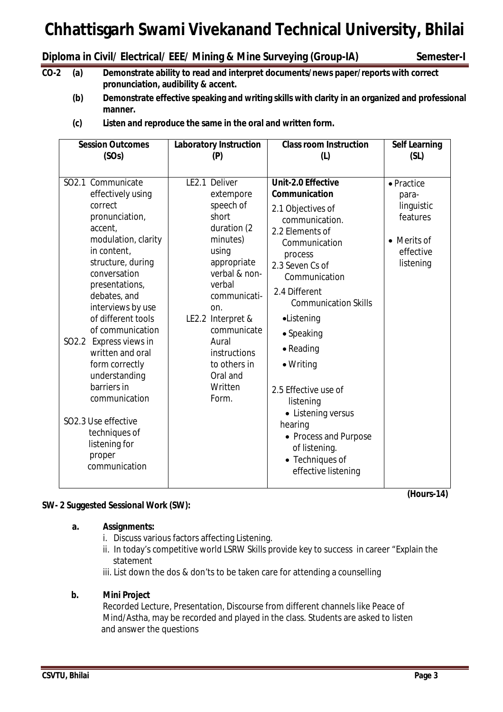# **Diploma in Civil/ Electrical/ EEE/ Mining & Mine Surveying (Group-IA) Semester-I**

- **CO-2 (a) Demonstrate ability to read and interpret documents/news paper/reports with correct pronunciation, audibility & accent.**
	- **(b) Demonstrate effective speaking and writing skills with clarity in an organized and professional manner.**

| (c) | Listen and reproduce the same in the oral and written form. |
|-----|-------------------------------------------------------------|
|-----|-------------------------------------------------------------|

| <b>Session Outcomes</b>                                                                                                                                                                                                                                                                                                                                                                                                                                         | <b>Laboratory Instruction</b>                                                                                                                                                                                                                                      | <b>Class room Instruction</b>                                                                                                                                                                                                                                                                                                                                                                                                                 | <b>Self Learning</b>                                                                   |
|-----------------------------------------------------------------------------------------------------------------------------------------------------------------------------------------------------------------------------------------------------------------------------------------------------------------------------------------------------------------------------------------------------------------------------------------------------------------|--------------------------------------------------------------------------------------------------------------------------------------------------------------------------------------------------------------------------------------------------------------------|-----------------------------------------------------------------------------------------------------------------------------------------------------------------------------------------------------------------------------------------------------------------------------------------------------------------------------------------------------------------------------------------------------------------------------------------------|----------------------------------------------------------------------------------------|
| (SOs)                                                                                                                                                                                                                                                                                                                                                                                                                                                           | (P)                                                                                                                                                                                                                                                                | (L)                                                                                                                                                                                                                                                                                                                                                                                                                                           | (SL)                                                                                   |
| SO2.1 Communicate<br>effectively using<br>correct<br>pronunciation,<br>accent,<br>modulation, clarity<br>in content,<br>structure, during<br>conversation<br>presentations,<br>debates, and<br>interviews by use<br>of different tools<br>of communication<br>SO2.2 Express views in<br>written and oral<br>form correctly<br>understanding<br>barriers in<br>communication<br>SO2.3 Use effective<br>techniques of<br>listening for<br>proper<br>communication | LE2.1 Deliver<br>extempore<br>speech of<br>short<br>duration (2<br>minutes)<br>using<br>appropriate<br>verbal & non-<br>verbal<br>communicati-<br>on.<br>LE2.2 Interpret &<br>communicate<br>Aural<br>instructions<br>to others in<br>Oral and<br>Written<br>Form. | Unit-2.0 Effective<br>Communication<br>2.1 Objectives of<br>communication.<br>2.2 Elements of<br>Communication<br>process<br>2.3 Seven Cs of<br>Communication<br>2.4 Different<br><b>Communication Skills</b><br>•Listening<br>• Speaking<br>$\bullet$ Reading<br>$\bullet$ Writing<br>2.5 Effective use of<br>listening<br>• Listening versus<br>hearing<br>• Process and Purpose<br>of listening.<br>• Techniques of<br>effective listening | • Practice<br>para-<br>linguistic<br>features<br>• Merits of<br>effective<br>listening |

# **SW- 2 Suggested Sessional Work (SW):**

# **a. Assignments:**

- i. Discuss various factors affecting Listening.
- ii. In today's competitive world LSRW Skills provide key to success in career "Explain the statement
- iii. List down the dos & don'ts to be taken care for attending a counselling

# **b. Mini Project**

Recorded Lecture, Presentation, Discourse from different channels like Peace of Mind/Astha, may be recorded and played in the class. Students are asked to listen and answer the questions

**(Hours-14)**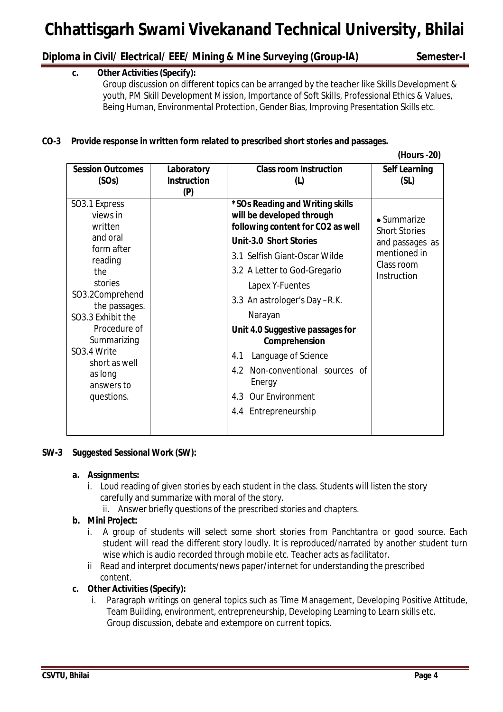# **Diploma in Civil/ Electrical/ EEE/ Mining & Mine Surveying (Group-IA) Semester-I**

# **c. Other Activities (Specify):**

Group discussion on different topics can be arranged by the teacher like Skills Development & youth, PM Skill Development Mission, Importance of Soft Skills, Professional Ethics & Values, Being Human, Environmental Protection, Gender Bias, Improving Presentation Skills etc.

# **CO-3 Provide response in written form related to prescribed short stories and passages.**

 **(Hours -20)**

| <b>Session Outcomes</b>                                                                                                                                                                                                                                    | Laboratory         | <b>Class room Instruction</b>                                                                                                                                                                                                                                                                                                                                                                                                                     | <b>Self Learning</b>                                                                                        |
|------------------------------------------------------------------------------------------------------------------------------------------------------------------------------------------------------------------------------------------------------------|--------------------|---------------------------------------------------------------------------------------------------------------------------------------------------------------------------------------------------------------------------------------------------------------------------------------------------------------------------------------------------------------------------------------------------------------------------------------------------|-------------------------------------------------------------------------------------------------------------|
| (SOs)                                                                                                                                                                                                                                                      | <b>Instruction</b> | (L)                                                                                                                                                                                                                                                                                                                                                                                                                                               | (SL)                                                                                                        |
| SO3.1 Express<br>views in<br>written<br>and oral<br>form after<br>reading<br>the<br>stories<br>SO3.2Comprehend<br>the passages.<br>SO3.3 Exhibit the<br>Procedure of<br>Summarizing<br>SO3.4 Write<br>short as well<br>as long<br>answers to<br>questions. | (P)                | *SOs Reading and Writing skills<br>will be developed through<br>following content for CO2 as well<br><b>Unit-3.0 Short Stories</b><br>3.1 Selfish Giant-Oscar Wilde<br>3.2 A Letter to God-Gregario<br>Lapex Y-Fuentes<br>3.3 An astrologer's Day -R.K.<br>Narayan<br>Unit 4.0 Suggestive passages for<br>Comprehension<br>Language of Science<br>4.1<br>4.2 Non-conventional sources of<br>Energy<br>4.3 Our Environment<br>4.4 Entrepreneurship | $\bullet$ Summarize<br><b>Short Stories</b><br>and passages as<br>mentioned in<br>Class room<br>Instruction |

# **SW-3 Suggested Sessional Work (SW):**

# **a. Assignments:**

- i. Loud reading of given stories by each student in the class. Students will listen the story carefully and summarize with moral of the story.
	- ii. Answer briefly questions of the prescribed stories and chapters.

# **b. Mini Project:**

- i. A group of students will select some short stories from Panchtantra or good source. Each student will read the different story loudly. It is reproduced/narrated by another student turn wise which is audio recorded through mobile etc. Teacher acts as facilitator.
- ii Read and interpret documents/news paper/internet for understanding the prescribed content.

# **c. Other Activities (Specify):**

i. Paragraph writings on general topics such as Time Management, Developing Positive Attitude, Team Building, environment, entrepreneurship, Developing Learning to Learn skills etc. Group discussion, debate and extempore on current topics.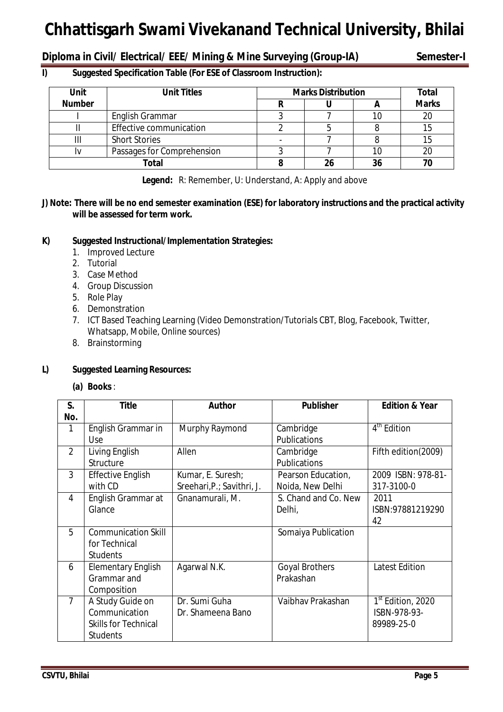**Diploma in Civil/ Electrical/ EEE/ Mining & Mine Surveying (Group-IA) Semester-I**

# **I) Suggested Specification Table (For ESE of Classroom Instruction):**

| <b>Unit</b>   | <b>Unit Titles</b>         | <b>Marks Distribution</b> | <b>Total</b> |              |
|---------------|----------------------------|---------------------------|--------------|--------------|
| <b>Number</b> |                            |                           |              | <b>Marks</b> |
|               | English Grammar            |                           |              | 20           |
|               | Effective communication    |                           |              |              |
| Ш             | <b>Short Stories</b>       |                           |              |              |
|               | Passages for Comprehension |                           | 10           | 20           |
|               | Total                      |                           | 36           |              |

**Legend:** R: Remember, U: Understand, A: Apply and above

# **J) Note: There will be no end semester examination (ESE) for laboratory instructions and the practical activity will be assessed for term work.**

# **K) Suggested Instructional/Implementation Strategies:**

- 1. Improved Lecture
- 2. Tutorial
- 3. Case Method
- 4. Group Discussion
- 5. Role Play
- 6. Demonstration
- 7. ICT Based Teaching Learning (Video Demonstration/Tutorials CBT, Blog, Facebook, Twitter, Whatsapp, Mobile, Online sources)
- 8. Brainstorming

# **L) Suggested Learning Resources:**

**(a) Books** :

| S.             | <b>Title</b>                                                                        | <b>Author</b>                                   | <b>Publisher</b>                       | <b>Edition &amp; Year</b>                                   |
|----------------|-------------------------------------------------------------------------------------|-------------------------------------------------|----------------------------------------|-------------------------------------------------------------|
| No.<br>1       |                                                                                     |                                                 |                                        | $4th$ Edition                                               |
|                | English Grammar in<br><b>Use</b>                                                    | Murphy Raymond                                  | Cambridge<br><b>Publications</b>       |                                                             |
| $\overline{2}$ | Living English<br>Structure                                                         | Allen                                           | Cambridge<br>Publications              | Fifth edition(2009)                                         |
| 3              | <b>Effective English</b><br>with CD                                                 | Kumar, E. Suresh;<br>Sreehari, P.; Savithri, J. | Pearson Education,<br>Noida, New Delhi | 2009 ISBN: 978-81-<br>317-3100-0                            |
| 4              | English Grammar at<br>Glance                                                        | Gnanamurali, M.                                 | S. Chand and Co. New<br>Delhi,         | 2011<br>ISBN:97881219290<br>42                              |
| 5              | <b>Communication Skill</b><br>for Technical<br><b>Students</b>                      |                                                 | Somaiya Publication                    |                                                             |
| 6              | <b>Elementary English</b><br>Grammar and<br>Composition                             | Agarwal N.K.                                    | <b>Goyal Brothers</b><br>Prakashan     | <b>Latest Edition</b>                                       |
| $\overline{7}$ | A Study Guide on<br>Communication<br><b>Skills for Technical</b><br><b>Students</b> | Dr. Sumi Guha<br>Dr. Shameena Bano              | Vaibhay Prakashan                      | 1 <sup>st</sup> Edition, 2020<br>ISBN-978-93-<br>89989-25-0 |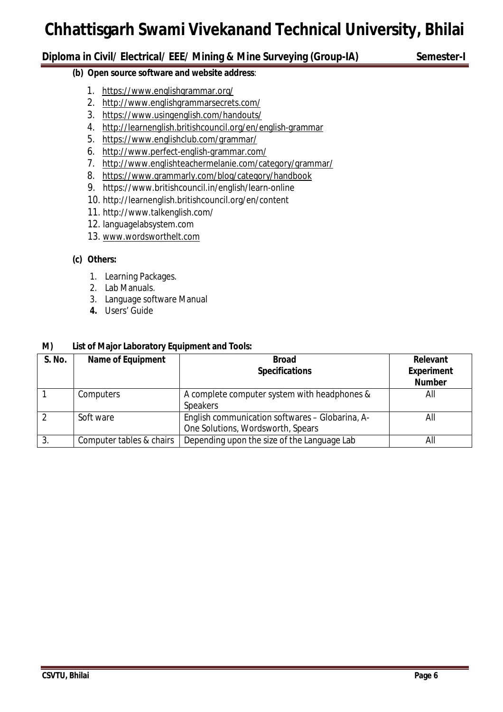# **Diploma in Civil/ Electrical/ EEE/ Mining & Mine Surveying (Group-IA) Semester-I**

# **(b) Open source software and website address**:

- 1. https://www.englishgrammar.org/
- 2. http://www.englishgrammarsecrets.com/
- 3. https://www.usingenglish.com/handouts/
- 4. http://learnenglish.britishcouncil.org/en/english-grammar
- 5. https://www.englishclub.com/grammar/
- 6. http://www.perfect-english-grammar.com/
- 7. http://www.englishteachermelanie.com/category/grammar/
- 8. https://www.grammarly.com/blog/category/handbook
- 9. https://www.britishcouncil.in/english/learn-online
- 10. http://learnenglish.britishcouncil.org/en/content
- 11. http://www.talkenglish.com/
- 12. languagelabsystem.com
- 13. www.wordsworthelt.com

# **(c) Others:**

- 1. Learning Packages.
- 2. Lab Manuals.
- 3. Language software Manual
- **4.** Users' Guide

# **M) List of Major Laboratory Equipment and Tools:**

| S. No.         | <b>Name of Equipment</b> | <b>Broad</b><br><b>Specifications</b>                                                | Relevant<br><b>Experiment</b><br><b>Number</b> |
|----------------|--------------------------|--------------------------------------------------------------------------------------|------------------------------------------------|
|                | Computers                | A complete computer system with headphones &<br><b>Speakers</b>                      | All                                            |
| $\overline{2}$ | Soft ware                | English communication softwares - Globarina, A-<br>One Solutions, Wordsworth, Spears | All                                            |
| 3.             | Computer tables & chairs | Depending upon the size of the Language Lab                                          | All                                            |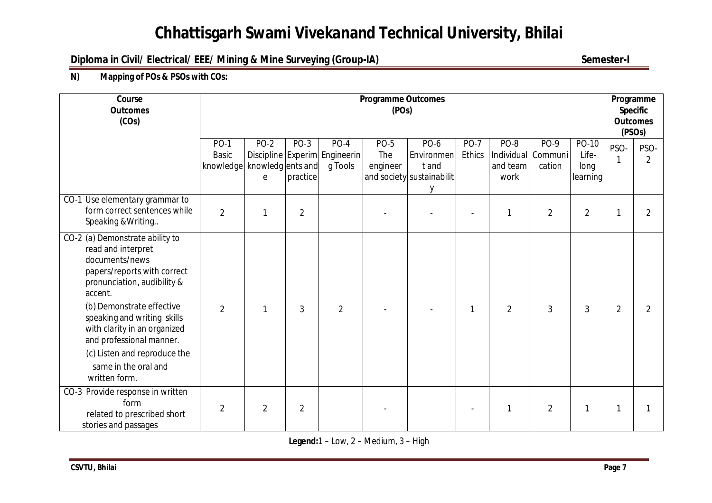# **Diploma in Civil/ Electrical/ EEE/ Mining & Mine Surveying (Group-IA)** Semester-I

# **N) Mapping of POs & PSOs with COs:**

| Course<br><b>Outcomes</b><br>(COs)                                                                                                                                                            |                            | <b>Programme Outcomes</b><br>(POs)    |                  |                                                    |                                |                                                               |                       |                          |                                      |                                    | Programme<br><b>Specific</b><br><b>Outcomes</b><br>(PSO <sub>s</sub> ) |                       |
|-----------------------------------------------------------------------------------------------------------------------------------------------------------------------------------------------|----------------------------|---------------------------------------|------------------|----------------------------------------------------|--------------------------------|---------------------------------------------------------------|-----------------------|--------------------------|--------------------------------------|------------------------------------|------------------------------------------------------------------------|-----------------------|
|                                                                                                                                                                                               | PO-1<br>Basic<br>knowledge | <b>PO-2</b><br>knowledg ents and<br>e | PO-3<br>practice | $PO-4$<br>Discipline Experim Engineerin<br>g Tools | <b>PO-5</b><br>The<br>engineer | PO-6<br>Environmen<br>t and<br>and society sustainabilit<br>y | <b>PO-7</b><br>Ethics | PO-8<br>and team<br>work | PO-9<br>Individual Communi<br>cation | PO-10<br>Life-<br>long<br>learning | PSO-                                                                   | PSO-<br>$\mathcal{P}$ |
| CO-1 Use elementary grammar to<br>form correct sentences while<br>Speaking & Writing                                                                                                          | $\overline{2}$             |                                       | $\overline{2}$   |                                                    |                                |                                                               |                       | 1                        | $\overline{2}$                       | $\overline{2}$                     |                                                                        | 2                     |
| CO-2 (a) Demonstrate ability to<br>read and interpret<br>documents/news<br>papers/reports with correct<br>pronunciation, audibility &<br>accent.                                              |                            |                                       |                  |                                                    |                                |                                                               |                       |                          |                                      |                                    |                                                                        |                       |
| (b) Demonstrate effective<br>speaking and writing skills<br>with clarity in an organized<br>and professional manner.<br>(c) Listen and reproduce the<br>same in the oral and<br>written form. | $\overline{2}$             |                                       | 3                | $\overline{2}$                                     |                                |                                                               | 1                     | $\overline{2}$           | 3                                    | 3                                  | $\overline{2}$                                                         | 2                     |
| CO-3 Provide response in written<br>form<br>related to prescribed short<br>stories and passages                                                                                               | $\overline{2}$             | $\overline{2}$                        | $\overline{2}$   |                                                    |                                |                                                               |                       | 1                        | $\overline{2}$                       | 1                                  |                                                                        |                       |

**Legend:**1 – Low, 2 – Medium, 3 – High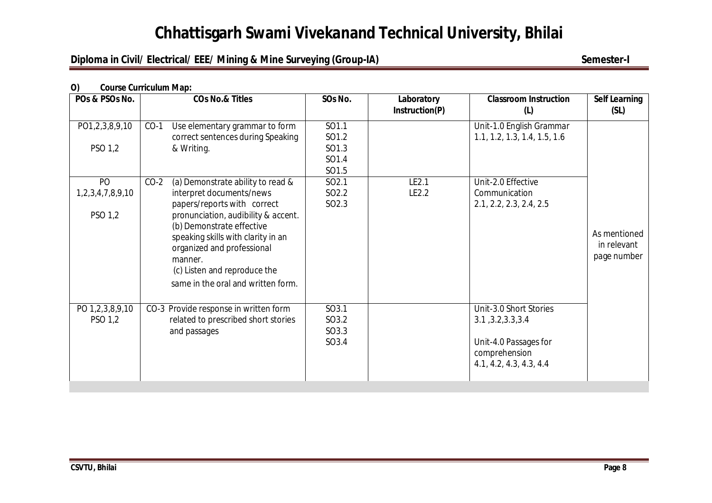# **Diploma in Civil/ Electrical/ EEE/ Mining & Mine Surveying (Group-IA)** Semester-I

# **O) Course Curriculum Map:**

| POs & PSOs No.             | <b>COs No.&amp; Titles</b>                                                                                                                                                                                                                           | SOs No.                          | Laboratory<br>Instruction(P) | <b>Classroom Instruction</b><br>(L)                                                                               | <b>Self Learning</b><br>(SL)               |
|----------------------------|------------------------------------------------------------------------------------------------------------------------------------------------------------------------------------------------------------------------------------------------------|----------------------------------|------------------------------|-------------------------------------------------------------------------------------------------------------------|--------------------------------------------|
| PO1,2,3,8,9,10             | $CO-1$<br>Use elementary grammar to form<br>correct sentences during Speaking                                                                                                                                                                        | SO1.1<br>SO1.2                   |                              | Unit-1.0 English Grammar<br>1.1, 1.2, 1.3, 1.4, 1.5, 1.6                                                          |                                            |
| PSO 1,2                    | & Writing.                                                                                                                                                                                                                                           | SO1.3<br>SO1.4                   |                              |                                                                                                                   |                                            |
|                            |                                                                                                                                                                                                                                                      | SO1.5                            |                              |                                                                                                                   |                                            |
| PO                         | (a) Demonstrate ability to read &<br>$CO-2$                                                                                                                                                                                                          | SO <sub>2.1</sub>                | LE2.1                        | Unit-2.0 Effective                                                                                                |                                            |
| 1,2,3,4,7,8,9,10           | interpret documents/news                                                                                                                                                                                                                             | SO <sub>2.2</sub>                | LE2.2                        | Communication                                                                                                     |                                            |
| PSO 1,2                    | papers/reports with correct<br>pronunciation, audibility & accent.<br>(b) Demonstrate effective<br>speaking skills with clarity in an<br>organized and professional<br>manner.<br>(c) Listen and reproduce the<br>same in the oral and written form. | SO <sub>2.3</sub>                |                              | 2.1, 2.2, 2.3, 2.4, 2.5                                                                                           | As mentioned<br>in relevant<br>page number |
| PO 1,2,3,8,9,10<br>PSO 1,2 | CO-3 Provide response in written form<br>related to prescribed short stories<br>and passages                                                                                                                                                         | SO3.1<br>SO3.2<br>SO3.3<br>SO3.4 |                              | Unit-3.0 Short Stories<br>3.1, 3.2, 3.3, 3.4<br>Unit-4.0 Passages for<br>comprehension<br>4.1, 4.2, 4.3, 4.3, 4.4 |                                            |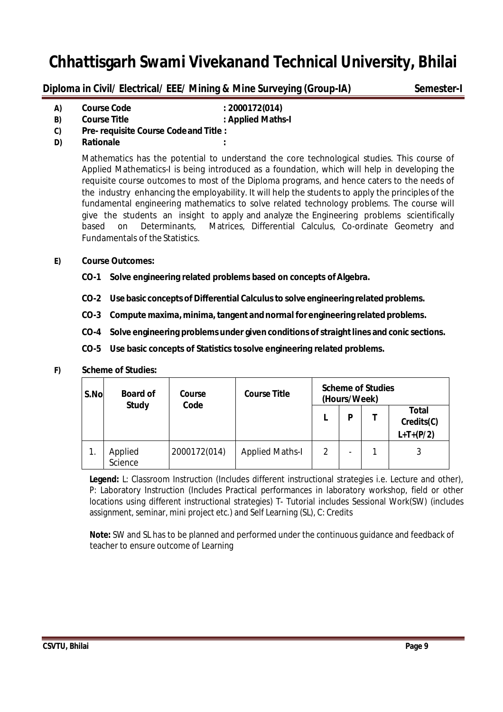**Diploma in Civil/ Electrical/ EEE/ Mining & Mine Surveying (Group-IA) Semester-I** 

**A) Course Code : 2000172(014)**

- **B) Course Title : Applied Maths-I C) Pre- requisite Course Codeand Title :**
- **D) Rationale :**

Mathematics has the potential to understand the core technological studies. This course of Applied Mathematics-I is being introduced as a foundation, which will help in developing the requisite course outcomes to most of the Diploma programs, and hence caters to the needs of the industry enhancing the employability. It will help the students to apply the principles of the fundamental engineering mathematics to solve related technology problems. The course will give the students an insight to apply and analyze the Engineering problems scientifically based on Determinants, Matrices, Differential Calculus, Co-ordinate Geometry and Fundamentals of the Statistics.

# **E) Course Outcomes:**

- **CO-1 Solve engineering related problems based on concepts ofAlgebra.**
- **CO-2 Use basic concepts of Differential Calculusto solve engineering related problems.**
- **CO-3 Compute maxima, minima,tangent andnormal for engineering related problems.**
- **CO-4 Solve engineering problems under given conditions ofstraightlines and conic sections.**
- **CO-5 Use basic concepts of Statistics tosolve engineering related problems.**

# **F) Scheme of Studies:**

| S.No | <b>Board of</b>    | Course<br>Code | <b>Course Title</b>    | <b>Scheme of Studies</b><br>(Hours/Week) |                          |                                           |  |  |
|------|--------------------|----------------|------------------------|------------------------------------------|--------------------------|-------------------------------------------|--|--|
|      | <b>Study</b>       |                |                        |                                          | P                        | <b>Total</b><br>Credits(C)<br>$L+T+(P/2)$ |  |  |
|      | Applied<br>Science | 2000172(014)   | <b>Applied Maths-I</b> | 2                                        | $\overline{\phantom{0}}$ | 3                                         |  |  |

**Legend:** L: Classroom Instruction (Includes different instructional strategies i.e. Lecture and other), P: Laboratory Instruction (Includes Practical performances in laboratory workshop, field or other locations using different instructional strategies) T- Tutorial includes Sessional Work(SW) (includes assignment, seminar, mini project etc.) and Self Learning (SL), C: Credits

 **Note:** SW and SL has to be planned and performed under the continuous guidance and feedback of teacher to ensure outcome of Learning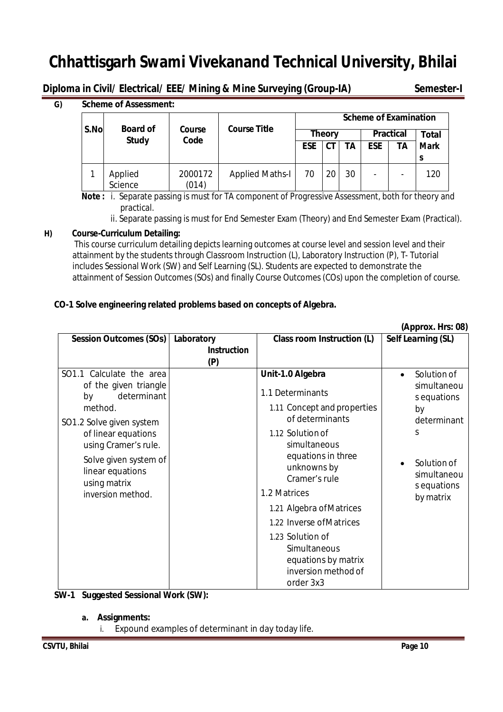**Diploma in Civil/ Electrical/ EEE/ Mining & Mine Surveying (Group-IA) Semester-I**

**G) Scheme of Assessment:**

| S.No | <b>Board of</b>    | <b>Scheme of Examination</b><br><b>Course Title</b><br>Course |                        |               |    |                  |            |              |             |
|------|--------------------|---------------------------------------------------------------|------------------------|---------------|----|------------------|------------|--------------|-------------|
|      | <b>Study</b>       | Code                                                          |                        | <b>Theory</b> |    | <b>Practical</b> |            | <b>Total</b> |             |
|      |                    |                                                               |                        | <b>ESE</b>    | СT | ΤA               | <b>ESE</b> | ТA           | <b>Mark</b> |
|      |                    |                                                               |                        |               |    |                  |            |              | S           |
|      | Applied<br>Science | 2000172<br>(014)                                              | <b>Applied Maths-I</b> | 70            | 20 | 30               | -          |              | 120         |

 **Note :** i. Separate passing is must for TA component of Progressive Assessment, both for theory and practical.

ii. Separate passing is must for End Semester Exam (Theory) and End Semester Exam (Practical).

# **H) Course-Curriculum Detailing:**

This course curriculum detailing depicts learning outcomes at course level and session level and their attainment by the students through Classroom Instruction (L), Laboratory Instruction (P), T- Tutorial includes Sessional Work (SW) and Self Learning (SL). Students are expected to demonstrate the attainment of Session Outcomes (SOs) and finally Course Outcomes (COs) upon the completion of course.

# **CO-1 Solve engineering related problems based on concepts of Algebra.**

|                                                                                                                                                                                                                                                |                                         |                                                                                                                                                                                                                                                                                                                                                         | (Approx. Hrs: 08)                                                                                                                          |
|------------------------------------------------------------------------------------------------------------------------------------------------------------------------------------------------------------------------------------------------|-----------------------------------------|---------------------------------------------------------------------------------------------------------------------------------------------------------------------------------------------------------------------------------------------------------------------------------------------------------------------------------------------------------|--------------------------------------------------------------------------------------------------------------------------------------------|
| <b>Session Outcomes (SOs)</b>                                                                                                                                                                                                                  | Laboratory<br><b>Instruction</b><br>(P) | Class room Instruction (L)                                                                                                                                                                                                                                                                                                                              | Self Learning (SL)                                                                                                                         |
| SO1.1 Calculate the area<br>of the given triangle<br>determinant<br>by<br>method.<br>SO1.2 Solve given system<br>of linear equations<br>using Cramer's rule.<br>Solve given system of<br>linear equations<br>using matrix<br>inversion method. |                                         | Unit-1.0 Algebra<br>1.1 Determinants<br>1.11 Concept and properties<br>of determinants<br>1.12 Solution of<br>simultaneous<br>equations in three<br>unknowns by<br>Cramer's rule<br>1.2 Matrices<br>1.21 Algebra of Matrices<br>1.22 Inverse of Matrices<br>1.23 Solution of<br>Simultaneous<br>equations by matrix<br>inversion method of<br>order 3x3 | Solution of<br>$\bullet$<br>simultaneou<br>s equations<br>by<br>determinant<br>S<br>Solution of<br>simultaneou<br>s equations<br>by matrix |

# **SW-1 Suggested Sessional Work (SW):**

- **a. Assignments:**
	- i. Expound examples of determinant in day today life.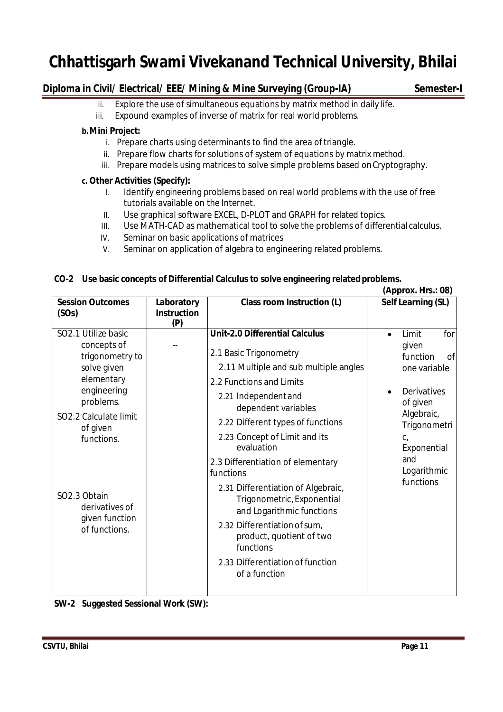# **Diploma in Civil/ Electrical/ EEE/ Mining & Mine Surveying (Group-IA) Semester-I**

- ii. Explore the use of simultaneous equations by matrix method in daily life.
- iii. Expound examples of inverse of matrix for real world problems.

# **b.Mini Project:**

- i. Prepare charts using determinants to find the area of triangle.
- ii. Prepare flow charts for solutions of system of equations by matrix method.
- iii. Prepare models using matrices to solve simple problems based onCryptography.

# **c. Other Activities (Specify):**

- I. Identify engineering problems based on real world problems with the use of free tutorials available on the Internet.
- II. Use graphical software EXCEL, D-PLOT and GRAPH for related topics.
- III. Use MATH-CAD as mathematical tool to solve the problems of differential calculus.
- IV. Seminar on basic applications of matrices
- V. Seminar on application of algebra to engineering related problems.

# **CO-2 Use basic concepts of Differential Calculus to solve engineering relatedproblems.**

|                                                                                                                                                                                                                                        |                                         |                                                                                                                                                                                                                                                                                                                                                                                                                                                                                                                                         |           | (Approx. Hrs.: 08)                                                                                                                                                                              |
|----------------------------------------------------------------------------------------------------------------------------------------------------------------------------------------------------------------------------------------|-----------------------------------------|-----------------------------------------------------------------------------------------------------------------------------------------------------------------------------------------------------------------------------------------------------------------------------------------------------------------------------------------------------------------------------------------------------------------------------------------------------------------------------------------------------------------------------------------|-----------|-------------------------------------------------------------------------------------------------------------------------------------------------------------------------------------------------|
| <b>Session Outcomes</b><br>(SOs)                                                                                                                                                                                                       | Laboratory<br><b>Instruction</b><br>(P) | Class room Instruction (L)                                                                                                                                                                                                                                                                                                                                                                                                                                                                                                              |           | <b>Self Learning (SL)</b>                                                                                                                                                                       |
| SO2.1 Utilize basic<br>concepts of<br>trigonometry to<br>solve given<br>elementary<br>engineering<br>problems.<br>SO2.2 Calculate limit<br>of given<br>functions.<br>SO2.3 Obtain<br>derivatives of<br>given function<br>of functions. |                                         | <b>Unit-2.0 Differential Calculus</b><br>2.1 Basic Trigonometry<br>2.11 Multiple and sub multiple angles<br>2.2 Functions and Limits<br>2.21 Independent and<br>dependent variables<br>2.22 Different types of functions<br>2.23 Concept of Limit and its<br>evaluation<br>2.3 Differentiation of elementary<br>functions<br>2.31 Differentiation of Algebraic,<br>Trigonometric, Exponential<br>and Logarithmic functions<br>2.32 Differentiation of sum,<br>product, quotient of two<br>functions<br>2.33 Differentiation of function | $\bullet$ | Limit<br>for<br>given<br>function<br><sub>of</sub><br>one variable<br><b>Derivatives</b><br>of given<br>Algebraic,<br>Trigonometri<br>$C_{I}$<br>Exponential<br>and<br>Logarithmic<br>functions |

**SW-2 Suggested Sessional Work (SW):**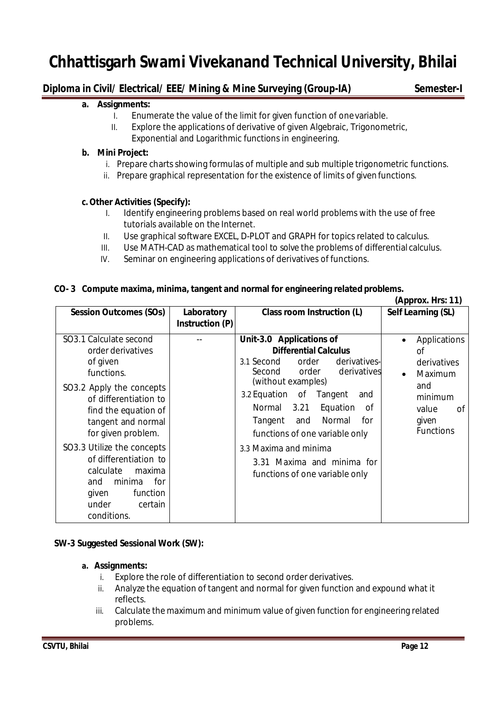# **Diploma in Civil/ Electrical/ EEE/ Mining & Mine Surveying (Group-IA) Semester-I**

# **a. Assignments:**

- I. Enumerate the value of the limit for given function of onevariable.
- II. Explore the applications of derivative of given Algebraic, Trigonometric, Exponential and Logarithmic functions in engineering.

# **b. Mini Project:**

- i. Prepare charts showing formulas of multiple and sub multiple trigonometric functions.
- ii. Prepare graphical representation for the existence of limits of given functions.

### **c.Other Activities (Specify):**

- I. Identify engineering problems based on real world problems with the use of free tutorials available on the Internet.
- II. Use graphical software EXCEL, D-PLOT and GRAPH for topics related to calculus.
- III. Use MATH-CAD as mathematical tool to solve the problems of differential calculus.
- IV. Seminar on engineering applications of derivatives of functions.

### **CO- 3 Compute maxima, minima, tangent and normal for engineering related problems.**

|                                                                                                                                                                                                                                                                              |                               |                                                                                                                                                                                                                                                                                                                                                                                       | (Approx. Hrs: 11)                                                                                                                    |
|------------------------------------------------------------------------------------------------------------------------------------------------------------------------------------------------------------------------------------------------------------------------------|-------------------------------|---------------------------------------------------------------------------------------------------------------------------------------------------------------------------------------------------------------------------------------------------------------------------------------------------------------------------------------------------------------------------------------|--------------------------------------------------------------------------------------------------------------------------------------|
| <b>Session Outcomes (SOs)</b>                                                                                                                                                                                                                                                | Laboratory<br>Instruction (P) | Class room Instruction (L)                                                                                                                                                                                                                                                                                                                                                            | Self Learning (SL)                                                                                                                   |
| SO3.1 Calculate second<br>order derivatives<br>of given<br>functions.<br>SO3.2 Apply the concepts<br>of differentiation to<br>find the equation of<br>tangent and normal<br>for given problem.<br>SO3.3 Utilize the concepts<br>of differentiation to<br>calculate<br>maxima |                               | Unit-3.0 Applications of<br><b>Differential Calculus</b><br>derivatives-<br>3.1 Second<br>order<br>order derivatives<br>Second<br>(without examples)<br>3.2 Equation of Tangent<br>and<br>Normal 3.21<br>Equation<br>0f<br>Normal<br>for<br>Tangent<br>and<br>functions of one variable only<br>3.3 Maxima and minima<br>3.31 Maxima and minima for<br>functions of one variable only | Applications<br>$\bullet$<br>Ωf<br>derivatives<br>Maximum<br>$\bullet$<br>and<br>minimum<br>value<br>οf<br>given<br><b>Functions</b> |
| minima<br>for<br>and<br>given<br>function<br>under<br>certain<br>conditions.                                                                                                                                                                                                 |                               |                                                                                                                                                                                                                                                                                                                                                                                       |                                                                                                                                      |

### **SW-3 Suggested Sessional Work (SW):**

#### **a. Assignments:**

- i. Explore the role of differentiation to second order derivatives.
- ii. Analyze the equation of tangent and normal for given function and expound what it reflects.
- iii. Calculate the maximum and minimum value of given function for engineering related problems.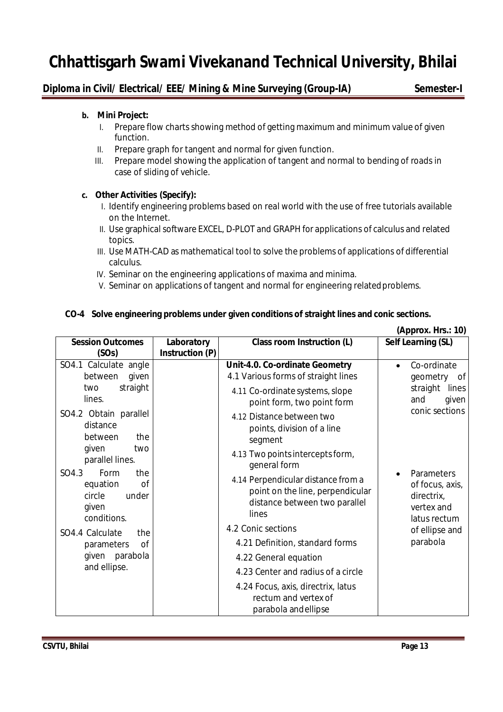# **Diploma in Civil/ Electrical/ EEE/ Mining & Mine Surveying (Group-IA) Semester-I**

# **b. Mini Project:**

- I. Prepare flow charts showing method of getting maximum and minimum value of given function.
- II. Prepare graph for tangent and normal for given function.
- III. Prepare model showing the application of tangent and normal to bending of roads in case of sliding of vehicle.

# **c. Other Activities (Specify):**

- I. Identify engineering problems based on real world with the use of free tutorials available on the Internet.
- II. Use graphical software EXCEL, D-PLOT and GRAPH for applications of calculus and related topics.
- III. Use MATH-CAD as mathematical tool to solve the problems of applications of differential calculus.
- IV. Seminar on the engineering applications of maxima and minima.
- V. Seminar on applications of tangent and normal for engineering relatedproblems.

# **CO-4 Solve engineering problems under given conditions of straight lines and conic sections.**

|                                                                                                                                                                                                             |                               |                                                                                                                                                                                                                                                                                                                                                                                    | (Approx. Hrs.: 10)                                                                                      |
|-------------------------------------------------------------------------------------------------------------------------------------------------------------------------------------------------------------|-------------------------------|------------------------------------------------------------------------------------------------------------------------------------------------------------------------------------------------------------------------------------------------------------------------------------------------------------------------------------------------------------------------------------|---------------------------------------------------------------------------------------------------------|
| <b>Session Outcomes</b><br>(SOs)                                                                                                                                                                            | Laboratory<br>Instruction (P) | Class room Instruction (L)                                                                                                                                                                                                                                                                                                                                                         | Self Learning (SL)                                                                                      |
| SO4.1 Calculate angle<br>given<br>between<br>straight<br>two<br>lines.<br>SO4.2 Obtain parallel<br>distance<br>between<br>the                                                                               |                               | Unit-4.0. Co-ordinate Geometry<br>4.1 Various forms of straight lines<br>4.11 Co-ordinate systems, slope<br>point form, two point form<br>4.12 Distance between two<br>points, division of a line<br>segment                                                                                                                                                                       | Co-ordinate<br>$\bullet$<br>geometry<br>of<br>straight<br>lines<br>and<br>given<br>conic sections       |
| given<br>two<br>parallel lines.<br>SO4.3<br>Form<br>the<br>0f<br>equation<br>circle<br>under<br>given<br>conditions.<br>SO4.4 Calculate<br>the<br><b>of</b><br>parameters<br>given parabola<br>and ellipse. |                               | 4.13 Two points intercepts form,<br>general form<br>4.14 Perpendicular distance from a<br>point on the line, perpendicular<br>distance between two parallel<br>lines<br>4.2 Conic sections<br>4.21 Definition, standard forms<br>4.22 General equation<br>4.23 Center and radius of a circle<br>4.24 Focus, axis, directrix, latus<br>rectum and vertex of<br>parabola and ellipse | Parameters<br>of focus, axis,<br>directrix,<br>vertex and<br>latus rectum<br>of ellipse and<br>parabola |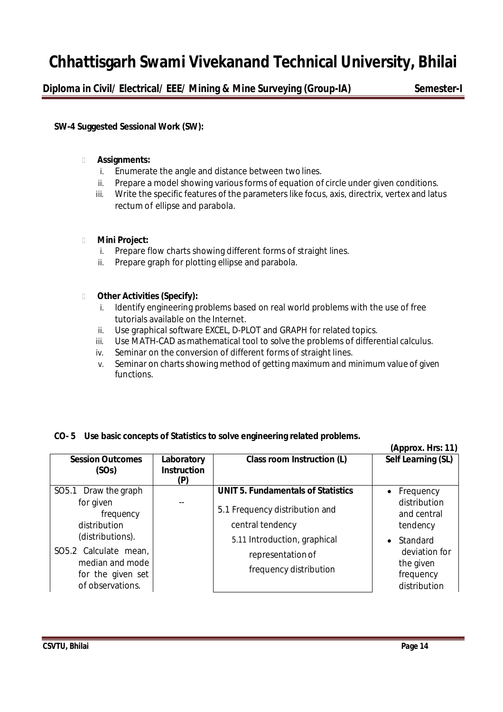**Diploma in Civil/ Electrical/ EEE/ Mining & Mine Surveying (Group-IA) Semester-I**

# **SW-4 Suggested Sessional Work (SW):**

# **Assignments:**

- i. Enumerate the angle and distance between two lines.
- ii. Prepare a model showing various forms of equation of circle under given conditions.
- iii. Write the specific features of the parameters like focus, axis, directrix, vertex and latus rectum of ellipse and parabola.

# **Mini Project:**

- i. Prepare flow charts showing different forms of straight lines.
- ii. Prepare graph for plotting ellipse and parabola.

# **Other Activities (Specify):**

- i. Identify engineering problems based on real world problems with the use of free tutorials available on the Internet.
- ii. Use graphical software EXCEL, D-PLOT and GRAPH for related topics.
- iii. Use MATH-CAD as mathematical tool to solve the problems of differential calculus.
- iv. Seminar on the conversion of different forms of straight lines.
- v. Seminar on charts showing method of getting maximum and minimum value of given functions.

# **CO- 5 Use basic concepts of Statistics to solve engineering related problems.**

|                                                                                   |                                         |                                                    | (Approx. Hrs: 11)                                       |
|-----------------------------------------------------------------------------------|-----------------------------------------|----------------------------------------------------|---------------------------------------------------------|
| <b>Session Outcomes</b><br>(SOs)                                                  | Laboratory<br><b>Instruction</b><br>(P) | Class room Instruction (L)                         | Self Learning (SL)                                      |
| Draw the graph<br>SO <sub>5.1</sub>                                               |                                         | <b>UNIT 5. Fundamentals of Statistics</b>          | Frequency                                               |
| for given<br>frequency<br>distribution                                            |                                         | 5.1 Frequency distribution and<br>central tendency | distribution<br>and central<br>tendency                 |
| (distributions).                                                                  |                                         | 5.11 Introduction, graphical                       | Standard                                                |
| SO5.2 Calculate mean,<br>median and mode<br>for the given set<br>of observations. |                                         | representation of<br>frequency distribution        | deviation for<br>the given<br>frequency<br>distribution |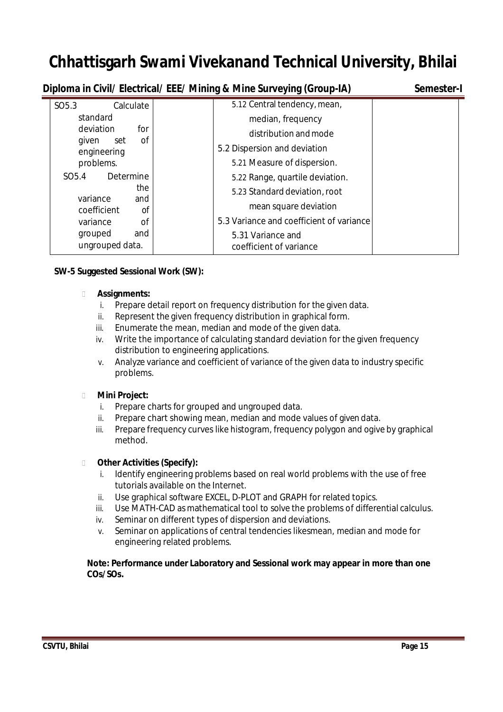**Diploma in Civil/ Electrical/ EEE/ Mining & Mine Surveying (Group-IA) Semester-I**

| SO <sub>5.3</sub><br>Calculate       | 5.12 Central tendency, mean,                 |
|--------------------------------------|----------------------------------------------|
| standard                             | median, frequency                            |
| deviation<br>for                     | distribution and mode                        |
| οf<br>given<br>set<br>engineering    | 5.2 Dispersion and deviation                 |
| problems.                            | 5.21 Measure of dispersion.                  |
| Determine<br>SO <sub>5.4</sub>       | 5.22 Range, quartile deviation.              |
| the                                  | 5.23 Standard deviation, root                |
| variance<br>and<br>coefficient<br>Οf | mean square deviation                        |
| <b>of</b><br>variance                | 5.3 Variance and coefficient of variance     |
| and<br>grouped<br>ungrouped data.    | 5.31 Variance and<br>coefficient of variance |

# **SW-5 Suggested Sessional Work (SW):**

# **Assignments:**

- i. Prepare detail report on frequency distribution for the given data.
- ii. Represent the given frequency distribution in graphical form.
- iii. Enumerate the mean, median and mode of the given data.
- iv. Write the importance of calculating standard deviation for the given frequency distribution to engineering applications.
- v. Analyze variance and coefficient of variance of the given data to industry specific problems.

# **Mini Project:**

- i. Prepare charts for grouped and ungrouped data.
- ii. Prepare chart showing mean, median and mode values of given data.
- iii. Prepare frequency curves like histogram, frequency polygon and ogive by graphical method.

# **Other Activities (Specify):**

- Identify engineering problems based on real world problems with the use of free tutorials available on the Internet.
- ii. Use graphical software EXCEL, D-PLOT and GRAPH for related topics.
- iii. Use MATH-CAD as mathematical tool to solve the problems of differential calculus.
- iv. Seminar on different types of dispersion and deviations.
- v. Seminar on applications of central tendencies likesmean, median and mode for engineering related problems.

# **Note: Performance under Laboratory and Sessional work may appear in more than one COs/SOs.**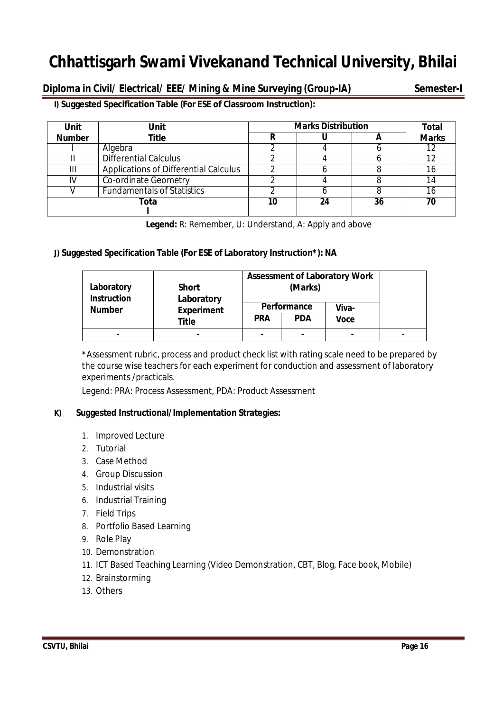**Diploma in Civil/ Electrical/ EEE/ Mining & Mine Surveying (Group-IA) Semester-I**

**I) Suggested Specification Table (For ESE of Classroom Instruction):**

| <b>Unit</b><br><b>Unit</b> |                                              | <b>Marks Distribution</b> | <b>Total</b> |    |              |
|----------------------------|----------------------------------------------|---------------------------|--------------|----|--------------|
| <b>Number</b>              | Title                                        |                           |              |    | <b>Marks</b> |
|                            | Algebra                                      |                           |              |    |              |
|                            | <b>Differential Calculus</b>                 |                           |              |    |              |
| ш                          | <b>Applications of Differential Calculus</b> |                           |              |    |              |
|                            | <b>Co-ordinate Geometry</b>                  |                           |              |    |              |
|                            | <b>Fundamentals of Statistics</b>            |                           |              |    | 16           |
|                            | Tota                                         | 10                        | 24           | 36 | 70           |
|                            |                                              |                           |              |    |              |

**Legend:** R: Remember, U: Understand, A: Apply and above

# **J) Suggested Specification Table (For ESE of Laboratory Instruction\*): NA**

| Laboratory<br><b>Instruction</b>   | <b>Short</b><br>Laboratory |             | (Marks)    | <b>Assessment of Laboratory Work</b> |  |
|------------------------------------|----------------------------|-------------|------------|--------------------------------------|--|
| <b>Number</b><br><b>Experiment</b> |                            | Performance |            | Viva-                                |  |
|                                    | Title                      | <b>PRA</b>  | <b>PDA</b> | <b>Voce</b>                          |  |
|                                    |                            |             |            |                                      |  |

\*Assessment rubric, process and product check list with rating scale need to be prepared by the course wise teachers for each experiment for conduction and assessment of laboratory experiments /practicals.

Legend: PRA: Process Assessment, PDA: Product Assessment

# **K) Suggested Instructional/Implementation Strategies:**

- 1. Improved Lecture
- 2. Tutorial
- 3. Case Method
- 4. Group Discussion
- 5. Industrial visits
- 6. Industrial Training
- 7. Field Trips
- 8. Portfolio Based Learning
- 9. Role Play
- 10. Demonstration
- 11. ICT Based Teaching Learning (Video Demonstration, CBT, Blog, Face book, Mobile)
- 12. Brainstorming
- 13. Others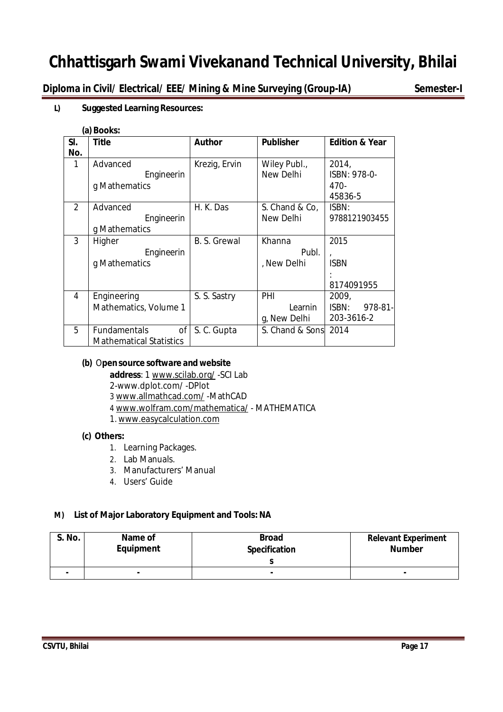**Diploma in Civil/ Electrical/ EEE/ Mining & Mine Surveying (Group-IA) Semester-I**

# **L) Suggested Learning Resources:**

### **(a) Books:**

| SI.<br>No.     | <b>Title</b>                   | <b>Author</b> | <b>Publisher</b> | <b>Edition &amp; Year</b> |
|----------------|--------------------------------|---------------|------------------|---------------------------|
| $\mathbf{1}$   | Advanced                       | Krezig, Ervin | Wiley Publ.,     | 2014,                     |
|                | Engineerin                     |               | New Delhi        | ISBN: 978-0-              |
|                | g Mathematics                  |               |                  | 470-                      |
|                |                                |               |                  | 45836-5                   |
| $\overline{2}$ | Advanced                       | H. K. Das     | S. Chand & Co,   | ISBN:                     |
|                | Engineerin                     |               | New Delhi        | 9788121903455             |
|                | g Mathematics                  |               |                  |                           |
| 3              | Higher                         | B. S. Grewal  | Khanna           | 2015                      |
|                | Engineerin                     |               | Publ.            |                           |
|                | g Mathematics                  |               | , New Delhi      | <b>ISBN</b>               |
|                |                                |               |                  |                           |
|                |                                |               |                  | 8174091955                |
| 4              | Engineering                    | S. S. Sastry  | PHI              | 2009,                     |
|                | Mathematics, Volume 1          |               | Learnin          | ISBN:<br>$978 - 81$       |
|                |                                |               | g, New Delhi     | 203-3616-2                |
| 5              | 0f<br>Fundamentals             | S. C. Gupta   | S. Chand & Sons  | 2014                      |
|                | <b>Mathematical Statistics</b> |               |                  |                           |

# **(b)** O**pensource software and website**

**address**: 1 www.scilab.org/ -SCI Lab

2-www.dplot.com/ -DPlot

3 www.allmathcad.com/ -MathCAD

4 www.wolfram.com/mathematica/ - MATHEMATICA

1. www.easycalculation.com

# **(c) Others:**

- 1. Learning Packages.
- 2. Lab Manuals.
- 3. Manufacturers' Manual
- 4. Users' Guide

# **M) List of Major Laboratory Equipment and Tools: NA**

| <b>S. No.</b> | Name of<br>Equipment | <b>Broad</b><br><b>Specification</b> | <b>Relevant Experiment</b><br><b>Number</b> |
|---------------|----------------------|--------------------------------------|---------------------------------------------|
|               |                      |                                      |                                             |
|               | ۰                    | $\overline{\phantom{a}}$             |                                             |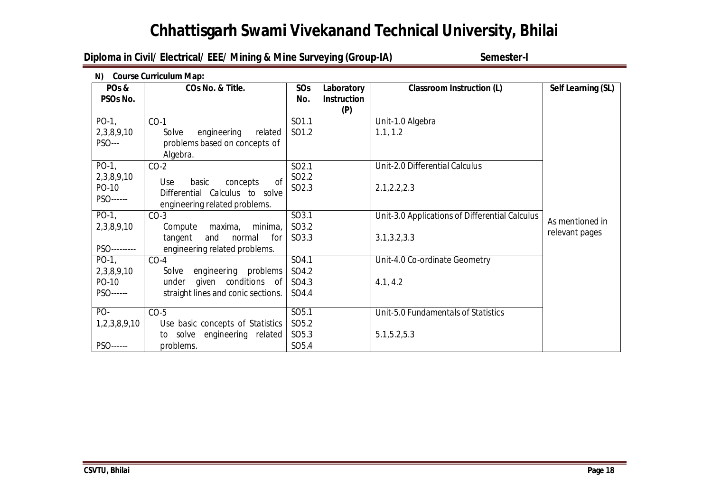# **Diploma in Civil/ Electrical/ EEE/ Mining & Mine Surveying (Group-IA) Semester-I**

| N) Course Curriculum Map: |                                    |                   |                    |                                                |                    |  |  |
|---------------------------|------------------------------------|-------------------|--------------------|------------------------------------------------|--------------------|--|--|
| PO <sub>s</sub> &         | COs No. & Title.                   | SOs               | Laboratory         | <b>Classroom Instruction (L)</b>               | Self Learning (SL) |  |  |
| PSOs No.                  |                                    | No.               | <b>Instruction</b> |                                                |                    |  |  |
|                           |                                    |                   | (P)                |                                                |                    |  |  |
| $PO-1$ ,                  | $CO-1$                             | SO1.1             |                    | Unit-1.0 Algebra                               |                    |  |  |
| 2,3,8,9,10                | engineering<br>related<br>Solve    | SO1.2             |                    | 1.1, 1.2                                       |                    |  |  |
| <b>PSO---</b>             | problems based on concepts of      |                   |                    |                                                |                    |  |  |
|                           | Algebra.                           |                   |                    |                                                |                    |  |  |
| $PO-1$ ,                  | $CO-2$                             | SO <sub>2.1</sub> |                    | Unit-2.0 Differential Calculus                 |                    |  |  |
| 2,3,8,9,10                | of<br>Use<br>basic<br>concepts     | SO <sub>2.2</sub> |                    |                                                |                    |  |  |
| PO-10                     | Differential Calculus to solve     | SO <sub>2.3</sub> |                    | 2.1, 2.2, 2.3                                  |                    |  |  |
| PSO------                 | engineering related problems.      |                   |                    |                                                |                    |  |  |
| $PO-1$ ,                  |                                    | SO3.1             |                    |                                                |                    |  |  |
|                           | $CO-3$                             |                   |                    | Unit-3.0 Applications of Differential Calculus | As mentioned in    |  |  |
| 2,3,8,9,10                | minima,<br>Compute<br>maxima,      | SO3.2             |                    |                                                | relevant pages     |  |  |
|                           | tangent<br>and<br>normal<br>for    | SO3.3             |                    | 3.1, 3.2, 3.3                                  |                    |  |  |
| PSO---------              | engineering related problems.      |                   |                    |                                                |                    |  |  |
| $PO-1$ ,                  | $CO-4$                             | SO4.1             |                    | Unit-4.0 Co-ordinate Geometry                  |                    |  |  |
| 2,3,8,9,10                | engineering problems<br>Solve      | SO4.2             |                    |                                                |                    |  |  |
| PO-10                     | given conditions of<br>under       | SO4.3             |                    | 4.1, 4.2                                       |                    |  |  |
| PSO------                 | straight lines and conic sections. | SO4.4             |                    |                                                |                    |  |  |
| PO-                       | $CO-5$                             | SO <sub>5.1</sub> |                    | Unit-5.0 Fundamentals of Statistics            |                    |  |  |
| 1,2,3,8,9,10              | Use basic concepts of Statistics   | SO <sub>5.2</sub> |                    |                                                |                    |  |  |
|                           | to solve engineering related       | SO <sub>5.3</sub> |                    | 5.1, 5.2, 5.3                                  |                    |  |  |
| PSO------                 | problems.                          | SO <sub>5.4</sub> |                    |                                                |                    |  |  |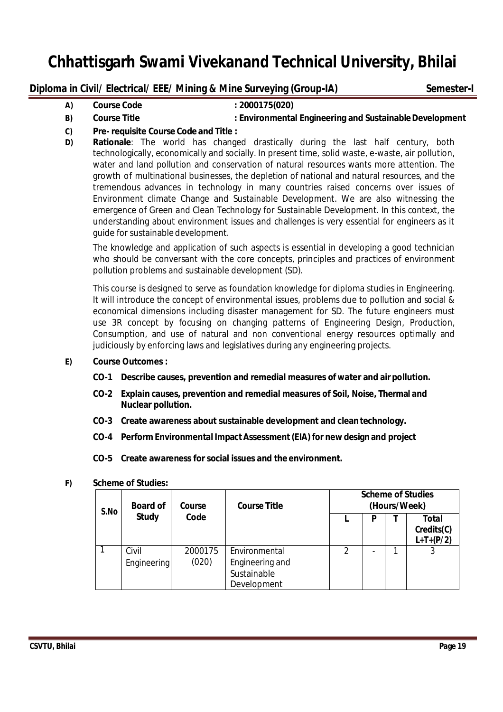# **Diploma in Civil/ Electrical/ EEE/ Mining & Mine Surveying (Group-IA) Semester-I**

**A) Course Code : 2000175(020)**

# **B) Course Title : Environmental Engineering and SustainableDevelopment**

- **C) Pre- requisite Course Code and Title :**
- **D) Rationale**: The world has changed drastically during the last half century, both technologically, economically and socially. In present time, solid waste, e-waste, air pollution, water and land pollution and conservation of natural resources wants more attention. The growth of multinational businesses, the depletion of national and natural resources, and the tremendous advances in technology in many countries raised concerns over issues of Environment climate Change and Sustainable Development. We are also witnessing the emergence of Green and Clean Technology for Sustainable Development. In this context, the understanding about environment issues and challenges is very essential for engineers as it guide for sustainable development.

The knowledge and application of such aspects is essential in developing a good technician who should be conversant with the core concepts, principles and practices of environment pollution problems and sustainable development (SD).

This course is designed to serve as foundation knowledge for diploma studies in Engineering. It will introduce the concept of environmental issues, problems due to pollution and social & economical dimensions including disaster management for SD. The future engineers must use 3R concept by focusing on changing patterns of Engineering Design, Production, Consumption, and use of natural and non conventional energy resources optimally and judiciously by enforcing laws and legislatives during any engineering projects.

- **E) Course Outcomes :**
	- **CO-1 Describe causes, prevention and remedial measures of water and airpollution.**
	- **CO-2 Explain causes, prevention and remedial measures of Soil, Noise, Thermal and Nuclear pollution.**
	- **CO-3 Create awareness about sustainable development and clean technology.**
	- **CO-4 Perform Environmental ImpactAssessment(EIA) for newdesign and project**
	- **CO-5 Create awareness for social issues and the environment.**

### **F) Scheme of Studies:**

| S.No | <b>Board of</b>      | Course           | <b>Course Title</b>                                            | <b>Scheme of Studies</b><br>(Hours/Week)<br>Total<br>P<br>Credits(C)<br>$\mathfrak{D}$<br>3 |  |             |
|------|----------------------|------------------|----------------------------------------------------------------|---------------------------------------------------------------------------------------------|--|-------------|
|      | <b>Study</b>         | Code             |                                                                |                                                                                             |  | $L+T+(P/2)$ |
|      | Civil<br>Engineering | 2000175<br>(020) | Environmental<br>Engineering and<br>Sustainable<br>Development |                                                                                             |  |             |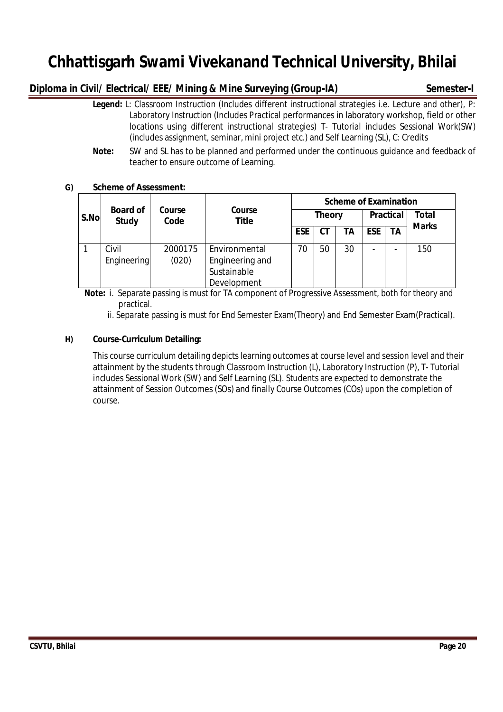# **Diploma in Civil/ Electrical/ EEE/ Mining & Mine Surveying (Group-IA) Semester-I**

- **Legend:** L: Classroom Instruction (Includes different instructional strategies i.e. Lecture and other), P: Laboratory Instruction (Includes Practical performances in laboratory workshop, field or other locations using different instructional strategies) T- Tutorial includes Sessional Work(SW) (includes assignment, seminar, mini project etc.) and Self Learning (SL), C: Credits
- **Note:** SW and SL has to be planned and performed under the continuous guidance and feedback of teacher to ensure outcome of Learning.

# **G) Scheme of Assessment:**

|      |                                 |                |                               | <b>Scheme of Examination</b> |               |    |                  |    |              |
|------|---------------------------------|----------------|-------------------------------|------------------------------|---------------|----|------------------|----|--------------|
| S.No | <b>Board of</b><br><b>Study</b> | Course<br>Code | <b>Course</b><br><b>Title</b> |                              | <b>Theory</b> |    | <b>Practical</b> |    | <b>Total</b> |
|      |                                 |                |                               | <b>ESE</b>                   |               | ΤA | <b>ESE</b>       | ΤA | <b>Marks</b> |
|      | Civil                           | 2000175        | Environmental                 | 70                           | 50            | 30 | -                |    | 150          |
|      | Engineering                     | (020)          | Engineering and               |                              |               |    |                  |    |              |
|      |                                 |                | Sustainable                   |                              |               |    |                  |    |              |
|      |                                 |                | Development                   |                              |               |    |                  |    |              |

 **Note:** i. Separate passing is must for TA component of Progressive Assessment, both for theory and practical.

ii. Separate passing is must for End Semester Exam(Theory) and End Semester Exam(Practical).

# **H) Course-Curriculum Detailing:**

This course curriculum detailing depicts learning outcomes at course level and session level and their attainment by the students through Classroom Instruction (L), Laboratory Instruction (P), T- Tutorial includes Sessional Work (SW) and Self Learning (SL). Students are expected to demonstrate the attainment of Session Outcomes (SOs) and finally Course Outcomes (COs) upon the completion of course.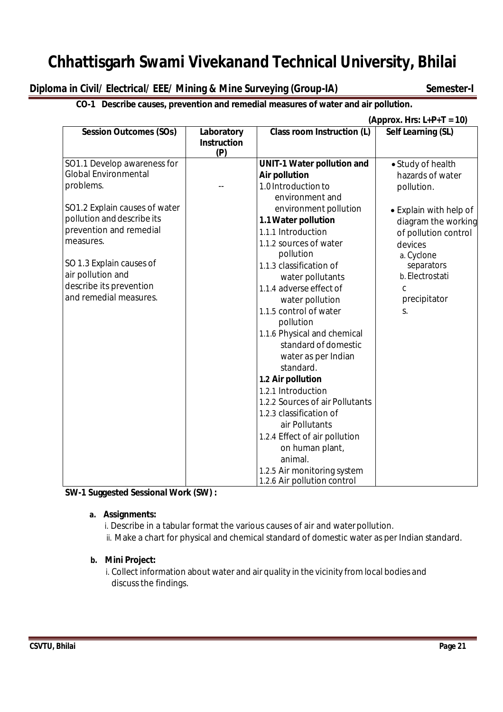# **Diploma in Civil/ Electrical/ EEE/ Mining & Mine Surveying (Group-IA) Semester-I**

# **CO-1 Describe causes, prevention and remedial measures of water and air pollution.**

 **(Approx. Hrs: L+P+T = 10)**

| <b>Session Outcomes (SOs)</b> | Laboratory<br><b>Instruction</b><br>(P) | Class room Instruction (L)        | Self Learning (SL)     |
|-------------------------------|-----------------------------------------|-----------------------------------|------------------------|
| SO1.1 Develop awareness for   |                                         | <b>UNIT-1 Water pollution and</b> | • Study of health      |
| <b>Global Environmental</b>   |                                         | <b>Air pollution</b>              | hazards of water       |
| problems.                     |                                         | 1.0 Introduction to               | pollution.             |
|                               |                                         | environment and                   |                        |
| SO1.2 Explain causes of water |                                         | environment pollution             | • Explain with help of |
| pollution and describe its    |                                         | 1.1 Water pollution               | diagram the working    |
| prevention and remedial       |                                         | 1.1.1 Introduction                | of pollution control   |
| measures.                     |                                         | 1.1.2 sources of water            | devices                |
|                               |                                         | pollution                         | a. Cyclone             |
| SO 1.3 Explain causes of      |                                         | 1.1.3 classification of           | separators             |
| air pollution and             |                                         | water pollutants                  | b. Electrostati        |
| describe its prevention       |                                         | 1.1.4 adverse effect of           | C                      |
| and remedial measures.        |                                         | water pollution                   | precipitator           |
|                               |                                         | 1.1.5 control of water            | S.                     |
|                               |                                         | pollution                         |                        |
|                               |                                         | 1.1.6 Physical and chemical       |                        |
|                               |                                         | standard of domestic              |                        |
|                               |                                         | water as per Indian               |                        |
|                               |                                         | standard.                         |                        |
|                               |                                         | 1.2 Air pollution                 |                        |
|                               |                                         | 1.2.1 Introduction                |                        |
|                               |                                         | 1.2.2 Sources of air Pollutants   |                        |
|                               |                                         | 1.2.3 classification of           |                        |
|                               |                                         | air Pollutants                    |                        |
|                               |                                         | 1.2.4 Effect of air pollution     |                        |
|                               |                                         | on human plant,                   |                        |
|                               |                                         | animal.                           |                        |
|                               |                                         | 1.2.5 Air monitoring system       |                        |
|                               |                                         | 1.2.6 Air pollution control       |                        |

**SW-1 Suggested Sessional Work (SW) :**

# **a. Assignments:**

i. Describe in a tabular format the various causes of air and waterpollution.

ii. Make a chart for physical and chemical standard of domestic water as per Indian standard.

# **b. Mini Project:**

i. Collect information about water and air quality in the vicinity from local bodies and discuss the findings.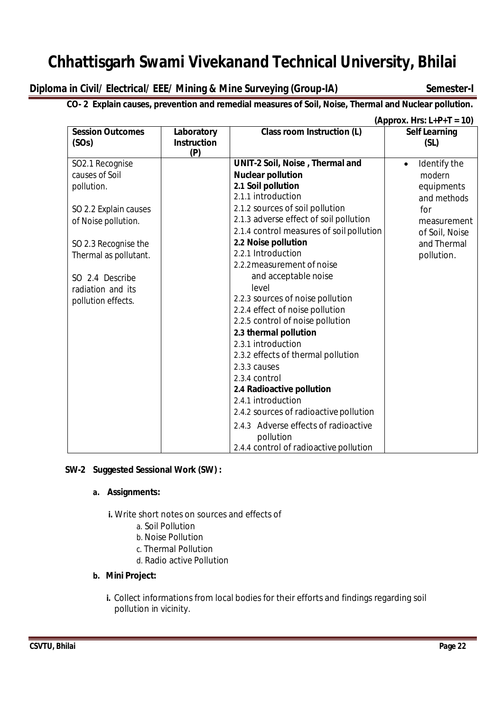# **Diploma in Civil/ Electrical/ EEE/ Mining & Mine Surveying (Group-IA) Semester-I**

# **CO- 2 Explain causes, prevention and remedial measures of Soil, Noise, Thermal and Nuclear pollution.**

|                                                                                                                                                                                                                |                                         |                                                                                                                                                                                                                                                                                                                                                                                                                                                                                                                                                                                                                                                                                                                    | (Approx. Hrs: $L+P+T = 10$ )                                                                                                          |
|----------------------------------------------------------------------------------------------------------------------------------------------------------------------------------------------------------------|-----------------------------------------|--------------------------------------------------------------------------------------------------------------------------------------------------------------------------------------------------------------------------------------------------------------------------------------------------------------------------------------------------------------------------------------------------------------------------------------------------------------------------------------------------------------------------------------------------------------------------------------------------------------------------------------------------------------------------------------------------------------------|---------------------------------------------------------------------------------------------------------------------------------------|
| <b>Session Outcomes</b><br>(SOs)                                                                                                                                                                               | Laboratory<br><b>Instruction</b><br>(P) | <b>Class room Instruction (L)</b>                                                                                                                                                                                                                                                                                                                                                                                                                                                                                                                                                                                                                                                                                  | <b>Self Learning</b><br>(SL)                                                                                                          |
| SO2.1 Recognise<br>causes of Soil<br>pollution.<br>SO 2.2 Explain causes<br>of Noise pollution.<br>SO 2.3 Recognise the<br>Thermal as pollutant.<br>SO 2.4 Describe<br>radiation and its<br>pollution effects. |                                         | UNIT-2 Soil, Noise, Thermal and<br><b>Nuclear pollution</b><br>2.1 Soil pollution<br>2.1.1 introduction<br>2.1.2 sources of soil pollution<br>2.1.3 adverse effect of soil pollution<br>2.1.4 control measures of soil pollution<br>2.2 Noise pollution<br>2.2.1 Introduction<br>2.2.2 measurement of noise<br>and acceptable noise<br>level<br>2.2.3 sources of noise pollution<br>2.2.4 effect of noise pollution<br>2.2.5 control of noise pollution<br>2.3 thermal pollution<br>2.3.1 introduction<br>2.3.2 effects of thermal pollution<br>2.3.3 causes<br>2.3.4 control<br>2.4 Radioactive pollution<br>2.4.1 introduction<br>2.4.2 sources of radioactive pollution<br>2.4.3 Adverse effects of radioactive | Identify the<br>$\bullet$<br>modern<br>equipments<br>and methods<br>for<br>measurement<br>of Soil, Noise<br>and Thermal<br>pollution. |
|                                                                                                                                                                                                                |                                         | pollution<br>2.4.4 control of radioactive pollution                                                                                                                                                                                                                                                                                                                                                                                                                                                                                                                                                                                                                                                                |                                                                                                                                       |

# **SW-2 Suggested Sessional Work (SW) :**

# **a. Assignments:**

**i.** Write short notes on sources and effects of

- a. Soil Pollution
- b. Noise Pollution
- c. Thermal Pollution
- d. Radio active Pollution

# **b. Mini Project:**

**i.** Collect informations from local bodies for their efforts and findings regarding soil pollution in vicinity.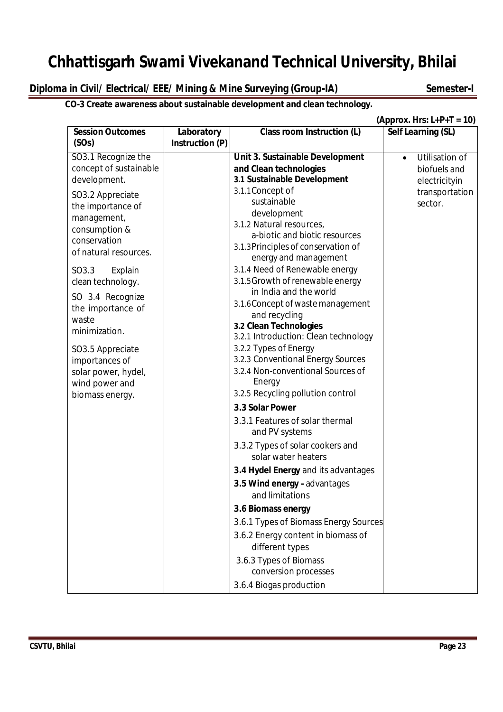# **Diploma in Civil/ Electrical/ EEE/ Mining & Mine Surveying (Group-IA) Semester-I**

# **CO-3 Create awareness about sustainable development and clean technology.**

 **(Approx. Hrs: L+P+T = 10)**

| <b>Utilisation of</b> |
|-----------------------|
| biofuels and          |
| electricityin         |
| transportation        |
|                       |
|                       |
|                       |
|                       |
|                       |
|                       |
|                       |
|                       |
|                       |
|                       |
|                       |
|                       |
|                       |
|                       |
|                       |
|                       |
|                       |
|                       |
|                       |
|                       |
|                       |
|                       |
|                       |
|                       |
|                       |
|                       |
|                       |
|                       |
|                       |
|                       |
|                       |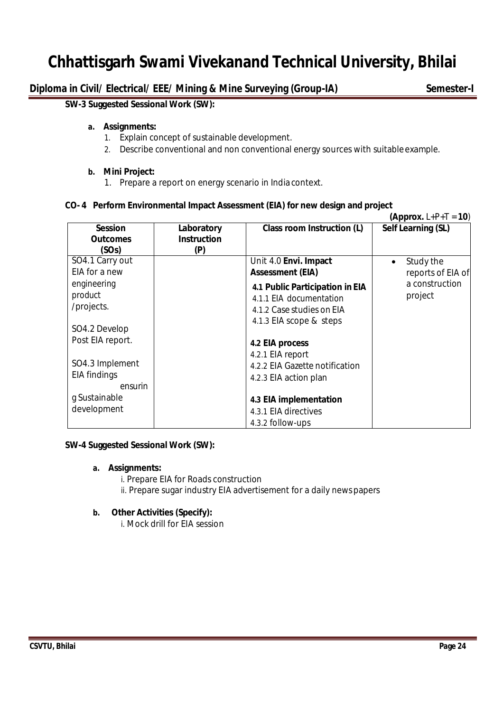# **Diploma in Civil/ Electrical/ EEE/ Mining & Mine Surveying (Group-IA) Semester-I**

### **SW-3 Suggested Sessional Work (SW):**

#### **a. Assignments:**

- 1. Explain concept of sustainable development.
- 2. Describe conventional and non conventional energy sources with suitable example.

### **b. Mini Project:**

1. Prepare a report on energy scenario in India context.

# **CO- 4 Perform Environmental Impact Assessment (EIA) for new design and project**

|                                                       |                                         |                                                                                                                    | (Approx. $L+P+T = 10$ )                     |
|-------------------------------------------------------|-----------------------------------------|--------------------------------------------------------------------------------------------------------------------|---------------------------------------------|
| <b>Session</b><br><b>Outcomes</b><br>(SOs)            | Laboratory<br><b>Instruction</b><br>(P) | Class room Instruction (L)                                                                                         | Self Learning (SL)                          |
| SO4.1 Carry out<br>EIA for a new                      |                                         | Unit 4.0 Envi. Impact<br><b>Assessment (EIA)</b>                                                                   | Study the<br>$\bullet$<br>reports of EIA of |
| engineering<br>product<br>/projects.<br>SO4.2 Develop |                                         | 4.1 Public Participation in EIA<br>4.1.1 EIA documentation<br>4.1.2 Case studies on EIA<br>4.1.3 EIA scope & steps | a construction<br>project                   |
| Post EIA report.                                      |                                         | 4.2 EIA process<br>4.2.1 EIA report                                                                                |                                             |
| SO4.3 Implement<br>EIA findings<br>ensurin            |                                         | 4.2.2 EIA Gazette notification<br>4.2.3 EIA action plan                                                            |                                             |
| g Sustainable<br>development                          |                                         | 4.3 EIA implementation<br>4.3.1 EIA directives<br>4.3.2 follow-ups                                                 |                                             |

# **SW-4 Suggested Sessional Work (SW):**

# **a. Assignments:**

i. Prepare EIA for Roads construction ii. Prepare sugar industry EIA advertisement for a daily newspapers

# **b. Other Activities (Specify):**

i. Mock drill for EIA session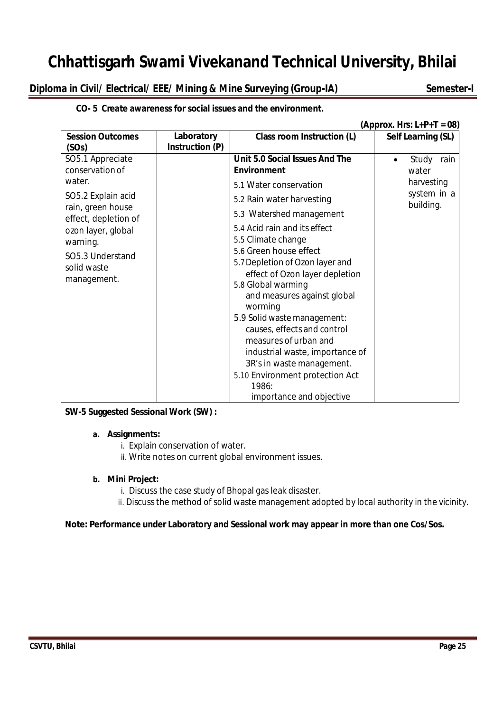# **Diploma in Civil/ Electrical/ EEE/ Mining & Mine Surveying (Group-IA) Semester-I**

**CO- 5 Create awareness for social issues and the environment.**

|                                                                                                                                                                                                      |                               |                                                                                                                                                                                                                                                                                                                                                                                                                                                                                                                                                                                             | (Approx. Hrs: $L+P+T = 08$ )                                     |
|------------------------------------------------------------------------------------------------------------------------------------------------------------------------------------------------------|-------------------------------|---------------------------------------------------------------------------------------------------------------------------------------------------------------------------------------------------------------------------------------------------------------------------------------------------------------------------------------------------------------------------------------------------------------------------------------------------------------------------------------------------------------------------------------------------------------------------------------------|------------------------------------------------------------------|
| <b>Session Outcomes</b><br>(SOs)                                                                                                                                                                     | Laboratory<br>Instruction (P) | Class room Instruction (L)                                                                                                                                                                                                                                                                                                                                                                                                                                                                                                                                                                  | Self Learning (SL)                                               |
| SO5.1 Appreciate<br>conservation of<br>water.<br>SO5.2 Explain acid<br>rain, green house<br>effect, depletion of<br>ozon layer, global<br>warning.<br>SO5.3 Understand<br>solid waste<br>management. |                               | Unit 5.0 Social Issues And The<br><b>Environment</b><br>5.1 Water conservation<br>5.2 Rain water harvesting<br>5.3 Watershed management<br>5.4 Acid rain and its effect<br>5.5 Climate change<br>5.6 Green house effect<br>5.7 Depletion of Ozon layer and<br>effect of Ozon layer depletion<br>5.8 Global warming<br>and measures against global<br>worming<br>5.9 Solid waste management:<br>causes, effects and control<br>measures of urban and<br>industrial waste, importance of<br>3R's in waste management.<br>5.10 Environment protection Act<br>1986:<br>importance and objective | Study<br>rain<br>water<br>harvesting<br>system in a<br>building. |

# **SW-5 Suggested Sessional Work (SW) :**

# **a. Assignments:**

- i. Explain conservation of water.
- ii. Write notes on current global environment issues.

# **b. Mini Project:**

- i. Discuss the case study of Bhopal gas leak disaster.
- ii. Discuss the method of solid waste management adopted by local authority in the vicinity.

# **Note: Performance under Laboratory and Sessional work may appear in more than one Cos/Sos.**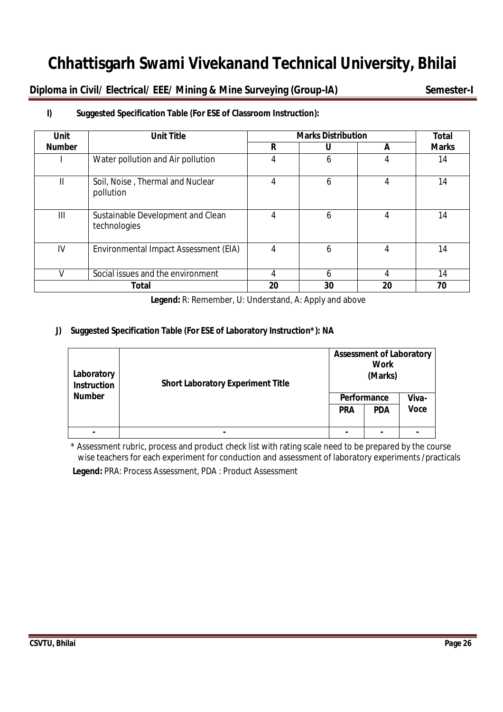**Diploma in Civil/ Electrical/ EEE/ Mining & Mine Surveying (Group-IA) Semester-I** 

| <b>Unit</b>   | <b>Unit Title</b>                                 |    | <b>Marks Distribution</b> |    | <b>Total</b> |
|---------------|---------------------------------------------------|----|---------------------------|----|--------------|
| <b>Number</b> |                                                   | R  | U                         | A  | <b>Marks</b> |
|               | Water pollution and Air pollution                 | 4  | 6                         | 4  | 14           |
| Ш             | Soil, Noise, Thermal and Nuclear<br>pollution     | 4  | 6                         | 4  | 14           |
| III           | Sustainable Development and Clean<br>technologies | 4  | 6                         | 4  | 14           |
| IV            | Environmental Impact Assessment (EIA)             | 4  | 6                         | 4  | 14           |
|               | Social issues and the environment                 |    | 6                         | 4  | 14           |
|               | <b>Total</b>                                      | 20 | 30                        | 20 | 70           |

# **I) Suggested Specification Table (For ESE of Classroom Instruction):**

**Legend:** R: Remember, U: Understand, A: Apply and above

# **J) Suggested Specification Table (For ESE of Laboratory Instruction\*): NA**

| Laboratory<br><b>Instruction</b> | <b>Short Laboratory Experiment Title</b> | <b>Assessment of Laboratory</b><br><b>Work</b><br>(Marks) |                    |             |
|----------------------------------|------------------------------------------|-----------------------------------------------------------|--------------------|-------------|
| <b>Number</b>                    |                                          |                                                           | <b>Performance</b> | Viva-       |
|                                  |                                          | <b>PRA</b>                                                | <b>PDA</b>         | <b>Voce</b> |
|                                  |                                          |                                                           |                    |             |
|                                  | ۰                                        |                                                           |                    |             |

\* Assessment rubric, process and product check list with rating scale need to be prepared by the course wise teachers for each experiment for conduction and assessment of laboratory experiments /practicals

**Legend:** PRA: Process Assessment, PDA : Product Assessment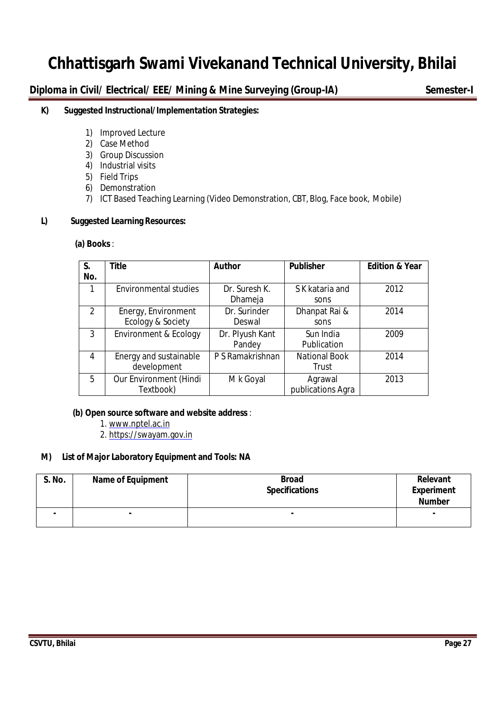**Diploma in Civil/ Electrical/ EEE/ Mining & Mine Surveying (Group-IA) Semester-I** 

# **K) Suggested Instructional/Implementation Strategies:**

- 1) Improved Lecture
- 2) Case Method
- 3) Group Discussion
- 4) Industrial visits
- 5) Field Trips
- 6) Demonstration
- 7) ICT Based Teaching Learning (Video Demonstration, CBT, Blog, Face book, Mobile)

# **L) Suggested Learning Resources:**

#### **(a) Books** :

| S.<br>No.     | <b>Title</b>                             | <b>Author</b>             | <b>Publisher</b>              | <b>Edition &amp; Year</b> |
|---------------|------------------------------------------|---------------------------|-------------------------------|---------------------------|
| 1             | <b>Environmental studies</b>             | Dr. Suresh K.<br>Dhameja  | S K kataria and<br>sons       | 2012                      |
| $\mathcal{P}$ | Energy, Environment<br>Ecology & Society | Dr. Surinder<br>Deswal    | Dhanpat Rai &<br>sons         | 2014                      |
| 3             | Environment & Ecology                    | Dr. Plyush Kant<br>Pandey | Sun India<br>Publication      | 2009                      |
| 4             | Energy and sustainable<br>development    | P S Ramakrishnan          | <b>National Book</b><br>Trust | 2014                      |
| 5             | Our Environment (Hindi<br>Textbook)      | M k Goyal                 | Agrawal<br>publications Agra  | 2013                      |

# **(b) Open source software and website address** :

- 1. www.nptel.ac.in
- 2. https://swayam.gov.in

# **M) List of Major Laboratory Equipment and Tools: NA**

| S. No. | <b>Name of Equipment</b> | <b>Broad</b><br><b>Specifications</b> | Relevant<br><b>Experiment</b><br><b>Number</b> |
|--------|--------------------------|---------------------------------------|------------------------------------------------|
| ۰      |                          | -                                     | $\blacksquare$                                 |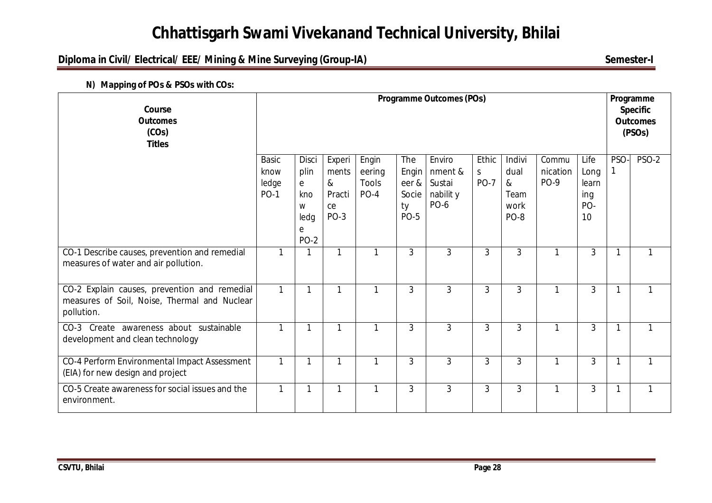# **Diploma in Civil/ Electrical/ EEE/ Mining & Mine Surveying (Group-IA)** Semester-I

| Course<br><b>Outcomes</b><br>(COs)<br><b>Titles</b>                                                        |                                              | <b>Programme Outcomes (POs)</b>                            |                                                   |                                    |                                                     |                                                         |                            |                                                    |                                  | Programme<br><b>Specific</b><br><b>Outcomes</b><br>(PSOs) |              |              |
|------------------------------------------------------------------------------------------------------------|----------------------------------------------|------------------------------------------------------------|---------------------------------------------------|------------------------------------|-----------------------------------------------------|---------------------------------------------------------|----------------------------|----------------------------------------------------|----------------------------------|-----------------------------------------------------------|--------------|--------------|
|                                                                                                            | <b>Basic</b><br>know<br>ledge<br><b>PO-1</b> | Disci<br>plin<br>e<br>kno<br>W<br>ledg<br>e<br><b>PO-2</b> | Experi<br>ments<br>$\&$<br>Practi<br>ce<br>$PO-3$ | Engin<br>eering<br>Tools<br>$PO-4$ | The<br>Engin<br>eer &<br>Socie<br>ty<br><b>PO-5</b> | Enviro<br>nment &<br>Sustai<br>nabilit y<br><b>PO-6</b> | Ethic<br>S.<br><b>PO-7</b> | Indivi<br>dual<br>$\alpha$<br>Team<br>work<br>PO-8 | Commu<br>nication<br><b>PO-9</b> | Life<br>Long<br>learn<br>ing<br>PO-<br>10                 | PSO-         | <b>PSO-2</b> |
| CO-1 Describe causes, prevention and remedial<br>measures of water and air pollution.                      | 1                                            |                                                            | 1                                                 |                                    | 3                                                   | $\mathfrak{Z}$                                          | $\mathfrak{Z}$             | 3                                                  |                                  | 3                                                         | 1            |              |
| CO-2 Explain causes, prevention and remedial<br>measures of Soil, Noise, Thermal and Nuclear<br>pollution. | $\mathbf{1}$                                 | 1                                                          | $\mathbf{1}$                                      | 1                                  | 3                                                   | $\mathfrak{Z}$                                          | 3                          | 3                                                  | 1                                | 3                                                         | 1            | 1            |
| CO-3 Create awareness about sustainable<br>development and clean technology                                | 1                                            | $\mathbf 1$                                                | $\mathbf{1}$                                      | 1                                  | 3                                                   | $\mathfrak{Z}$                                          | $\overline{3}$             | 3                                                  |                                  | 3                                                         | 1            |              |
| CO-4 Perform Environmental Impact Assessment<br>(EIA) for new design and project                           | $\mathbf{1}$                                 |                                                            | $\mathbf{1}$                                      | 1                                  | 3                                                   | $\overline{3}$                                          | 3                          | 3                                                  | 1                                | 3                                                         | $\mathbf{1}$ | $\mathbf{1}$ |
| CO-5 Create awareness for social issues and the<br>environment.                                            | 1                                            |                                                            | 1                                                 |                                    | 3                                                   | $\mathfrak{Z}$                                          | 3                          | 3                                                  |                                  | 3                                                         | 1            | 1            |

**N) Mapping of POs & PSOs with COs:**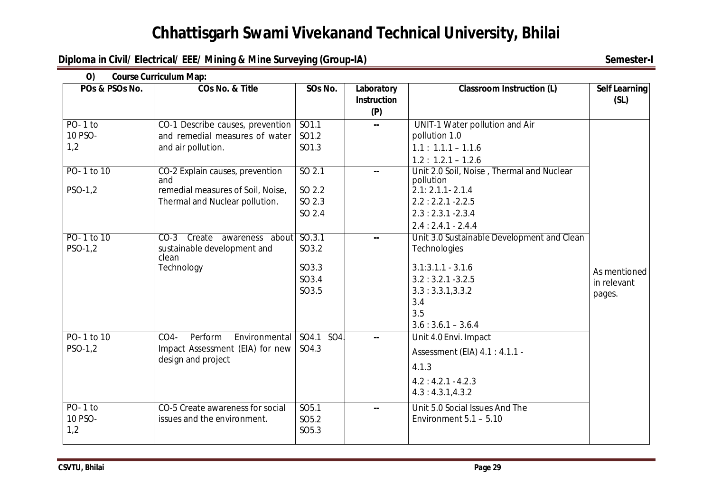# **Diploma in Civil/ Electrical/ EEE/ Mining & Mine Surveying (Group-IA)** Semester-I

| O()<br>POs & PSOs No. | <b>Course Curriculum Map:</b><br>COs No. & Title      | SOs No.                  | Laboratory                | <b>Classroom Instruction (L)</b>                       | <b>Self Learning</b> |
|-----------------------|-------------------------------------------------------|--------------------------|---------------------------|--------------------------------------------------------|----------------------|
|                       |                                                       |                          | <b>Instruction</b><br>(P) |                                                        | (SL)                 |
| $PO-1$ to             | CO-1 Describe causes, prevention                      | SO1.1                    | ш.                        | UNIT-1 Water pollution and Air                         |                      |
| 10 PSO-               | and remedial measures of water                        | SO1.2                    |                           | pollution 1.0                                          |                      |
| 1,2                   | and air pollution.                                    | SO1.3                    |                           | $1.1: 1.1.1 - 1.1.6$                                   |                      |
|                       |                                                       |                          |                           | $1.2: 1.2.1 - 1.2.6$                                   |                      |
| PO-1 to 10            | CO-2 Explain causes, prevention<br>and                | SO <sub>2.1</sub>        |                           | Unit 2.0 Soil, Noise, Thermal and Nuclear<br>pollution |                      |
| PSO-1,2               | remedial measures of Soil, Noise,                     | SO 2.2                   |                           | $2.1: 2.1.1 - 2.1.4$                                   |                      |
|                       | Thermal and Nuclear pollution.                        | SO 2.3                   |                           | $2.2:2.2.1 - 2.2.5$                                    |                      |
|                       |                                                       | SO 2.4                   |                           | $2.3:2.3.1 - 2.3.4$                                    |                      |
|                       |                                                       |                          |                           | $2.4:2.4.1 - 2.4.4$                                    |                      |
| PO-1 to 10            | Create awareness about SO.3.1<br>$CO-3$               |                          |                           | Unit 3.0 Sustainable Development and Clean             |                      |
| PSO-1,2               | sustainable development and<br>clean                  | SO3.2                    |                           | Technologies                                           |                      |
|                       | Technology                                            | SO3.3                    |                           | $3.1:3.1.1 - 3.1.6$                                    | As mentioned         |
|                       |                                                       | SO3.4                    |                           | $3.2:3.2.1 - 3.2.5$                                    | in relevant          |
|                       |                                                       | SO3.5                    |                           | 3.3:3.3.1,3.3.2                                        | pages.               |
|                       |                                                       |                          |                           | 3.4                                                    |                      |
|                       |                                                       |                          |                           | 3.5                                                    |                      |
|                       |                                                       |                          |                           | $3.6:3.6.1 - 3.6.4$                                    |                      |
| PO-1 to 10            | $CO4-$<br>Perform<br>Environmental                    | SO4.1<br>SO <sub>4</sub> |                           | Unit 4.0 Envi. Impact                                  |                      |
| PSO-1,2               | Impact Assessment (EIA) for new<br>design and project | SO4.3                    |                           | Assessment (EIA) 4.1 : 4.1.1 -                         |                      |
|                       |                                                       |                          |                           | 4.1.3                                                  |                      |
|                       |                                                       |                          |                           | $4.2:4.2.1 - 4.2.3$                                    |                      |
|                       |                                                       |                          |                           | 4.3:4.3.1,4.3.2                                        |                      |
| PO-1 to               | CO-5 Create awareness for social                      | SO <sub>5.1</sub>        | --                        | Unit 5.0 Social Issues And The                         |                      |
| 10 PSO-               | issues and the environment.                           | SO <sub>5.2</sub>        |                           | Environment $5.1 - 5.10$                               |                      |
| 1,2                   |                                                       | SO <sub>5.3</sub>        |                           |                                                        |                      |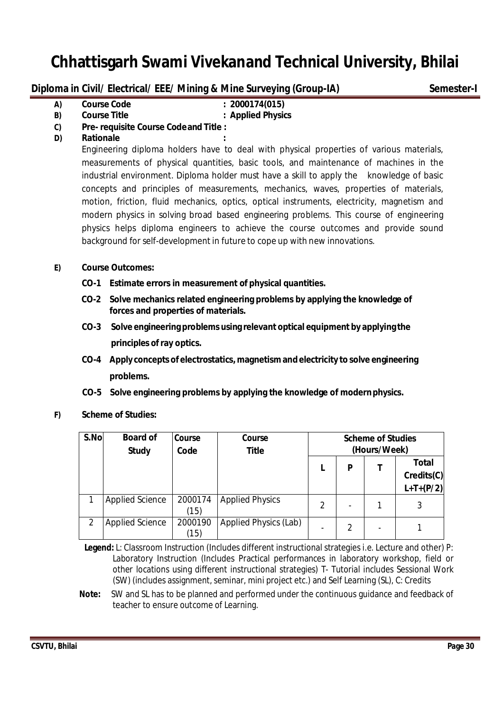**Diploma in Civil/ Electrical/ EEE/ Mining & Mine Surveying (Group-IA) Semester-I** 

**A) Course Code : 2000174(015)**

**B) Course Title : Applied Physics**

- **C) Pre- requisite Course Codeand Title :**
- **D) Rationale :**

Engineering diploma holders have to deal with physical properties of various materials, measurements of physical quantities, basic tools, and maintenance of machines in the industrial environment. Diploma holder must have a skill to apply the knowledge of basic concepts and principles of measurements, mechanics, waves, properties of materials, motion, friction, fluid mechanics, optics, optical instruments, electricity, magnetism and modern physics in solving broad based engineering problems. This course of engineering physics helps diploma engineers to achieve the course outcomes and provide sound background for self-development in future to cope up with new innovations.

# **E) Course Outcomes:**

- **CO-1 Estimate errors in measurement of physical quantities.**
- **CO-2 Solve mechanics related engineering problems by applying the knowledge of forces and properties of materials.**
- **CO-3 Solve engineering problems using relevant optical equipment by applying the principles of ray optics.**
- **CO-4 Apply concepts of electrostatics, magnetism and electricity to solve engineering problems.**
- **CO-5 Solve engineering problems by applying the knowledge of modernphysics.**
- **F) Scheme of Studies:**

| S.No | <b>Board of</b><br><b>Study</b> | Course<br>Code  | Course<br><b>Title</b> | <b>Scheme of Studies</b><br>(Hours/Week) |   |  |                                           |
|------|---------------------------------|-----------------|------------------------|------------------------------------------|---|--|-------------------------------------------|
|      |                                 |                 |                        |                                          | P |  | <b>Total</b><br>Credits(C)<br>$L+T+(P/2)$ |
|      | <b>Applied Science</b>          | 2000174<br>(15) | <b>Applied Physics</b> | $\mathfrak{D}$                           |   |  |                                           |
| 2    | <b>Applied Science</b>          | 2000190<br>(15) | Applied Physics (Lab)  |                                          | 2 |  |                                           |

 **Legend:** L: Classroom Instruction (Includes different instructional strategies i.e. Lecture and other) P: Laboratory Instruction (Includes Practical performances in laboratory workshop, field or other locations using different instructional strategies) T- Tutorial includes Sessional Work (SW) (includes assignment, seminar, mini project etc.) and Self Learning (SL), C: Credits

**Note:** SW and SL has to be planned and performed under the continuous guidance and feedback of teacher to ensure outcome of Learning.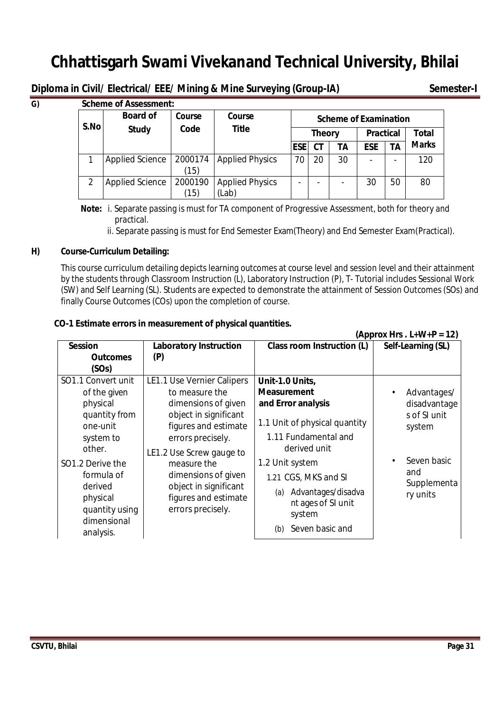**Diploma in Civil/ Electrical/ EEE/ Mining & Mine Surveying (Group-IA) Semester-I**

| G) |      | <b>Scheme of Assessment:</b> |                 |                                 |                              |           |    |                  |           |              |  |
|----|------|------------------------------|-----------------|---------------------------------|------------------------------|-----------|----|------------------|-----------|--------------|--|
|    | S.No | <b>Board of</b>              | Course          | Course                          | <b>Scheme of Examination</b> |           |    |                  |           |              |  |
|    |      | Code<br><b>Study</b>         |                 | <b>Title</b>                    | <b>Theory</b>                |           |    | <b>Practical</b> |           | Total        |  |
|    |      |                              |                 |                                 | <b>ESE</b>                   | <b>CT</b> | TА | <b>ESE</b>       | <b>TA</b> | <b>Marks</b> |  |
|    |      | <b>Applied Science</b>       | 2000174<br>(15) | <b>Applied Physics</b>          | 70                           | 20        | 30 | ۰                |           | 120          |  |
|    |      | <b>Applied Science</b>       | 2000190<br>(15) | <b>Applied Physics</b><br>(Lab) | -                            |           |    | 30               | 50        | 80           |  |

 **Note:** i. Separate passing is must for TA component of Progressive Assessment, both for theory and practical.

ii. Separate passing is must for End Semester Exam(Theory) and End Semester Exam(Practical).

# **H) Course-Curriculum Detailing:**

This course curriculum detailing depicts learning outcomes at course level and session level and their attainment by the students through Classroom Instruction (L), Laboratory Instruction (P), T- Tutorial includes Sessional Work (SW) and Self Learning (SL). Students are expected to demonstrate the attainment of Session Outcomes (SOs) and finally Course Outcomes (COs) upon the completion of course.

# **CO-1 Estimate errors in measurement of physical quantities.**

|                                                                                                                                          | (Approx Hrs. $L+W+P = 12$ )                                                                                                                                                                                |                                                                                                                                                                               |                                                                                      |  |  |  |
|------------------------------------------------------------------------------------------------------------------------------------------|------------------------------------------------------------------------------------------------------------------------------------------------------------------------------------------------------------|-------------------------------------------------------------------------------------------------------------------------------------------------------------------------------|--------------------------------------------------------------------------------------|--|--|--|
| <b>Session</b>                                                                                                                           | <b>Laboratory Instruction</b>                                                                                                                                                                              | <b>Class room Instruction (L)</b>                                                                                                                                             | Self-Learning (SL)                                                                   |  |  |  |
| <b>Outcomes</b>                                                                                                                          | (P)                                                                                                                                                                                                        |                                                                                                                                                                               |                                                                                      |  |  |  |
| (SOs)                                                                                                                                    |                                                                                                                                                                                                            |                                                                                                                                                                               |                                                                                      |  |  |  |
| SO1.1 Convert unit                                                                                                                       | <b>LE1.1 Use Vernier Calipers</b>                                                                                                                                                                          | Unit-1.0 Units,                                                                                                                                                               |                                                                                      |  |  |  |
| of the given                                                                                                                             | to measure the                                                                                                                                                                                             | <b>Measurement</b>                                                                                                                                                            | Advantages/<br>$\bullet$                                                             |  |  |  |
| physical                                                                                                                                 | dimensions of given                                                                                                                                                                                        | and Error analysis                                                                                                                                                            | disadvantage                                                                         |  |  |  |
| quantity from<br>one-unit<br>system to<br>other.<br>SO <sub>1</sub> .2 Derive the<br>formula of<br>derived<br>physical<br>quantity using | object in significant<br>figures and estimate<br>errors precisely.<br>LE1.2 Use Screw gauge to<br>measure the<br>dimensions of given<br>object in significant<br>figures and estimate<br>errors precisely. | 1.1 Unit of physical quantity<br>1.11 Fundamental and<br>derived unit<br>1.2 Unit system<br>1.21 CGS, MKS and SI<br>Advantages/disadva<br>(a)<br>nt ages of SI unit<br>system | s of SI unit<br>system<br>Seven basic<br>$\bullet$<br>and<br>Supplementa<br>ry units |  |  |  |
| dimensional<br>analysis.                                                                                                                 |                                                                                                                                                                                                            | Seven basic and<br>(b)                                                                                                                                                        |                                                                                      |  |  |  |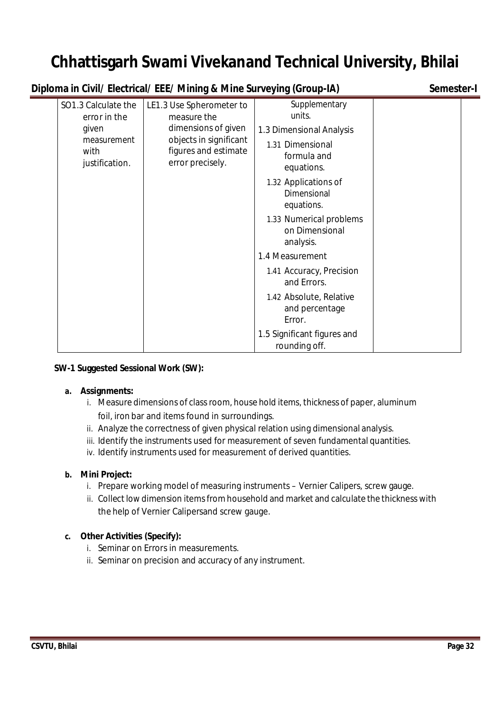| Diploma in Civil/ Electrical/ EEE/ Mining & Mine Surveying (Group-IA)                 | Semester-I                                                                                                                           |                                                                                                                                                                                                                                                                                                                                                                                          |  |
|---------------------------------------------------------------------------------------|--------------------------------------------------------------------------------------------------------------------------------------|------------------------------------------------------------------------------------------------------------------------------------------------------------------------------------------------------------------------------------------------------------------------------------------------------------------------------------------------------------------------------------------|--|
| SO1.3 Calculate the<br>error in the<br>given<br>measurement<br>with<br>justification. | LE1.3 Use Spherometer to<br>measure the<br>dimensions of given<br>objects in significant<br>figures and estimate<br>error precisely. | Supplementary<br>units.<br>1.3 Dimensional Analysis<br>1.31 Dimensional<br>formula and<br>equations.<br>1.32 Applications of<br>Dimensional<br>equations.<br>1.33 Numerical problems<br>on Dimensional<br>analysis.<br>1.4 Measurement<br>1.41 Accuracy, Precision<br>and Errors.<br>1.42 Absolute, Relative<br>and percentage<br>Error.<br>1.5 Significant figures and<br>rounding off. |  |

# **SW-1 Suggested Sessional Work (SW):**

# **a. Assignments:**

- i. Measure dimensions of class room, house hold items, thickness of paper, aluminum foil, iron bar and items found in surroundings.
- ii. Analyze the correctness of given physical relation using dimensional analysis.
- iii. Identify the instruments used for measurement of seven fundamental quantities.
- iv. Identify instruments used for measurement of derived quantities.

# **b. Mini Project:**

- i. Prepare working model of measuring instruments Vernier Calipers, screw gauge.
- ii. Collect low dimension items from household and market and calculate the thickness with the help of Vernier Calipersand screw gauge.

# **c. Other Activities (Specify):**

- i. Seminar on Errors in measurements.
- ii. Seminar on precision and accuracy of any instrument.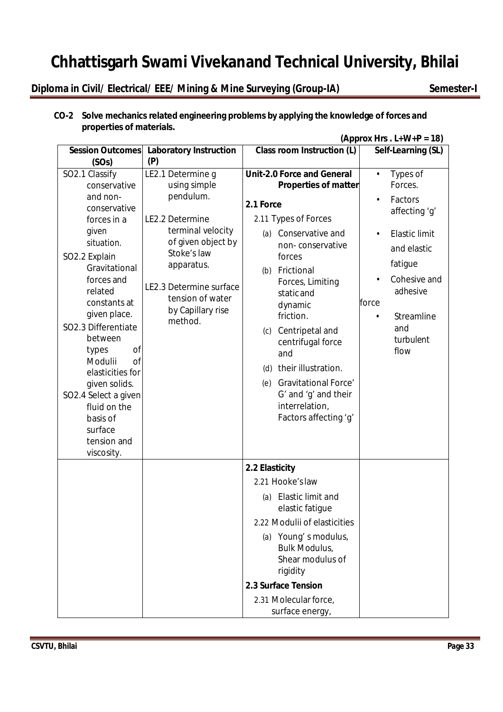**Diploma in Civil/ Electrical/ EEE/ Mining & Mine Surveying (Group-IA) Semester-I** 

# **CO-2 Solve mechanics related engineering problems by applying the knowledge of forces and properties of materials.**

|                                                                                                                                                                                                                    |                                                                                                                                                                                                                          |                                                                                                                                                                                                                                                                      | (Approx Hrs. $L+W+P = 18$ )                                                                                                                                                   |
|--------------------------------------------------------------------------------------------------------------------------------------------------------------------------------------------------------------------|--------------------------------------------------------------------------------------------------------------------------------------------------------------------------------------------------------------------------|----------------------------------------------------------------------------------------------------------------------------------------------------------------------------------------------------------------------------------------------------------------------|-------------------------------------------------------------------------------------------------------------------------------------------------------------------------------|
| <b>Session Outcomes</b>                                                                                                                                                                                            | <b>Laboratory Instruction</b>                                                                                                                                                                                            | <b>Class room Instruction (L)</b>                                                                                                                                                                                                                                    | Self-Learning (SL)                                                                                                                                                            |
| (SOs)                                                                                                                                                                                                              | (P)                                                                                                                                                                                                                      |                                                                                                                                                                                                                                                                      |                                                                                                                                                                               |
| SO2.1 Classify<br>conservative<br>and non-<br>conservative<br>forces in a<br>given<br>situation.<br>SO2.2 Explain<br>Gravitational<br>forces and<br>related<br>constants at<br>given place.<br>SO2.3 Differentiate | LE2.1 Determine g<br>using simple<br>pendulum.<br>LE2.2 Determine<br>terminal velocity<br>of given object by<br>Stoke's law<br>apparatus.<br>LE2.3 Determine surface<br>tension of water<br>by Capillary rise<br>method. | <b>Unit-2.0 Force and General</b><br><b>Properties of matter</b><br>2.1 Force<br>2.11 Types of Forces<br>(a) Conservative and<br>non-conservative<br>forces<br>Frictional<br>(b)<br>Forces, Limiting<br>static and<br>dynamic<br>friction.<br>Centripetal and<br>(c) | Types of<br>$\bullet$<br>Forces.<br>Factors<br>affecting 'g'<br><b>Elastic limit</b><br>and elastic<br>fatigue<br>Cohesive and<br>adhesive<br>force<br>Streamline<br>٠<br>and |
| between<br>of<br>types<br>Modulii<br><sub>of</sub><br>elasticities for<br>given solids.<br>SO2.4 Select a given<br>fluid on the<br>basis of<br>surface<br>tension and<br>viscosity.                                |                                                                                                                                                                                                                          | centrifugal force<br>and<br>their illustration.<br>(d)<br><b>Gravitational Force'</b><br>(e)<br>G' and 'g' and their<br>interrelation,<br>Factors affecting 'g'                                                                                                      | turbulent<br>flow                                                                                                                                                             |
|                                                                                                                                                                                                                    |                                                                                                                                                                                                                          | 2.2 Elasticity                                                                                                                                                                                                                                                       |                                                                                                                                                                               |
|                                                                                                                                                                                                                    |                                                                                                                                                                                                                          | 2.21 Hooke's law                                                                                                                                                                                                                                                     |                                                                                                                                                                               |
|                                                                                                                                                                                                                    |                                                                                                                                                                                                                          | Elastic limit and<br>(a)<br>elastic fatique                                                                                                                                                                                                                          |                                                                                                                                                                               |
|                                                                                                                                                                                                                    |                                                                                                                                                                                                                          | 2.22 Modulii of elasticities                                                                                                                                                                                                                                         |                                                                                                                                                                               |
|                                                                                                                                                                                                                    |                                                                                                                                                                                                                          | (a) Young's modulus,<br>Bulk Modulus,<br>Shear modulus of<br>rigidity                                                                                                                                                                                                |                                                                                                                                                                               |
|                                                                                                                                                                                                                    |                                                                                                                                                                                                                          | 2.3 Surface Tension                                                                                                                                                                                                                                                  |                                                                                                                                                                               |
|                                                                                                                                                                                                                    |                                                                                                                                                                                                                          | 2.31 Molecular force,<br>surface energy,                                                                                                                                                                                                                             |                                                                                                                                                                               |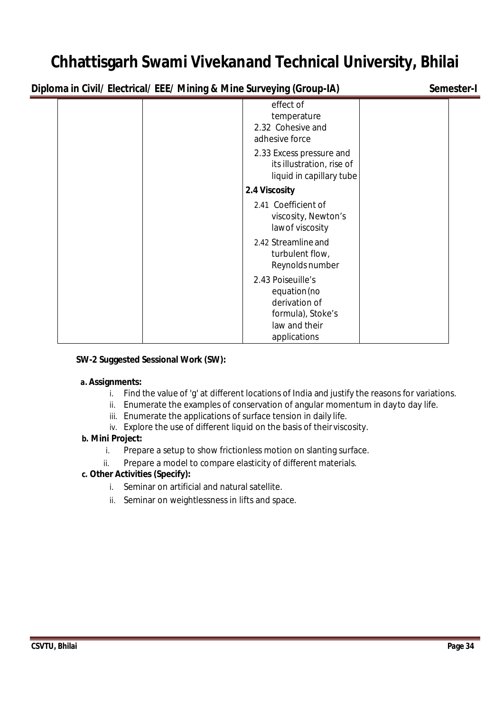**Diploma in Civil/ Electrical/ EEE/ Mining & Mine Surveying (Group-IA) Semester-I** 

| effect of<br>temperature<br>2.32 Cohesive and                                                       |  |
|-----------------------------------------------------------------------------------------------------|--|
| adhesive force<br>2.33 Excess pressure and<br>its illustration, rise of<br>liquid in capillary tube |  |
| 2.4 Viscosity                                                                                       |  |
| 2.41 Coefficient of<br>viscosity, Newton's<br>law of viscosity                                      |  |
| 2.42 Streamline and<br>turbulent flow,<br>Reynolds number                                           |  |
| 2.43 Poiseuille's<br>equation (no<br>derivation of<br>formula), Stoke's<br>law and their            |  |
| applications                                                                                        |  |

# **SW-2 Suggested Sessional Work (SW):**

# **a. Assignments:**

- i. Find the value of 'g' at different locations of India and justify the reasons for variations.
- ii. Enumerate the examples of conservation of angular momentum in dayto day life.
- iii. Enumerate the applications of surface tension in daily life.
- iv. Explore the use of different liquid on the basis of theirviscosity.

# **b. Mini Project:**

- i. Prepare a setup to show frictionless motion on slanting surface.
- ii. Prepare a model to compare elasticity of different materials.

# **c. Other Activities (Specify):**

- i. Seminar on artificial and natural satellite.
- ii. Seminar on weightlessness in lifts and space.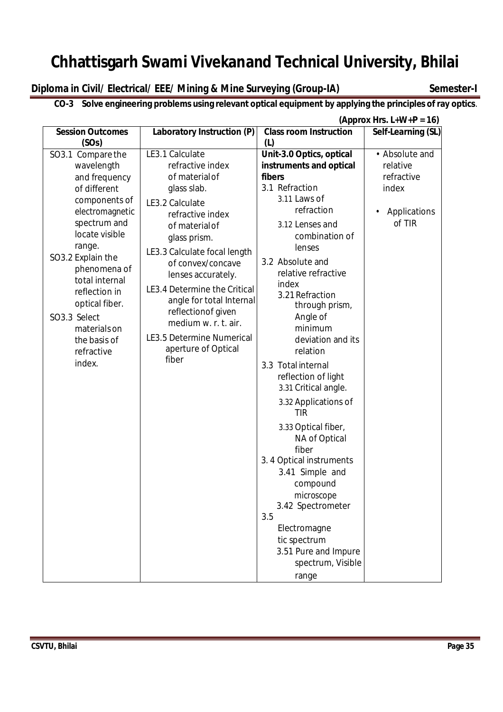**Diploma in Civil/ Electrical/ EEE/ Mining & Mine Surveying (Group-IA) Semester-I** 

# **CO-3 Solve engineering problems using relevant optical equipment by applying the principles of ray optics**.

|                         |                                  |                               | (Approx Hrs. $L+W+P = 16$ ) |
|-------------------------|----------------------------------|-------------------------------|-----------------------------|
| <b>Session Outcomes</b> | Laboratory Instruction (P)       | <b>Class room Instruction</b> | Self-Learning (SL)          |
| (SOs)                   |                                  | (L)                           |                             |
| SO3.1 Compare the       | LE3.1 Calculate                  | Unit-3.0 Optics, optical      | • Absolute and              |
| wavelength              | refractive index                 | instruments and optical       | relative                    |
| and frequency           | of material of                   | fibers                        | refractive                  |
| of different            | glass slab.                      | 3.1 Refraction                | index                       |
| components of           | LE3.2 Calculate                  | 3.11 Laws of                  |                             |
| electromagnetic         | refractive index                 | refraction                    | Applications<br>$\bullet$   |
| spectrum and            | of material of                   | 3.12 Lenses and               | of TIR                      |
| locate visible          | glass prism.                     | combination of                |                             |
| range.                  | LE3.3 Calculate focal length     | lenses                        |                             |
| SO3.2 Explain the       | of convex/concave                | 3.2 Absolute and              |                             |
| phenomena of            | lenses accurately.               | relative refractive           |                             |
| total internal          | LE3.4 Determine the Critical     | index                         |                             |
| reflection in           | angle for total Internal         | 3.21 Refraction               |                             |
| optical fiber.          | reflectionof given               | through prism,                |                             |
| SO3.3 Select            | medium w. r. t. air.             | Angle of                      |                             |
| materials on            | <b>LE3.5 Determine Numerical</b> | minimum                       |                             |
| the basis of            | aperture of Optical              | deviation and its             |                             |
| refractive              | fiber                            | relation                      |                             |
| index.                  |                                  | 3.3 Total internal            |                             |
|                         |                                  | reflection of light           |                             |
|                         |                                  | 3.31 Critical angle.          |                             |
|                         |                                  | 3.32 Applications of          |                             |
|                         |                                  | <b>TIR</b>                    |                             |
|                         |                                  | 3.33 Optical fiber,           |                             |
|                         |                                  | NA of Optical                 |                             |
|                         |                                  | fiber                         |                             |
|                         |                                  | 3.4 Optical instruments       |                             |
|                         |                                  | 3.41 Simple and               |                             |
|                         |                                  | compound                      |                             |
|                         |                                  | microscope                    |                             |
|                         |                                  | 3.42 Spectrometer             |                             |
|                         |                                  | 3.5                           |                             |
|                         |                                  | Electromagne                  |                             |
|                         |                                  | tic spectrum                  |                             |
|                         |                                  | 3.51 Pure and Impure          |                             |
|                         |                                  | spectrum, Visible             |                             |
|                         |                                  | range                         |                             |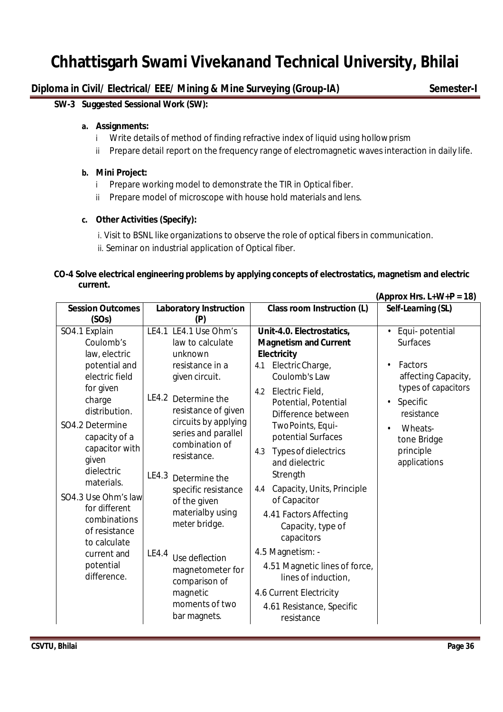# **Diploma in Civil/ Electrical/ EEE/ Mining & Mine Surveying (Group-IA) Semester-I**

 **(Approx Hrs. L+W+P = 18)**

### **SW-3 Suggested Sessional Work (SW):**

### **a. Assignments:**

- i Write details of method of finding refractive index of liquid using hollowprism
- ii Prepare detail report on the frequency range of electromagnetic waves interaction in daily life.

### **b. Mini Project:**

- i Prepare working model to demonstrate the TIR in Optical fiber.
- ii Prepare model of microscope with house hold materials and lens.

# **c. Other Activities (Specify):**

i. Visit to BSNL like organizations to observe the role of optical fibers in communication. ii. Seminar on industrial application of Optical fiber.

### **CO-4 Solve electrical engineering problems by applying concepts of electrostatics, magnetism and electric current.**

|                                  |                                      |                                   | $V$ (PPIVA IN 3. LIVER II - IV) |
|----------------------------------|--------------------------------------|-----------------------------------|---------------------------------|
| <b>Session Outcomes</b><br>(SOs) | <b>Laboratory Instruction</b><br>(P) | <b>Class room Instruction (L)</b> | Self-Learning (SL)              |
| SO4.1 Explain                    | LE4.1 LE4.1 Use Ohm's                | Unit-4.0. Electrostatics,         | Equi-potential<br>$\bullet$     |
| Coulomb's                        | law to calculate                     | <b>Magnetism and Current</b>      | <b>Surfaces</b>                 |
| law, electric                    | unknown                              | <b>Electricity</b>                |                                 |
| potential and                    | resistance in a                      | Electric Charge,<br>4.1           | Factors                         |
| electric field                   | given circuit.                       | Coulomb's Law                     | affecting Capacity,             |
| for given                        |                                      | Electric Field,<br>4.2            | types of capacitors             |
| charge                           | LE4.2<br>Determine the               | Potential, Potential              | Specific<br>$\bullet$           |
| distribution.                    | resistance of given                  | Difference between                | resistance                      |
| SO4.2 Determine                  | circuits by applying                 | TwoPoints, Equi-                  | Wheats-                         |
| capacity of a                    | series and parallel                  | potential Surfaces                | tone Bridge                     |
| capacitor with<br>given          | combination of<br>resistance.        | Types of dielectrics<br>4.3       | principle                       |
| dielectric                       |                                      | and dielectric                    | applications                    |
| materials.                       | LE4.3<br>Determine the               | Strength                          |                                 |
|                                  | specific resistance                  | Capacity, Units, Principle<br>4.4 |                                 |
| SO4.3 Use Ohm's law              | of the given                         | of Capacitor                      |                                 |
| for different<br>combinations    | materialby using                     | 4.41 Factors Affecting            |                                 |
| of resistance                    | meter bridge.                        | Capacity, type of                 |                                 |
| to calculate                     |                                      | capacitors                        |                                 |
| current and                      | LE4.4<br>Use deflection              | 4.5 Magnetism: -                  |                                 |
| potential                        | magnetometer for                     | 4.51 Magnetic lines of force,     |                                 |
| difference.                      | comparison of                        | lines of induction,               |                                 |
|                                  | magnetic                             | 4.6 Current Electricity           |                                 |
|                                  | moments of two                       | 4.61 Resistance, Specific         |                                 |
|                                  | bar magnets.                         | resistance                        |                                 |
|                                  |                                      |                                   |                                 |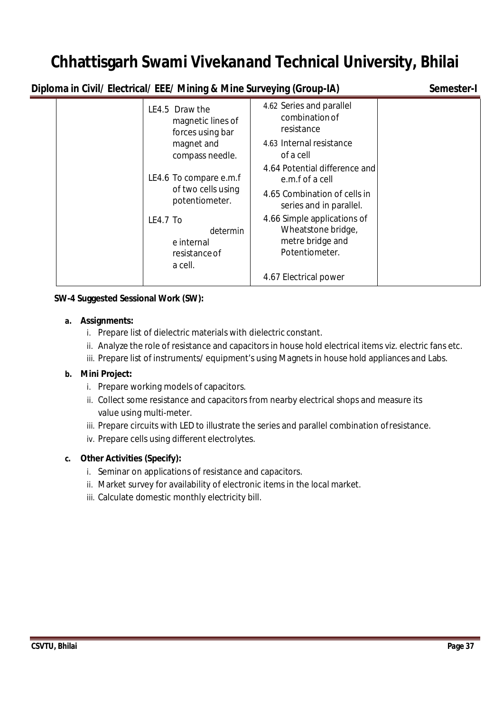**Diploma in Civil/ Electrical/ EEE/ Mining & Mine Surveying (Group-IA) Semester-I**

| LE4.5 Draw the      | 4.62 Series and parallel<br>combination of<br>magnetic lines of<br>resistance<br>forces using bar<br>4.63 Internal resistance<br>magnet and<br>compass needle.<br>of a cell<br>4.64 Potential difference and<br>LE4.6 To compare e.m.f<br>e.m.f of a cell |  |
|---------------------|-----------------------------------------------------------------------------------------------------------------------------------------------------------------------------------------------------------------------------------------------------------|--|
|                     | of two cells using<br>4.65 Combination of cells in<br>potentiometer.<br>series and in parallel.                                                                                                                                                           |  |
| LE4.7 To<br>a cell. | 4.66 Simple applications of<br>Wheatstone bridge,<br>determin<br>metre bridge and<br>e internal<br>Potentiometer.<br>resistance of                                                                                                                        |  |
|                     | 4.67 Electrical power                                                                                                                                                                                                                                     |  |

### **SW-4 Suggested Sessional Work (SW):**

#### **a. Assignments:**

- i. Prepare list of dielectric materials with dielectric constant.
- ii. Analyze the role of resistance and capacitors in house hold electrical items viz. electric fans etc.
- iii. Prepare list of instruments/ equipment's using Magnets in house hold appliances and Labs.

### **b. Mini Project:**

- i. Prepare working models of capacitors.
- ii. Collect some resistance and capacitors from nearby electrical shops and measure its value using multi-meter.
- iii. Prepare circuits with LED to illustrate the series and parallel combination ofresistance.
- iv. Prepare cells using different electrolytes.

### **c. Other Activities (Specify):**

- i. Seminar on applications of resistance and capacitors.
- ii. Market survey for availability of electronic items in the local market.
- iii. Calculate domestic monthly electricity bill.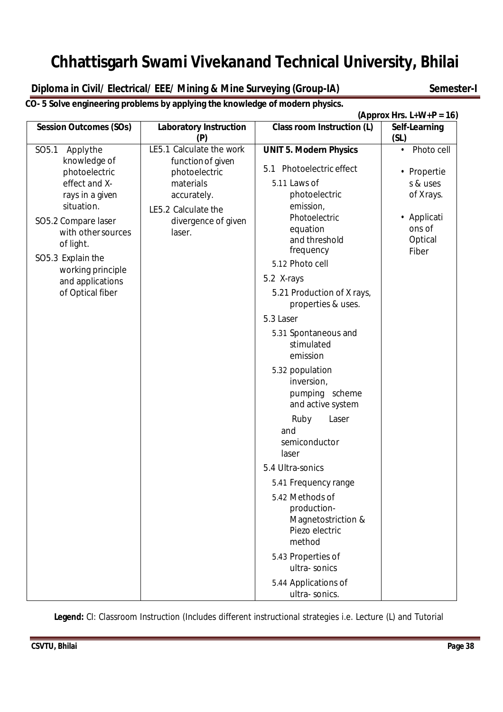**Diploma in Civil/ Electrical/ EEE/ Mining & Mine Surveying (Group-IA) Semester-I** 

**CO- 5 Solve engineering problems by applying the knowledge of modern physics.**

|                                                                                                                                                                                                                                                              |                                                                                                                                                    |                                                                                                                                                                                                                                                                                                                                                                                                                                                                                                                                                                                                                                                                 | (Approx Hrs. $L+W+P = 16$ )                                                                                  |
|--------------------------------------------------------------------------------------------------------------------------------------------------------------------------------------------------------------------------------------------------------------|----------------------------------------------------------------------------------------------------------------------------------------------------|-----------------------------------------------------------------------------------------------------------------------------------------------------------------------------------------------------------------------------------------------------------------------------------------------------------------------------------------------------------------------------------------------------------------------------------------------------------------------------------------------------------------------------------------------------------------------------------------------------------------------------------------------------------------|--------------------------------------------------------------------------------------------------------------|
| <b>Session Outcomes (SOs)</b>                                                                                                                                                                                                                                | <b>Laboratory Instruction</b><br>(P)                                                                                                               | <b>Class room Instruction (L)</b>                                                                                                                                                                                                                                                                                                                                                                                                                                                                                                                                                                                                                               | Self-Learning<br>(SL)                                                                                        |
| SO <sub>5.1</sub><br>Applythe<br>knowledge of<br>photoelectric<br>effect and X-<br>rays in a given<br>situation.<br>SO5.2 Compare laser<br>with other sources<br>of light.<br>SO5.3 Explain the<br>working principle<br>and applications<br>of Optical fiber | LE5.1 Calculate the work<br>function of given<br>photoelectric<br>materials<br>accurately.<br>LE5.2 Calculate the<br>divergence of given<br>laser. | <b>UNIT 5. Modern Physics</b><br>5.1 Photoelectric effect<br>5.11 Laws of<br>photoelectric<br>emission,<br>Photoelectric<br>equation<br>and threshold<br>frequency<br>5.12 Photo cell<br>5.2 X-rays<br>5.21 Production of X rays,<br>properties & uses.<br>5.3 Laser<br>5.31 Spontaneous and<br>stimulated<br>emission<br>5.32 population<br>inversion,<br>pumping scheme<br>and active system<br>Laser<br>Ruby<br>and<br>semiconductor<br>laser<br>5.4 Ultra-sonics<br>5.41 Frequency range<br>5.42 Methods of<br>production-<br>Magnetostriction &<br>Piezo electric<br>method<br>5.43 Properties of<br>ultra-sonics<br>5.44 Applications of<br>ultra-sonics. | Photo cell<br>$\bullet$<br>• Propertie<br>s & uses<br>of Xrays.<br>• Applicati<br>ons of<br>Optical<br>Fiber |

**Legend:** CI: Classroom Instruction (Includes different instructional strategies i.e. Lecture (L) and Tutorial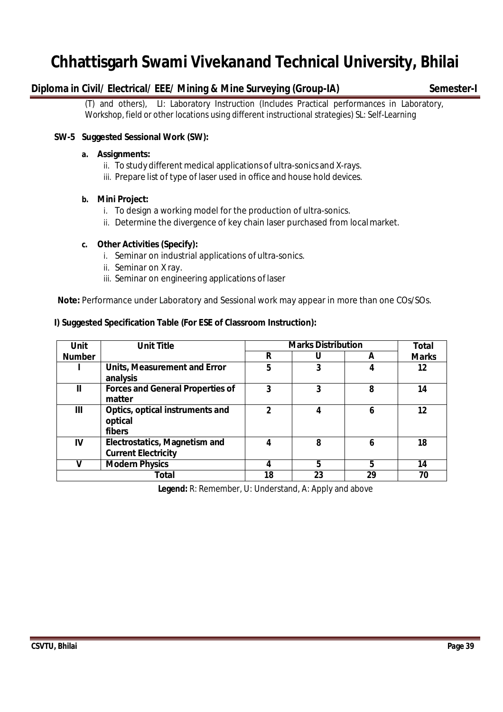### **Diploma in Civil/ Electrical/ EEE/ Mining & Mine Surveying (Group-IA) Semester-I**

(T) and others), LI: Laboratory Instruction (Includes Practical performances in Laboratory, Workshop, field or other locations using different instructional strategies) SL: Self-Learning

#### **SW-5 Suggested Sessional Work (SW):**

#### **a. Assignments:**

- ii. To study different medical applications of ultra-sonics and X-rays.
- iii. Prepare list of type of laser used in office and house hold devices.

#### **b. Mini Project:**

- i. To design a working model for the production of ultra-sonics.
- ii. Determine the divergence of key chain laser purchased from localmarket.

#### **c. Other Activities (Specify):**

- i. Seminar on industrial applications of ultra-sonics.
- ii. Seminar on X ray.
- iii. Seminar on engineering applications of laser

**Note:** Performance under Laboratory and Sessional work may appear in more than one COs/SOs.

#### **I) Suggested Specification Table (For ESE of Classroom Instruction):**

| <b>Unit</b>   | <b>Unit Title</b>                                                  |    | <b>Marks Distribution</b> |    | Total        |
|---------------|--------------------------------------------------------------------|----|---------------------------|----|--------------|
| <b>Number</b> |                                                                    | R  |                           | A  | <b>Marks</b> |
|               | <b>Units, Measurement and Error</b><br>analysis                    | 5  | 3                         |    | 12           |
| $\mathbf{I}$  | <b>Forces and General Properties of</b><br>matter                  | 3  | 3                         | 8  | 14           |
| Ш             | Optics, optical instruments and<br>optical<br>fibers               | າ  | 4                         | 6  | 12           |
| IV            | <b>Electrostatics, Magnetism and</b><br><b>Current Electricity</b> | 4  | 8                         | 6  | 18           |
|               | <b>Modern Physics</b>                                              | 4  | 5                         | 5  | 14           |
|               | <b>Total</b>                                                       | 18 | 23                        | 29 | 70           |

 **Legend:** R: Remember, U: Understand, A: Apply and above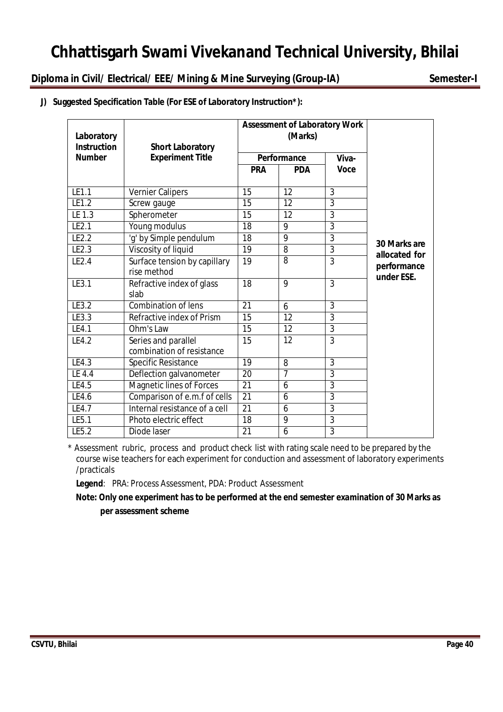**Diploma in Civil/ Electrical/ EEE/ Mining & Mine Surveying (Group-IA) Semester-I**

| J) Suggested Specification Table (For ESE of Laboratory Instruction*): |  |  |
|------------------------------------------------------------------------|--|--|
|                                                                        |  |  |

| Laboratory<br><b>Instruction</b> | <b>Short Laboratory</b>         |                 | <b>Assessment of Laboratory Work</b><br>(Marks) |                |               |
|----------------------------------|---------------------------------|-----------------|-------------------------------------------------|----------------|---------------|
| <b>Number</b>                    | <b>Experiment Title</b>         | Performance     |                                                 |                |               |
|                                  |                                 | <b>PRA</b>      | <b>PDA</b>                                      | <b>Voce</b>    |               |
| LE1.1                            | Vernier Calipers                | 15              | $\overline{12}$                                 | $\overline{3}$ |               |
| LE1.2                            | Screw gauge                     | 15              | 12                                              | $\overline{3}$ |               |
| LE 1.3                           | Spherometer                     | 15              | $\overline{12}$                                 | $\overline{3}$ |               |
| LE2.1                            | Young modulus                   | 18              | 9                                               | $\overline{3}$ |               |
| LE2.2                            | 'g' by Simple pendulum          | 18              | 9                                               | $\overline{3}$ | 30 Marks are  |
| LE2.3                            | Viscosity of liquid             | 19              | 8                                               | $\overline{3}$ | allocated for |
| LE2.4                            | Surface tension by capillary    | 19              | $\overline{8}$                                  | $\overline{3}$ | performance   |
|                                  | rise method                     |                 |                                                 |                | under ESE.    |
| LE3.1                            | Refractive index of glass       | 18              | 9                                               | $\overline{3}$ |               |
|                                  | slab                            |                 |                                                 |                |               |
| LE3.2                            | Combination of lens             | 21              | 6                                               | 3              |               |
| LE3.3                            | Refractive index of Prism       | 15              | $\overline{12}$                                 | $\overline{3}$ |               |
| LE4.1                            | Ohm's Law                       | 15              | 12                                              | $\overline{3}$ |               |
| LE4.2                            | Series and parallel             | 15              | 12                                              | 3              |               |
|                                  | combination of resistance       |                 |                                                 |                |               |
| LE4.3                            | Specific Resistance             | 19              | 8                                               | $\overline{3}$ |               |
| LE 4.4                           | Deflection galvanometer         | 20              | $\overline{7}$                                  | $\overline{3}$ |               |
| LE4.5                            | <b>Magnetic lines of Forces</b> | $\overline{21}$ | 6                                               | $\overline{3}$ |               |
| LE4.6                            | Comparison of e.m.f of cells    | 21              | 6                                               | $\overline{3}$ |               |
| LE4.7                            | Internal resistance of a cell   | 21              | 6                                               | $\overline{3}$ |               |
| LE5.1                            | Photo electric effect           | 18              | 9                                               | $\overline{3}$ |               |
| LE5.2                            | Diode laser                     | $\overline{21}$ | 6                                               | $\overline{3}$ |               |

\* Assessment rubric, process and product check list with rating scale need to be prepared by the course wise teachers for each experiment for conduction and assessment of laboratory experiments /practicals

**Legend**: PRA: Process Assessment, PDA: Product Assessment

**Note: Only one experiment has to be performed at the end semester examination of 30 Marks as per assessment scheme**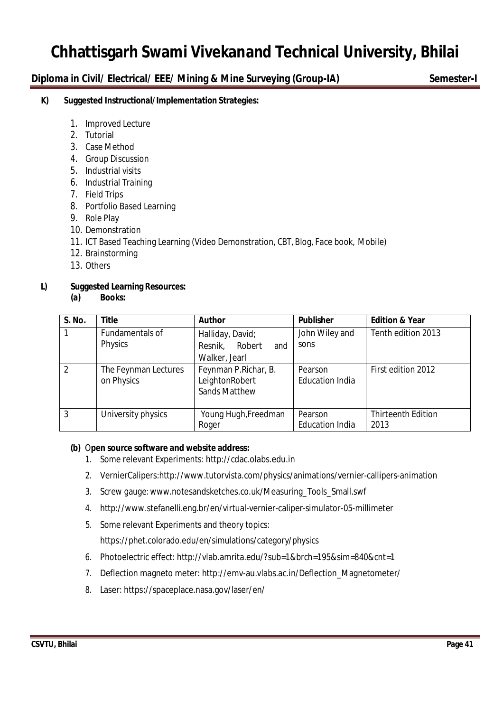### **Diploma in Civil/ Electrical/ EEE/ Mining & Mine Surveying (Group-IA) Semester-I**

#### **K) Suggested Instructional/Implementation Strategies:**

- 1. Improved Lecture
- 2. Tutorial
- 3. Case Method
- 4. Group Discussion
- 5. Industrial visits
- 6. Industrial Training
- 7. Field Trips
- 8. Portfolio Based Learning
- 9. Role Play
- 10. Demonstration
- 11. ICT Based Teaching Learning (Video Demonstration, CBT, Blog, Face book, Mobile)
- 12. Brainstorming
- 13. Others

### **L) Suggested Learning Resources:**

**(a) Books:**

| S. No.         | <b>Title</b>                       | <b>Author</b>                                                  | <b>Publisher</b>                  | <b>Edition &amp; Year</b>         |
|----------------|------------------------------------|----------------------------------------------------------------|-----------------------------------|-----------------------------------|
| $\mathbf{1}$   | Fundamentals of<br>Physics         | Halliday, David;<br>Resnik, Robert<br>and<br>Walker, Jearl     | John Wiley and<br>sons            | Tenth edition 2013                |
| 2              | The Feynman Lectures<br>on Physics | Feynman P.Richar, B.<br>LeightonRobert<br><b>Sands Matthew</b> | Pearson<br><b>Education India</b> | First edition 2012                |
| $\overline{3}$ | University physics                 | Young Hugh, Freedman<br>Roger                                  | Pearson<br><b>Education India</b> | <b>Thirteenth Edition</b><br>2013 |

#### **(b)** O**pen source software and website address:**

- 1. Some relevant Experiments: http://cdac.olabs.edu.in
- 2. VernierCalipers:http://www.tutorvista.com/physics/animations/vernier-callipers-animation
- 3. Screw gauge:www.notesandsketches.co.uk/Measuring\_Tools\_Small.swf
- 4. http://www.stefanelli.eng.br/en/virtual-vernier-caliper-simulator-05-millimeter
- 5. Some relevant Experiments and theory topics:

https://phet.colorado.edu/en/simulations/category/physics

- 6. Photoelectric effect: http://vlab.amrita.edu/?sub=1&brch=195&sim=840&cnt=1
- 7. Deflection magneto meter: http://emv-au.vlabs.ac.in/Deflection\_Magnetometer/
- 8. Laser: https://spaceplace.nasa.gov/laser/en/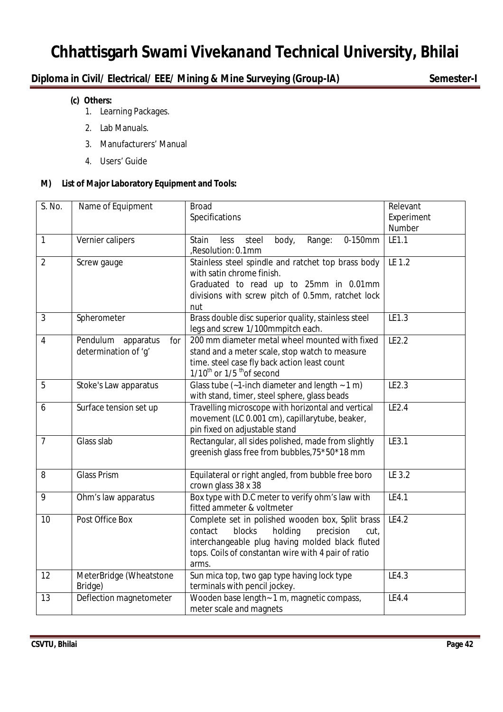### **Diploma in Civil/ Electrical/ EEE/ Mining & Mine Surveying (Group-IA) Semester-I**

- **(c) Others:**
	- 1. Learning Packages.
	- 2. Lab Manuals.
	- 3. Manufacturers' Manual
	- 4. Users' Guide

### **M) List of Major Laboratory Equipment and Tools:**

| S. No.         | Name of Equipment                                    | <b>Broad</b><br>Specifications                                                                                                                                                                                           | Relevant<br>Experiment<br>Number |
|----------------|------------------------------------------------------|--------------------------------------------------------------------------------------------------------------------------------------------------------------------------------------------------------------------------|----------------------------------|
| $\mathbf{1}$   | Vernier calipers                                     | Range:<br>0-150mm<br>Stain<br>body,<br>less<br>steel<br>,Resolution: 0.1mm                                                                                                                                               | LE1.1                            |
| $\overline{2}$ | Screw gauge                                          | Stainless steel spindle and ratchet top brass body<br>with satin chrome finish.<br>Graduated to read up to 25mm in 0.01mm<br>divisions with screw pitch of 0.5mm, ratchet lock<br>nut                                    | LE 1.2                           |
| 3              | Spherometer                                          | Brass double disc superior quality, stainless steel<br>legs and screw 1/100mmpitch each.                                                                                                                                 | LE1.3                            |
| $\overline{4}$ | Pendulum<br>apparatus<br>for<br>determination of 'q' | 200 mm diameter metal wheel mounted with fixed<br>stand and a meter scale, stop watch to measure<br>time. steel case fly back action least count<br>1/10 <sup>th</sup> or 1/5 <sup>th</sup> of second                    | LE2.2                            |
| 5              | Stoke's Law apparatus                                | Glass tube $(-1$ -inch diameter and length $\sim 1$ m)<br>with stand, timer, steel sphere, glass beads                                                                                                                   | LE2.3                            |
| 6              | Surface tension set up                               | Travelling microscope with horizontal and vertical<br>movement (LC 0.001 cm), capillarytube, beaker,<br>pin fixed on adjustable stand                                                                                    | LE2.4                            |
| $\overline{7}$ | Glass slab                                           | Rectangular, all sides polished, made from slightly<br>greenish glass free from bubbles, 75*50*18 mm                                                                                                                     | LE3.1                            |
| 8              | <b>Glass Prism</b>                                   | Equilateral or right angled, from bubble free boro<br>crown glass 38 x 38                                                                                                                                                | LE 3.2                           |
| 9              | Ohm's law apparatus                                  | Box type with D.C meter to verify ohm's law with<br>fitted ammeter & voltmeter                                                                                                                                           | LE4.1                            |
| 10             | Post Office Box                                      | Complete set in polished wooden box, Split brass<br>blocks<br>contact<br>holding<br>precision<br>cut,<br>interchangeable plug having molded black fluted<br>tops. Coils of constantan wire with 4 pair of ratio<br>arms. | LE4.2                            |
| 12             | MeterBridge (Wheatstone<br>Bridge)                   | Sun mica top, two gap type having lock type<br>terminals with pencil jockey.                                                                                                                                             | LE4.3                            |
| 13             | Deflection magnetometer                              | Wooden base length - 1 m, magnetic compass,<br>meter scale and magnets                                                                                                                                                   | LE4.4                            |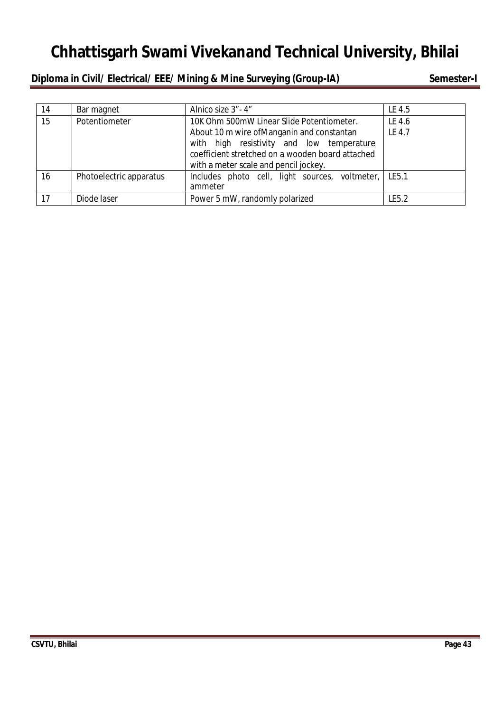### **Diploma in Civil/ Electrical/ EEE/ Mining & Mine Surveying (Group-IA) Semester-I**

| 14 | Bar magnet              | Alnico size 3" - 4"                                                                                                                                                                  | LE 4.5 |
|----|-------------------------|--------------------------------------------------------------------------------------------------------------------------------------------------------------------------------------|--------|
| 15 | Potentiometer           | 10K Ohm 500mW Linear Slide Potentiometer.                                                                                                                                            | LE 4.6 |
|    |                         | About 10 m wire of Manganin and constantan<br>with high resistivity and low temperature<br>coefficient stretched on a wooden board attached<br>with a meter scale and pencil jockey. | LE 4.7 |
| 16 | Photoelectric apparatus | Includes photo cell, light sources, voltmeter, LE5.1<br>ammeter                                                                                                                      |        |
| 17 | Diode laser             | Power 5 mW, randomly polarized                                                                                                                                                       | LE5.2  |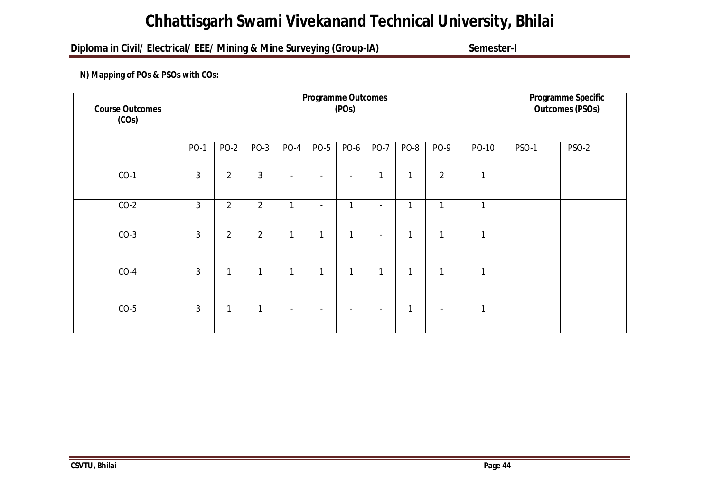### **Diploma in Civil/ Electrical/ EEE/ Mining & Mine Surveying (Group-IA) Semester-I**

### **N) Mapping of POs & PSOs with COs:**

| <b>Course Outcomes</b><br>(COs) | <b>Programme Outcomes</b><br>(POs) |                |                |                |                          |                          |                          |      |                |              | <b>Programme Specific</b><br><b>Outcomes (PSOs)</b> |              |
|---------------------------------|------------------------------------|----------------|----------------|----------------|--------------------------|--------------------------|--------------------------|------|----------------|--------------|-----------------------------------------------------|--------------|
|                                 | <b>PO-1</b>                        | $PO-2$         | <b>PO-3</b>    | $PO-4$         | <b>PO-5</b>              | <b>PO-6</b>              | <b>PO-7</b>              | PO-8 | PO-9           | PO-10        | <b>PSO-1</b>                                        | <b>PSO-2</b> |
| $CO-1$                          | 3                                  | $\overline{2}$ | 3              | $\blacksquare$ | $\overline{\phantom{a}}$ | $\overline{\phantom{a}}$ | 1                        | 1    | $\overline{2}$ | $\mathbf{1}$ |                                                     |              |
| $CO-2$                          | $\overline{3}$                     | $\overline{2}$ | $\overline{2}$ | 1              | $\overline{\phantom{a}}$ | 1                        | $\overline{\phantom{a}}$ | 1    | 1              | 1            |                                                     |              |
| $CO-3$                          | 3                                  | $\overline{2}$ | $\overline{2}$ | <b>1</b>       | 1                        | 1                        | $\overline{\phantom{a}}$ | 1    | ٠              | 1            |                                                     |              |
| $CO-4$                          | 3                                  | 1              | 1              | 1              | 1                        | 1                        | 1                        | 1    | 1              | 1            |                                                     |              |
| $CO-5$                          | 3                                  | 1              |                |                |                          |                          |                          | 1    |                | 1            |                                                     |              |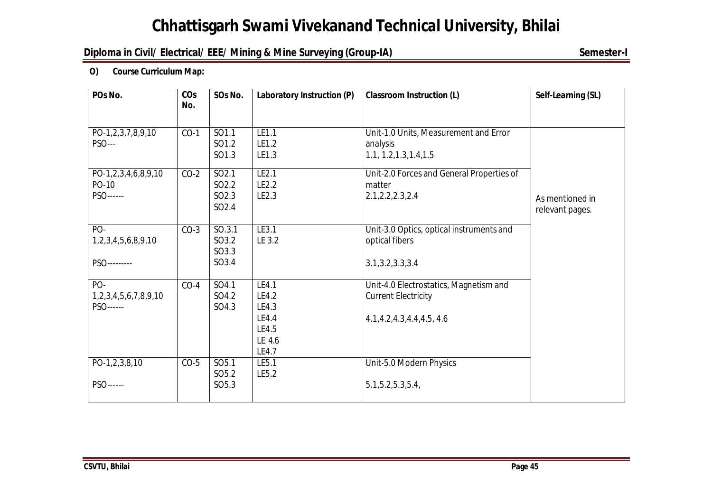### **Diploma in Civil/ Electrical/ EEE/ Mining & Mine Surveying (Group-IA) Semester-I**

÷

#### **O) Course Curriculum Map:**

| POs No.              | CO <sub>S</sub> | SOs No.           | Laboratory Instruction (P) | Self-Learning (SL)                        |                 |
|----------------------|-----------------|-------------------|----------------------------|-------------------------------------------|-----------------|
|                      | No.             |                   |                            |                                           |                 |
| PO-1,2,3,7,8,9,10    | $CO-1$          | SO1.1             | LE1.1                      | Unit-1.0 Units, Measurement and Error     |                 |
| <b>PSO---</b>        |                 | SO1.2             | LE1.2                      | analysis                                  |                 |
|                      |                 | SO1.3             | LE1.3                      | 1.1, 1.2, 1.3, 1.4, 1.5                   |                 |
| PO-1,2,3,4,6,8,9,10  | $CO-2$          | SO2.1             | LE2.1                      | Unit-2.0 Forces and General Properties of |                 |
| PO-10                |                 | SO <sub>2.2</sub> | LE2.2                      | matter                                    |                 |
| PSO------            |                 | SO <sub>2.3</sub> | LE2.3                      | 2.1, 2.2, 2.3, 2.4                        | As mentioned in |
|                      |                 | SO <sub>2.4</sub> |                            |                                           | relevant pages. |
| PO-                  | $CO-3$          | SO.3.1            | LE3.1                      | Unit-3.0 Optics, optical instruments and  |                 |
| 1,2,3,4,5,6,8,9,10   |                 | SO3.2             | LE 3.2                     | optical fibers                            |                 |
|                      |                 | SO3.3             |                            |                                           |                 |
| PSO---------         |                 | SO3.4             |                            | 3.1, 3.2, 3.3, 3.4                        |                 |
| PO-                  | $CO-4$          | SO4.1             | LE4.1                      | Unit-4.0 Electrostatics, Magnetism and    |                 |
| 1,2,3,4,5,6,7,8,9,10 |                 | SO4.2             | LE4.2                      | <b>Current Electricity</b>                |                 |
| PSO------            |                 | SO4.3             | LE4.3                      |                                           |                 |
|                      |                 |                   | LE4.4                      | 4.1, 4.2, 4.3, 4.4, 4.5, 4.6              |                 |
|                      |                 |                   | LE4.5                      |                                           |                 |
|                      |                 |                   | LE 4.6                     |                                           |                 |
|                      |                 |                   | LE4.7                      |                                           |                 |
| PO-1,2,3,8,10        | $CO-5$          | SO <sub>5.1</sub> | LE5.1                      | Unit-5.0 Modern Physics                   |                 |
|                      |                 | SO <sub>5.2</sub> | LE5.2                      |                                           |                 |
| PSO------            |                 | SO <sub>5.3</sub> |                            | 5.1, 5.2, 5.3, 5.4,                       |                 |
|                      |                 |                   |                            |                                           |                 |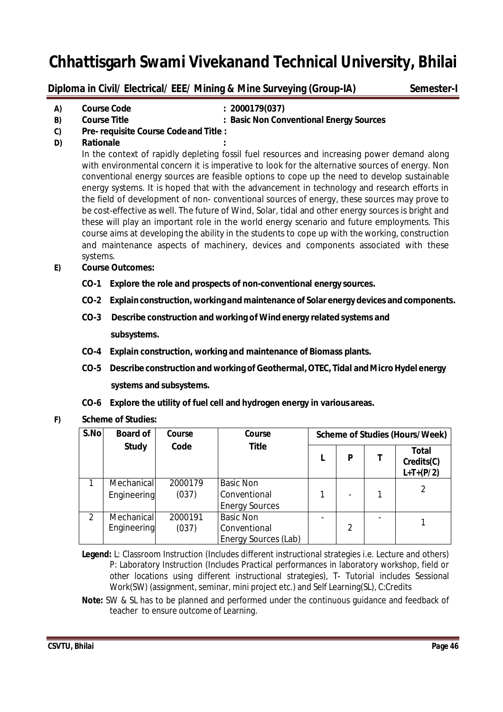**Diploma in Civil/ Electrical/ EEE/ Mining & Mine Surveying (Group-IA) Semester-I** 

**A) Course Code : 2000179(037)**

**B) Course Title : Basic Non Conventional Energy Sources**

- **C) Pre- requisite Course Codeand Title :**
- **D) Rationale :**

In the context of rapidly depleting fossil fuel resources and increasing power demand along with environmental concern it is imperative to look for the alternative sources of energy. Non conventional energy sources are feasible options to cope up the need to develop sustainable energy systems. It is hoped that with the advancement in technology and research efforts in the field of development of non- conventional sources of energy, these sources may prove to be cost-effective as well. The future of Wind, Solar, tidal and other energy sources is bright and these will play an important role in the world energy scenario and future employments. This course aims at developing the ability in the students to cope up with the working, construction and maintenance aspects of machinery, devices and components associated with these systems.

- **E) Course Outcomes:**
	- **CO-1 Explore the role and prospects of non-conventional energy sources.**
	- **CO-2 Explainconstruction, working and maintenance of Solar energy devices and components.**
	- **CO-3 Describe construction and working of Wind energy related systems and subsystems.**
	- **CO-4 Explain construction, working and maintenance of Biomass plants.**
	- **CO-5 Describe construction and working of Geothermal,OTEC, Tidal andMicroHydel energy systems and subsystems.**
	- **CO-6 Explore the utility of fuel cell and hydrogen energy in various areas.**
- **F) Scheme of Studies:**

| S.No | <b>Board of</b> | Course  | Course                |                          | <b>Scheme of Studies (Hours/Week)</b> |
|------|-----------------|---------|-----------------------|--------------------------|---------------------------------------|
|      | <b>Study</b>    | Code    | <b>Title</b>          | P                        | Total<br>Credits(C)<br>$L+T+(P/2)$    |
|      | Mechanical      | 2000179 | <b>Basic Non</b>      |                          |                                       |
|      | Engineering     | (037)   | Conventional          | $\overline{\phantom{0}}$ |                                       |
|      |                 |         | <b>Energy Sources</b> |                          |                                       |
| 2    | Mechanical      | 2000191 | <b>Basic Non</b>      |                          |                                       |
|      | Engineering     | (037)   | Conventional          | $\mathcal{P}$            |                                       |
|      |                 |         | Energy Sources (Lab)  |                          |                                       |

**Legend:** L: Classroom Instruction (Includes different instructional strategies i.e. Lecture and others) P: Laboratory Instruction (Includes Practical performances in laboratory workshop, field or other locations using different instructional strategies), T- Tutorial includes Sessional Work(SW) (assignment, seminar, mini project etc.) and Self Learning(SL), C:Credits

**Note:** SW & SL has to be planned and performed under the continuous guidance and feedback of teacher to ensure outcome of Learning.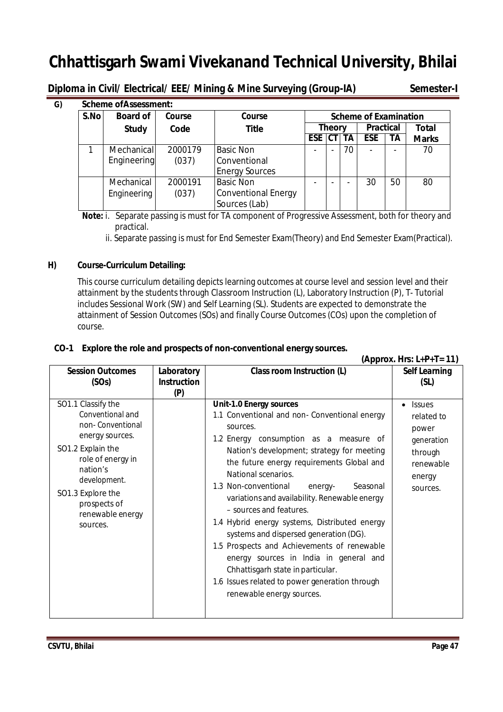**Diploma in Civil/ Electrical/ EEE/ Mining & Mine Surveying (Group-IA) Semester-I** 

| S.No | <b>Board of</b> | Course  | Course                     |           |                          |    | <b>Scheme of Examination</b> |                          |              |
|------|-----------------|---------|----------------------------|-----------|--------------------------|----|------------------------------|--------------------------|--------------|
|      | <b>Study</b>    | Code    | <b>Title</b>               |           | <b>Theory</b>            |    | <b>Practical</b>             |                          | <b>Total</b> |
|      |                 |         |                            | ESE CT TA |                          |    | <b>ESE</b>                   | ΤA                       | <b>Marks</b> |
|      | Mechanical      | 2000179 | <b>Basic Non</b>           | ۰         | $\overline{\phantom{a}}$ | 70 |                              | $\overline{\phantom{a}}$ | 70           |
|      | Engineering     | (037)   | Conventional               |           |                          |    |                              |                          |              |
|      |                 |         | <b>Energy Sources</b>      |           |                          |    |                              |                          |              |
|      | Mechanical      | 2000191 | <b>Basic Non</b>           |           | $\sim$                   |    | 30                           | 50                       | 80           |
|      | Engineering     | (037)   | <b>Conventional Energy</b> |           |                          |    |                              |                          |              |
|      |                 |         | Sources (Lab)              |           |                          |    |                              |                          |              |

 **Note:** i. Separate passing is must for TA component of Progressive Assessment, both for theory and practical.

ii. Separate passing is must for End Semester Exam(Theory) and End Semester Exam(Practical).

#### **H) Course-Curriculum Detailing:**

This course curriculum detailing depicts learning outcomes at course level and session level and their attainment by the students through Classroom Instruction (L), Laboratory Instruction (P), T- Tutorial includes Sessional Work (SW) and Self Learning (SL). Students are expected to demonstrate the attainment of Session Outcomes (SOs) and finally Course Outcomes (COs) upon the completion of course.

#### **CO-1 Explore the role and prospects of non-conventional energy sources.**

| (Approx. Hrs: $L+P+T=11$ )                                                                                                                                                                                               |                                         |                                                                                                                                                                                                                                                                                                                                                                                                                                                                                                                                                                                                                                                                                            |                                                                                                  |
|--------------------------------------------------------------------------------------------------------------------------------------------------------------------------------------------------------------------------|-----------------------------------------|--------------------------------------------------------------------------------------------------------------------------------------------------------------------------------------------------------------------------------------------------------------------------------------------------------------------------------------------------------------------------------------------------------------------------------------------------------------------------------------------------------------------------------------------------------------------------------------------------------------------------------------------------------------------------------------------|--------------------------------------------------------------------------------------------------|
| <b>Session Outcomes</b><br>(SOs)                                                                                                                                                                                         | Laboratory<br><b>Instruction</b><br>(P) | <b>Class room Instruction (L)</b>                                                                                                                                                                                                                                                                                                                                                                                                                                                                                                                                                                                                                                                          | <b>Self Learning</b><br>(SL)                                                                     |
| SO1.1 Classify the<br>Conventional and<br>non-Conventional<br>energy sources.<br>SO1.2 Explain the<br>role of energy in<br>nation's<br>development.<br>SO1.3 Explore the<br>prospects of<br>renewable energy<br>sources. |                                         | <b>Unit-1.0 Energy sources</b><br>1.1 Conventional and non- Conventional energy<br>sources.<br>1.2 Energy consumption as a measure of<br>Nation's development; strategy for meeting<br>the future energy requirements Global and<br>National scenarios.<br>1.3 Non-conventional<br>Seasonal<br>energy-<br>variations and availability. Renewable energy<br>- sources and features.<br>1.4 Hybrid energy systems, Distributed energy<br>systems and dispersed generation (DG).<br>1.5 Prospects and Achievements of renewable<br>energy sources in India in general and<br>Chhattisgarh state in particular.<br>1.6 Issues related to power generation through<br>renewable energy sources. | <b>Issues</b><br>related to<br>power<br>generation<br>through<br>renewable<br>energy<br>sources. |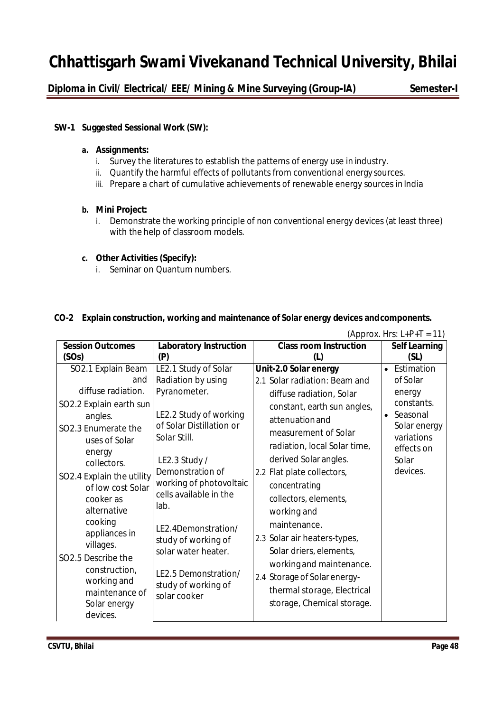**Diploma in Civil/ Electrical/ EEE/ Mining & Mine Surveying (Group-IA) Semester-I** 

#### **SW-1 Suggested Sessional Work (SW):**

#### **a. Assignments:**

- i. Survey the literatures to establish the patterns of energy use in industry.
- ii. Quantify the harmful effects of pollutants from conventional energy sources.
- iii. Prepare a chart of cumulative achievements of renewable energy sources in India

#### **b. Mini Project:**

i. Demonstrate the working principle of non conventional energy devices (at least three) with the help of classroom models.

#### **c. Other Activities (Specify):**

i. Seminar on Quantum numbers.

#### **CO-2 Explain construction, working and maintenance of Solar energy devices andcomponents.**

| (Approx. Hrs: $L+P+T = 11$ ) |                               |                               |                       |
|------------------------------|-------------------------------|-------------------------------|-----------------------|
| <b>Session Outcomes</b>      | <b>Laboratory Instruction</b> | <b>Class room Instruction</b> | <b>Self Learning</b>  |
| (SOs)                        | (P)                           | (L)                           | (SL)                  |
| SO2.1 Explain Beam           | LE2.1 Study of Solar          | Unit-2.0 Solar energy         | • Estimation          |
| and                          | Radiation by using            | 2.1 Solar radiation: Beam and | of Solar              |
| diffuse radiation.           | Pyranometer.                  | diffuse radiation, Solar      | energy                |
| SO2.2 Explain earth sun      |                               | constant, earth sun angles,   | constants.            |
| angles.                      | LE2.2 Study of working        | attenuation and               | Seasonal<br>$\bullet$ |
| SO2.3 Enumerate the          | of Solar Distillation or      | measurement of Solar          | Solar energy          |
| uses of Solar                | Solar Still.                  | radiation, local Solar time,  | variations            |
| energy                       |                               |                               | effects on            |
| collectors.                  | LE2.3 Study /                 | derived Solar angles.         | Solar                 |
| SO2.4 Explain the utility    | Demonstration of              | 2.2 Flat plate collectors,    | devices.              |
| of low cost Solar            | working of photovoltaic       | concentrating                 |                       |
| cooker as                    | cells available in the        | collectors, elements,         |                       |
| alternative                  | lab.                          | working and                   |                       |
| cooking                      | LE2.4Demonstration/           | maintenance.                  |                       |
| appliances in                | study of working of           | 2.3 Solar air heaters-types,  |                       |
| villages.                    | solar water heater.           | Solar driers, elements,       |                       |
| SO2.5 Describe the           |                               | working and maintenance.      |                       |
| construction,                | LE2.5 Demonstration/          |                               |                       |
| working and                  | study of working of           | 2.4 Storage of Solar energy-  |                       |
| maintenance of               | solar cooker                  | thermal storage, Electrical   |                       |
| Solar energy                 |                               | storage, Chemical storage.    |                       |
| devices.                     |                               |                               |                       |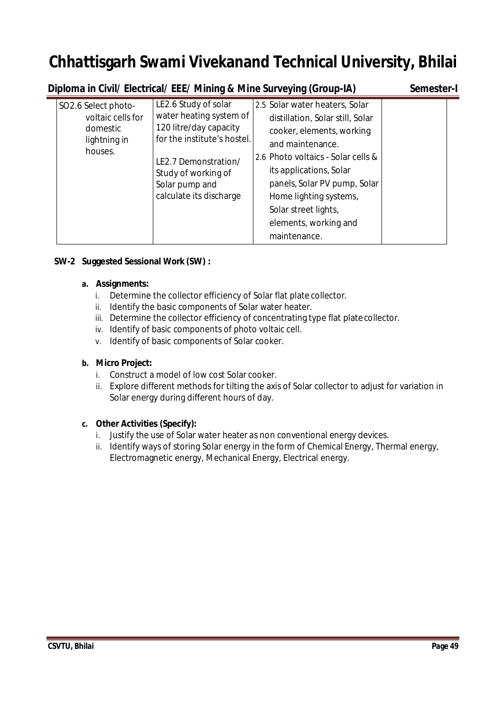|                                                                                 | Diploma in Civil/ Electrical/ EEE/ Mining & Mine Surveying (Group-IA)                                                                                                                                |                                                                                                                                                                                                                                                                                                                 | Semester-I |
|---------------------------------------------------------------------------------|------------------------------------------------------------------------------------------------------------------------------------------------------------------------------------------------------|-----------------------------------------------------------------------------------------------------------------------------------------------------------------------------------------------------------------------------------------------------------------------------------------------------------------|------------|
| SO2.6 Select photo-<br>voltaic cells for<br>domestic<br>lightning in<br>houses. | LE2.6 Study of solar<br>water heating system of<br>120 litre/day capacity<br>for the institute's hostel.<br>LE2.7 Demonstration/<br>Study of working of<br>Solar pump and<br>calculate its discharge | 2.5 Solar water heaters, Solar<br>distillation, Solar still, Solar<br>cooker, elements, working<br>and maintenance.<br>2.6 Photo voltaics - Solar cells &<br>its applications, Solar<br>panels, Solar PV pump, Solar<br>Home lighting systems,<br>Solar street lights,<br>elements, working and<br>maintenance. |            |

#### **SW-2 Suggested Sessional Work (SW) :**

#### **a. Assignments:**

- i. Determine the collector efficiency of Solar flat plate collector.
- ii. Identify the basic components of Solar water heater.
- iii. Determine the collector efficiency of concentrating type flat platecollector.
- iv. Identify of basic components of photo voltaic cell.
- v. Identify of basic components of Solar cooker.

#### **b. Micro Project:**

- i. Construct a model of low cost Solar cooker.
- ii. Explore different methods for tilting the axis of Solar collector to adjust for variation in Solar energy during different hours of day.

#### **c. Other Activities (Specify):**

- i. Justify the use of Solar water heater as non conventional energy devices.
- ii. Identify ways of storing Solar energy in the form of Chemical Energy, Thermal energy, Electromagnetic energy, Mechanical Energy, Electrical energy.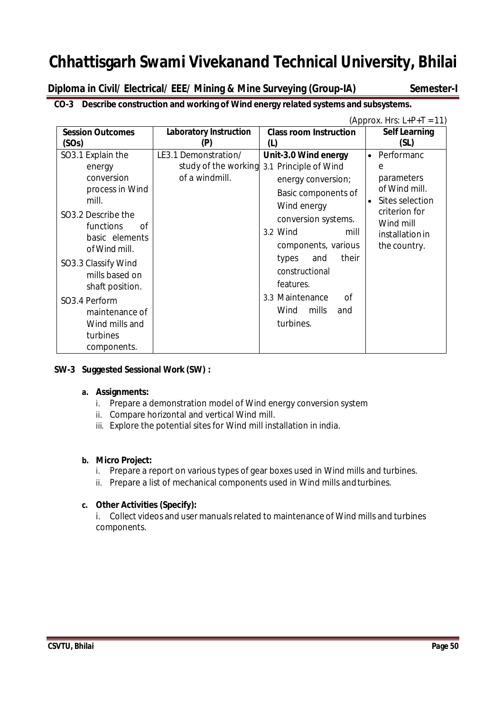**Diploma in Civil/ Electrical/ EEE/ Mining & Mine Surveying (Group-IA) Semester-I** 

### **CO-3 Describe construction and working of Wind energy related systems and subsystems.**

|                                                                                                                                                                                                                                                                                               |                                                                |                                                                                                                                                                                                                                                                                                   | (Approx. Hrs: $L+P+T = 11$ )                                                                                                                |
|-----------------------------------------------------------------------------------------------------------------------------------------------------------------------------------------------------------------------------------------------------------------------------------------------|----------------------------------------------------------------|---------------------------------------------------------------------------------------------------------------------------------------------------------------------------------------------------------------------------------------------------------------------------------------------------|---------------------------------------------------------------------------------------------------------------------------------------------|
| <b>Session Outcomes</b><br>(SOs)                                                                                                                                                                                                                                                              | <b>Laboratory Instruction</b><br>(P)                           | <b>Class room Instruction</b><br>(L)                                                                                                                                                                                                                                                              | <b>Self Learning</b><br>(SL)                                                                                                                |
| SO3.1 Explain the<br>energy<br>conversion<br>process in Wind<br>mill.<br>SO3.2 Describe the<br>functions<br>0f<br>basic elements<br>of Wind mill.<br>SO3.3 Classify Wind<br>mills based on<br>shaft position.<br>SO3.4 Perform<br>maintenance of<br>Wind mills and<br>turbines<br>components. | LE3.1 Demonstration/<br>study of the working<br>of a windmill. | Unit-3.0 Wind energy<br>3.1 Principle of Wind<br>energy conversion;<br>Basic components of<br>Wind energy<br>conversion systems.<br>3.2 Wind<br>mill<br>components, various<br>their<br>types<br>and<br>constructional<br>features.<br>3.3 Maintenance<br>0f<br>Wind<br>mills<br>and<br>turbines. | • Performanc<br>e<br>parameters<br>of Wind mill.<br>Sites selection<br>criterion for<br>Wind mill<br><i>installation in</i><br>the country. |

### **SW-3 Suggested Sessional Work (SW) :**

#### **a. Assignments:**

- i. Prepare a demonstration model of Wind energy conversion system
- ii. Compare horizontal and vertical Wind mill.
- iii. Explore the potential sites for Wind mill installation in india.

#### **b. Micro Project:**

- i. Prepare a report on various types of gear boxes used in Wind mills and turbines.
- ii. Prepare a list of mechanical components used in Wind mills andturbines.

### **c. Other Activities (Specify):**

i. Collect videos and user manuals related to maintenance of Wind mills and turbines components.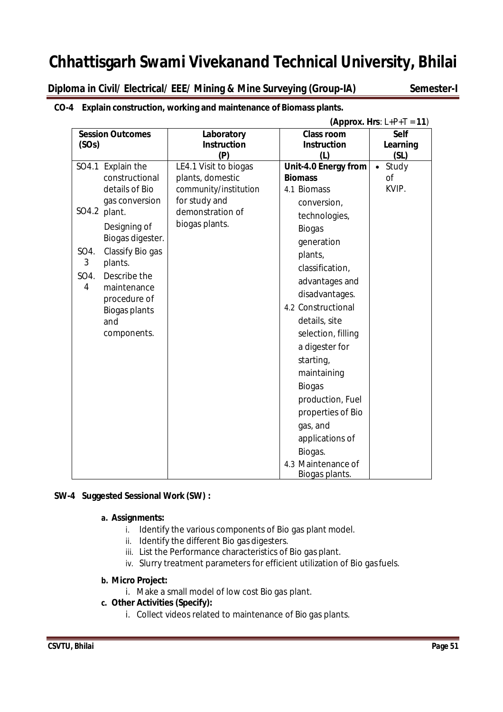**Diploma in Civil/ Electrical/ EEE/ Mining & Mine Surveying (Group-IA) Semester-I**

|           | (Approx. Hrs: $L+P+T = 11$ ) |                       |                                      |                    |
|-----------|------------------------------|-----------------------|--------------------------------------|--------------------|
|           | <b>Session Outcomes</b>      | Laboratory            | <b>Class room</b>                    | <b>Self</b>        |
| (SOs)     |                              | <b>Instruction</b>    | <b>Instruction</b>                   | Learning           |
|           |                              | (P)                   | (L)                                  | (SL)               |
|           | SO4.1 Explain the            | LE4.1 Visit to biogas | Unit-4.0 Energy from                 | Study<br>$\bullet$ |
|           | constructional               | plants, domestic      | <b>Biomass</b>                       | Οf                 |
|           | details of Bio               | community/institution | 4.1 Biomass                          | KVIP.              |
|           | gas conversion               | for study and         | conversion,                          |                    |
| SO4.2     | plant.                       | demonstration of      | technologies,                        |                    |
|           | Designing of                 | biogas plants.        | <b>Biogas</b>                        |                    |
|           | Biogas digester.             |                       | generation                           |                    |
| SO4.      | Classify Bio gas             |                       | plants,                              |                    |
| 3         | plants.                      |                       | classification,                      |                    |
| SO4.<br>4 | Describe the<br>maintenance  |                       | advantages and                       |                    |
|           | procedure of                 |                       | disadvantages.                       |                    |
|           | <b>Biogas plants</b>         |                       | 4.2 Constructional                   |                    |
|           | and                          |                       | details, site                        |                    |
|           | components.                  |                       | selection, filling                   |                    |
|           |                              |                       | a digester for                       |                    |
|           |                              |                       | starting,                            |                    |
|           |                              |                       | maintaining                          |                    |
|           |                              |                       | <b>Biogas</b>                        |                    |
|           |                              |                       | production, Fuel                     |                    |
|           |                              |                       | properties of Bio                    |                    |
|           |                              |                       | gas, and                             |                    |
|           |                              |                       | applications of                      |                    |
|           |                              |                       | Biogas.                              |                    |
|           |                              |                       | 4.3 Maintenance of<br>Biogas plants. |                    |

### **CO-4 Explain construction, working and maintenance of Biomass plants.**

#### **SW-4 Suggested Sessional Work (SW) :**

#### **a. Assignments:**

- i. Identify the various components of Bio gas plant model.
- ii. Identify the different Bio gas digesters.
- iii. List the Performance characteristics of Bio gas plant.
- iv. Slurry treatment parameters for efficient utilization of Bio gasfuels.

#### **b. Micro Project:**

i. Make a small model of low cost Bio gas plant.

#### **c. Other Activities (Specify):**

i. Collect videos related to maintenance of Bio gas plants.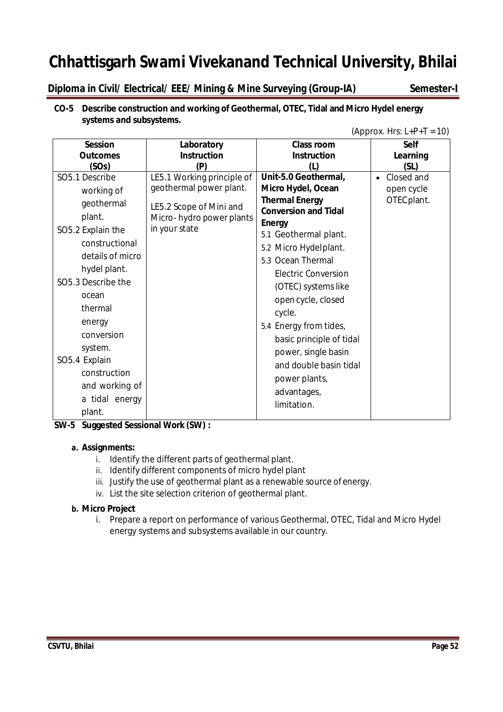**Diploma in Civil/ Electrical/ EEE/ Mining & Mine Surveying (Group-IA) Semester-I**

#### **CO-5 Describe construction and working of Geothermal, OTEC, Tidal and Micro Hydel energy systems and subsystems.**

|  | (Approx. Hrs: $L+P+T = 10$ ) |
|--|------------------------------|
|--|------------------------------|

| <b>Session</b>     | Laboratory                 | <b>Class room</b>                            | Self                    |
|--------------------|----------------------------|----------------------------------------------|-------------------------|
| <b>Outcomes</b>    | <b>Instruction</b>         | <b>Instruction</b>                           | Learning                |
| (SOs)              | (P)                        | (1)                                          | (SL)                    |
| SO5.1 Describe     | LE5.1 Working principle of | Unit-5.0 Geothermal,                         | Closed and<br>$\bullet$ |
| working of         | geothermal power plant.    | Micro Hydel, Ocean                           | open cycle              |
| geothermal         | LE5.2 Scope of Mini and    | <b>Thermal Energy</b>                        | OTEC plant.             |
| plant.             | Micro-hydro power plants   | <b>Conversion and Tidal</b><br><b>Energy</b> |                         |
| SO5.2 Explain the  | in your state              | 5.1 Geothermal plant.                        |                         |
| constructional     |                            | 5.2 Micro Hydelplant.                        |                         |
| details of micro   |                            | 5.3 Ocean Thermal                            |                         |
| hydel plant.       |                            | <b>Electric Conversion</b>                   |                         |
| SO5.3 Describe the |                            | (OTEC) systems like                          |                         |
| ocean              |                            | open cycle, closed                           |                         |
| thermal            |                            | cycle.                                       |                         |
| energy             |                            | 5.4 Energy from tides,                       |                         |
| conversion         |                            | basic principle of tidal                     |                         |
| system.            |                            | power, single basin                          |                         |
| SO5.4 Explain      |                            | and double basin tidal                       |                         |
| construction       |                            |                                              |                         |
| and working of     |                            | power plants,                                |                         |
| a tidal energy     |                            | advantages,                                  |                         |
| plant.             |                            | limitation.                                  |                         |

**SW-5 Suggested Sessional Work (SW) :**

#### **a. Assignments:**

- i. Identify the different parts of geothermal plant.
- ii. Identify different components of micro hydel plant
- iii. Justify the use of geothermal plant as a renewable source ofenergy.
- iv. List the site selection criterion of geothermal plant.

#### **b. Micro Project**

i. Prepare a report on performance of various Geothermal, OTEC, Tidal and Micro Hydel energy systems and subsystems available in our country.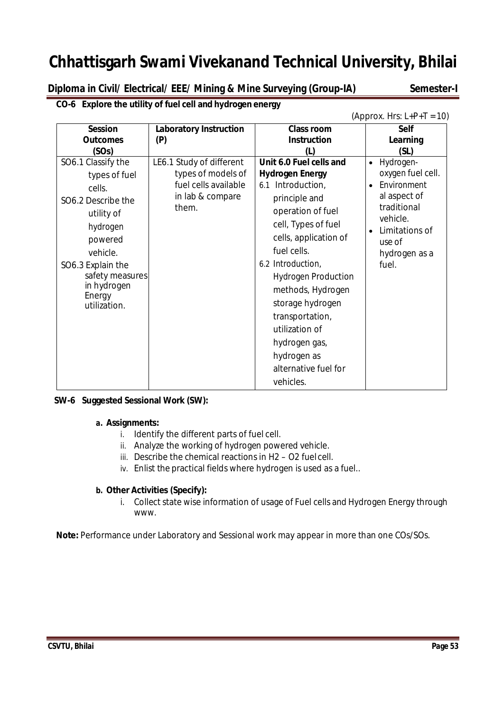**Diploma in Civil/ Electrical/ EEE/ Mining & Mine Surveying (Group-IA) Semester-I** 

|                                                                                                                                                                                                       |                                                                                                     |                                                                                                                                                                                                                                                                                                                                                                                   | (Approx. Hrs: $L+P+T = 10$ )                                                                                                                                             |
|-------------------------------------------------------------------------------------------------------------------------------------------------------------------------------------------------------|-----------------------------------------------------------------------------------------------------|-----------------------------------------------------------------------------------------------------------------------------------------------------------------------------------------------------------------------------------------------------------------------------------------------------------------------------------------------------------------------------------|--------------------------------------------------------------------------------------------------------------------------------------------------------------------------|
| <b>Session</b><br><b>Outcomes</b><br>(SOs)                                                                                                                                                            | <b>Laboratory Instruction</b><br>(P)                                                                | <b>Class room</b><br><b>Instruction</b><br>(L)                                                                                                                                                                                                                                                                                                                                    | <b>Self</b><br>Learning<br>(SL)                                                                                                                                          |
| SO6.1 Classify the<br>types of fuel<br>cells.<br>SO6.2 Describe the<br>utility of<br>hydrogen<br>powered<br>vehicle.<br>SO6.3 Explain the<br>safety measures<br>in hydrogen<br>Energy<br>utilization. | LE6.1 Study of different<br>types of models of<br>fuel cells available<br>in lab & compare<br>them. | Unit 6.0 Fuel cells and<br><b>Hydrogen Energy</b><br>6.1 Introduction,<br>principle and<br>operation of fuel<br>cell, Types of fuel<br>cells, application of<br>fuel cells.<br>6.2 Introduction,<br><b>Hydrogen Production</b><br>methods, Hydrogen<br>storage hydrogen<br>transportation,<br>utilization of<br>hydrogen gas,<br>hydrogen as<br>alternative fuel for<br>vehicles. | Hydrogen-<br>$\bullet$<br>oxygen fuel cell.<br>Environment<br>$\bullet$<br>al aspect of<br>traditional<br>vehicle.<br>Limitations of<br>use of<br>hydrogen as a<br>fuel. |

**CO-6 Explore the utility of fuel cell and hydrogen energy**

#### **SW-6 Suggested Sessional Work (SW):**

#### **a. Assignments:**

- i. Identify the different parts of fuel cell.
- ii. Analyze the working of hydrogen powered vehicle.
- iii. Describe the chemical reactions in H2 O2 fuel cell.
- iv. Enlist the practical fields where hydrogen is used as a fuel..

#### **b. Other Activities (Specify):**

i. Collect state wise information of usage of Fuel cells and Hydrogen Energy through www.

**Note:** Performance under Laboratory and Sessional work may appear in more than one COs/SOs.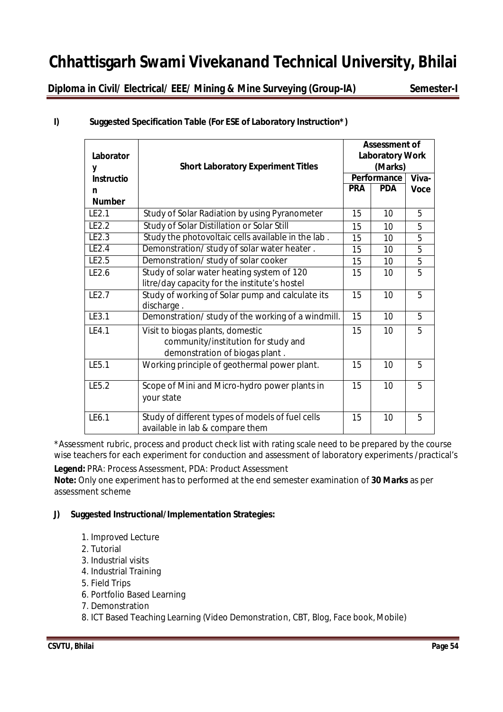**Diploma in Civil/ Electrical/ EEE/ Mining & Mine Surveying (Group-IA) Semester-I** 

| Laborator<br>y    | <b>Short Laboratory Experiment Titles</b>                                                                 | <b>Assessment of</b><br><b>Laboratory Work</b><br>(Marks)<br>Performance |            |                |  |
|-------------------|-----------------------------------------------------------------------------------------------------------|--------------------------------------------------------------------------|------------|----------------|--|
| <b>Instructio</b> |                                                                                                           |                                                                          |            | Viva-          |  |
| n                 |                                                                                                           |                                                                          | <b>PDA</b> | <b>Voce</b>    |  |
| <b>Number</b>     |                                                                                                           |                                                                          |            |                |  |
| IF2.1             | Study of Solar Radiation by using Pyranometer                                                             | 15                                                                       | 10         | 5              |  |
| LE2.2             | Study of Solar Distillation or Solar Still                                                                | 15                                                                       | 10         | 5              |  |
| LE2.3             | Study the photovoltaic cells available in the lab.                                                        | 15                                                                       | 10         | 5              |  |
| LE2.4             | Demonstration/ study of solar water heater.                                                               | 15                                                                       | 10         | 5              |  |
| LE2.5             | Demonstration/ study of solar cooker                                                                      | 15                                                                       | 10         | $\overline{5}$ |  |
| LE2.6             | Study of solar water heating system of 120<br>litre/day capacity for the institute's hostel               | 15                                                                       | 10         | 5              |  |
| LE2.7             | Study of working of Solar pump and calculate its<br>discharge.                                            | 15                                                                       | 10         | 5              |  |
| LE3.1             | Demonstration/ study of the working of a windmill.                                                        | 15                                                                       | 10         | 5              |  |
| LE4.1             | Visit to biogas plants, domestic<br>community/institution for study and<br>demonstration of biogas plant. | 15                                                                       | 10         | 5              |  |
| LE5.1             | Working principle of geothermal power plant.                                                              | 15                                                                       | 10         | 5              |  |
| LE5.2             | Scope of Mini and Micro-hydro power plants in<br>your state                                               | 15                                                                       | 10         | 5              |  |
| LE6.1             | Study of different types of models of fuel cells<br>available in lab & compare them                       | 15                                                                       | 10         | 5              |  |

### **I) Suggested Specification Table (For ESE of Laboratory Instruction\*)**

\*Assessment rubric, process and product check list with rating scale need to be prepared by the course wise teachers for each experiment for conduction and assessment of laboratory experiments /practical's

**Legend:** PRA: Process Assessment, PDA: Product Assessment

**Note:** Only one experiment has to performed at the end semester examination of **30 Marks** as per assessment scheme

### **J) Suggested Instructional/Implementation Strategies:**

- 1. Improved Lecture
- 2. Tutorial
- 3. Industrial visits
- 4. Industrial Training
- 5. Field Trips
- 6. Portfolio Based Learning
- 7. Demonstration
- 8. ICT Based Teaching Learning (Video Demonstration, CBT, Blog, Face book,Mobile)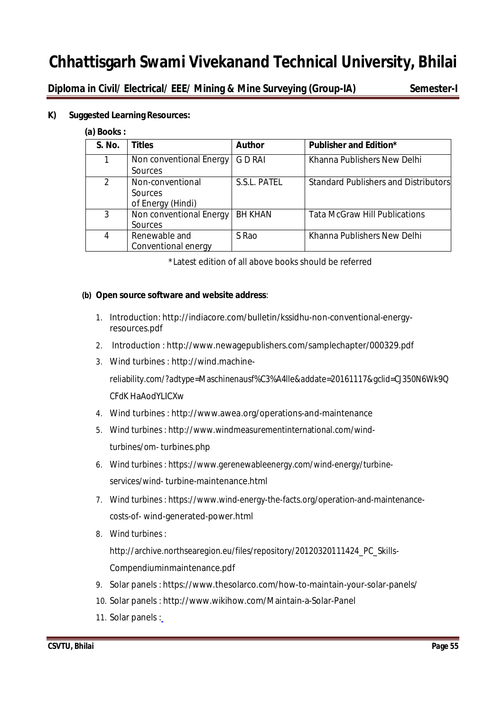**Diploma in Civil/ Electrical/ EEE/ Mining & Mine Surveying (Group-IA) Semester-I** 

#### **K) Suggested Learning Resources:**

#### **(a) Books :**

| S. No.        | <b>Titles</b>           | <b>Author</b>  | <b>Publisher and Edition*</b>               |
|---------------|-------------------------|----------------|---------------------------------------------|
|               | Non conventional Energy | G D RAI        | Khanna Publishers New Delhi                 |
|               | Sources                 |                |                                             |
| $\mathcal{P}$ | Non-conventional        | S.S.L. PATEL   | <b>Standard Publishers and Distributors</b> |
|               | Sources                 |                |                                             |
|               | of Energy (Hindi)       |                |                                             |
| 3             | Non conventional Energy | <b>BH KHAN</b> | <b>Tata McGraw Hill Publications</b>        |
|               | Sources                 |                |                                             |
| 4             | Renewable and           | S Rao          | Khanna Publishers New Delhi                 |
|               | Conventional energy     |                |                                             |

\*Latest edition of all above books should be referred

#### **(b) Open source software and website address**:

- 1. Introduction: http://indiacore.com/bulletin/kssidhu-non-conventional-energyresources.pdf
- 2. Introduction : http://www.newagepublishers.com/samplechapter/000329.pdf
- 3. Wind turbines : http://wind.machine-

reliability.com/?adtype=Maschinenausf%C3%A4lle&addate=20161117&gclid=CJ350N6Wk9Q CFdK HaAodYLICXw

- 4. Wind turbines : http://www.awea.org/operations-and-maintenance
- 5. Wind turbines : http://www.windmeasurementinternational.com/windturbines/om- turbines.php
- 6. Wind turbines : https://www.gerenewableenergy.com/wind-energy/turbineservices/wind- turbine-maintenance.html
- 7. Wind turbines : https://www.wind-energy-the-facts.org/operation-and-maintenancecosts-of- wind-generated-power.html
- 8. Wind turbines :

http://archive.northsearegion.eu/files/repository/20120320111424\_PC\_Skills-Compendiuminmaintenance.pdf

- 9. Solar panels : https://www.thesolarco.com/how-to-maintain-your-solar-panels/
- 10. Solar panels : http://www.wikihow.com/Maintain-a-Solar-Panel
- 11. Solar panels :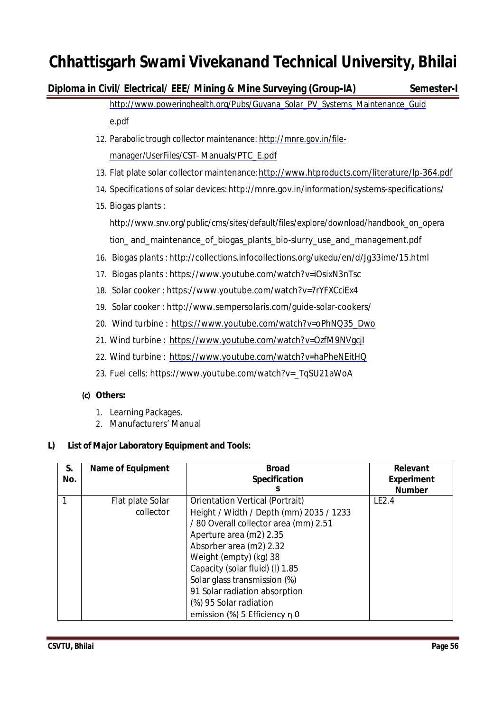### **Diploma in Civil/ Electrical/ EEE/ Mining & Mine Surveying (Group-IA) Semester-I**

http://www.poweringhealth.org/Pubs/Guyana\_Solar\_PV\_Systems\_Maintenance\_Guid

#### e.pdf

- 12. Parabolic trough collector maintenance: http://mnre.gov.in/filemanager/UserFiles/CST- Manuals/PTC\_E.pdf
- 13. Flat plate solar collector maintenance:http://www.htproducts.com/literature/lp-364.pdf
- 14. Specifications of solar devices: http://mnre.gov.in/information/systems-specifications/
- 15. Biogas plants :

http://www.snv.org/public/cms/sites/default/files/explore/download/handbook\_on\_opera tion\_ and\_maintenance\_of\_biogas\_plants\_bio-slurry\_use\_and\_management.pdf

- 16. Biogas plants : http://collections.infocollections.org/ukedu/en/d/Jg33ime/15.html
- 17. Biogas plants : https://www.youtube.com/watch?v=iOsixN3nTsc
- 18. Solar cooker : https://www.youtube.com/watch?v=7rYFXCciEx4
- 19. Solar cooker : http://www.sempersolaris.com/guide-solar-cookers/
- 20. Wind turbine : https://www.youtube.com/watch?v=oPhNQ35\_Dwo
- 21. Wind turbine : https://www.youtube.com/watch?v=OzfM9NVgcjI
- 22. Wind turbine : https://www.youtube.com/watch?v=haPheNEitHQ
- 23. Fuel cells: https://www.youtube.com/watch?v=\_TqSU21aWoA

#### **(c) Others:**

- 1. Learning Packages.
- 2. Manufacturers' Manual

#### **L) List of Major Laboratory Equipment and Tools:**

| S.<br>No. | <b>Name of Equipment</b> | <b>Broad</b><br><b>Specification</b>    | <b>Relevant</b><br><b>Experiment</b> |
|-----------|--------------------------|-----------------------------------------|--------------------------------------|
|           |                          |                                         | <b>Number</b>                        |
| 1         | Flat plate Solar         | Orientation Vertical (Portrait)         | LE2.4                                |
|           | collector                | Height / Width / Depth (mm) 2035 / 1233 |                                      |
|           |                          | / 80 Overall collector area (mm) 2.51   |                                      |
|           |                          | Aperture area (m2) 2.35                 |                                      |
|           |                          | Absorber area (m2) 2.32                 |                                      |
|           |                          | Weight (empty) (kg) 38                  |                                      |
|           |                          | Capacity (solar fluid) (I) 1.85         |                                      |
|           |                          | Solar glass transmission (%)            |                                      |
|           |                          | 91 Solar radiation absorption           |                                      |
|           |                          | (%) 95 Solar radiation                  |                                      |
|           |                          | emission (%) 5 Efficiency η 0           |                                      |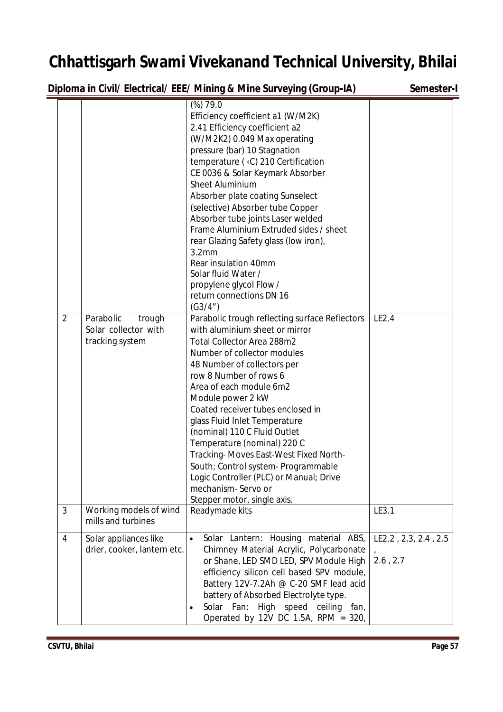**Diploma in Civil/ Electrical/ EEE/ Mining & Mine Surveying (Group-IA) Semester-I** 

| $\overline{2}$ | Parabolic<br>trough<br>Solar collector with          | (%)79.0<br>Efficiency coefficient a1 (W/M2K)<br>2.41 Efficiency coefficient a2<br>(W/M2K2) 0.049 Max operating<br>pressure (bar) 10 Stagnation<br>temperature (< C) 210 Certification<br>CE 0036 & Solar Keymark Absorber<br><b>Sheet Aluminium</b><br>Absorber plate coating Sunselect<br>(selective) Absorber tube Copper<br>Absorber tube joints Laser welded<br>Frame Aluminium Extruded sides / sheet<br>rear Glazing Safety glass (low iron),<br>3.2 <sub>mm</sub><br>Rear insulation 40mm<br>Solar fluid Water /<br>propylene glycol Flow /<br>return connections DN 16<br>(G3/4")<br>Parabolic trough reflecting surface Reflectors<br>with aluminium sheet or mirror | LE2.4                            |
|----------------|------------------------------------------------------|-------------------------------------------------------------------------------------------------------------------------------------------------------------------------------------------------------------------------------------------------------------------------------------------------------------------------------------------------------------------------------------------------------------------------------------------------------------------------------------------------------------------------------------------------------------------------------------------------------------------------------------------------------------------------------|----------------------------------|
|                | tracking system                                      | <b>Total Collector Area 288m2</b><br>Number of collector modules<br>48 Number of collectors per<br>row 8 Number of rows 6<br>Area of each module 6m2<br>Module power 2 kW<br>Coated receiver tubes enclosed in<br>glass Fluid Inlet Temperature<br>(nominal) 110 C Fluid Outlet<br>Temperature (nominal) 220 C<br>Tracking-Moves East-West Fixed North-<br>South; Control system- Programmable<br>Logic Controller (PLC) or Manual; Drive<br>mechanism-Servo or<br>Stepper motor, single axis.                                                                                                                                                                                |                                  |
| 3              | Working models of wind<br>mills and turbines         | Readymade kits                                                                                                                                                                                                                                                                                                                                                                                                                                                                                                                                                                                                                                                                | LE3.1                            |
| 4              | Solar appliances like<br>drier, cooker, lantern etc. | Solar Lantern: Housing material ABS,<br>$\bullet$<br>Chimney Material Acrylic, Polycarbonate<br>or Shane, LED SMD LED, SPV Module High<br>efficiency silicon cell based SPV module,<br>Battery 12V-7.2Ah @ C-20 SMF lead acid<br>battery of Absorbed Electrolyte type.<br>Solar Fan: High speed ceiling fan,<br>Operated by 12V DC 1.5A, RPM = $320$ ,                                                                                                                                                                                                                                                                                                                        | LE2.2, 2.3, 2.4, 2.5<br>2.6, 2.7 |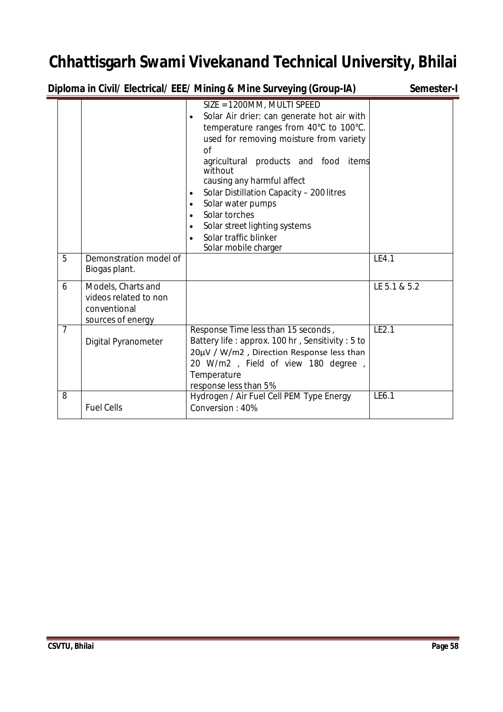| Diploma in Civil/ Electrical/ EEE/ Mining & Mine Surveying (Group-IA) | Semester-I |                                                                                                                      |  |
|-----------------------------------------------------------------------|------------|----------------------------------------------------------------------------------------------------------------------|--|
|                                                                       |            | SIZE = 1200MM, MULTI SPEED<br>• Solar Air drier: can generate hot air with<br>temperature ranges from 40°C to 100°C. |  |

|                |                                                                                  | used for removing moisture from variety<br>Ωf                                                                                                                                                                    |              |
|----------------|----------------------------------------------------------------------------------|------------------------------------------------------------------------------------------------------------------------------------------------------------------------------------------------------------------|--------------|
|                |                                                                                  | agricultural products and food items<br>without<br>causing any harmful affect                                                                                                                                    |              |
|                |                                                                                  | Solar Distillation Capacity - 200 litres<br>$\bullet$<br>Solar water pumps<br>$\bullet$                                                                                                                          |              |
|                |                                                                                  | Solar torches<br>$\bullet$                                                                                                                                                                                       |              |
|                |                                                                                  | Solar street lighting systems<br>$\bullet$                                                                                                                                                                       |              |
|                |                                                                                  | Solar traffic blinker<br>Solar mobile charger                                                                                                                                                                    |              |
| 5              | Demonstration model of<br>Biogas plant.                                          |                                                                                                                                                                                                                  | LE4.1        |
| 6              | Models, Charts and<br>videos related to non<br>conventional<br>sources of energy |                                                                                                                                                                                                                  | LE 5.1 & 5.2 |
| $\overline{7}$ | Digital Pyranometer                                                              | Response Time less than 15 seconds,<br>Battery life: approx. 100 hr, Sensitivity: 5 to<br>20µV / W/m2, Direction Response less than<br>20 W/m2, Field of view 180 degree<br>Temperature<br>response less than 5% | LE2.1        |
| 8              | <b>Fuel Cells</b>                                                                | Hydrogen / Air Fuel Cell PEM Type Energy<br>Conversion: 40%                                                                                                                                                      | LE6.1        |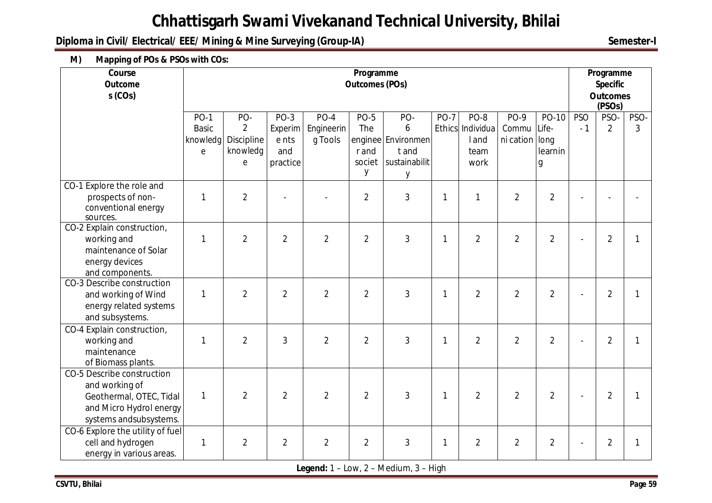**Diploma in Civil/ Electrical/ EEE/ Mining & Mine Surveying (Group-IA)** Semester-I

**M) Mapping of POs & PSOs with COs:**

| Course<br><b>Outcome</b><br>$s$ (COs)     |              | Programme<br><b>Outcomes (POs)</b> |                |                |                |                    |        |                  |                | Programme<br><b>Specific</b><br><b>Outcomes</b><br>(PSOs) |            |                |              |
|-------------------------------------------|--------------|------------------------------------|----------------|----------------|----------------|--------------------|--------|------------------|----------------|-----------------------------------------------------------|------------|----------------|--------------|
|                                           | $PO-1$       | PO-                                | $PO-3$         | $PO-4$         | $PO-5$         | PO-                | $PO-7$ | $PO-8$           | $PO-9$         | PO-10                                                     | <b>PSO</b> | PSO-           | PSO-         |
|                                           | <b>Basic</b> | $\overline{2}$                     | Experim        | Engineerin     | The            | 6                  |        | Ethics Individua | Commu Life-    |                                                           | $-1$       | $\overline{2}$ | 3            |
|                                           | knowledg     | Discipline                         | e nts          | g Tools        |                | enginee Environmen |        | land             | ni cation long |                                                           |            |                |              |
|                                           | e            | knowledg                           | and            |                | r and          | t and              |        | team             |                | learnin                                                   |            |                |              |
|                                           |              | е                                  | practice       |                | societ         | sustainabilit      |        | work             |                | g                                                         |            |                |              |
|                                           |              |                                    |                |                | у              | у                  |        |                  |                |                                                           |            |                |              |
| CO-1 Explore the role and                 |              |                                    |                |                |                |                    |        |                  |                |                                                           |            |                |              |
| prospects of non-                         | 1            | $\overline{2}$                     |                |                | $\overline{2}$ | 3                  | 1      | $\mathbf{1}$     | $\overline{2}$ | $\overline{2}$                                            |            |                |              |
| conventional energy                       |              |                                    |                |                |                |                    |        |                  |                |                                                           |            |                |              |
| sources.                                  |              |                                    |                |                |                |                    |        |                  |                |                                                           |            |                |              |
| CO-2 Explain construction,<br>working and | 1            | $\overline{2}$                     | $\overline{2}$ | $\overline{2}$ | $\overline{2}$ | 3                  | 1      | $\overline{2}$   | $\overline{2}$ | $\overline{2}$                                            |            | $\overline{2}$ | 1            |
| maintenance of Solar                      |              |                                    |                |                |                |                    |        |                  |                |                                                           |            |                |              |
| energy devices                            |              |                                    |                |                |                |                    |        |                  |                |                                                           |            |                |              |
| and components.                           |              |                                    |                |                |                |                    |        |                  |                |                                                           |            |                |              |
| CO-3 Describe construction                |              |                                    |                |                |                |                    |        |                  |                |                                                           |            |                |              |
| and working of Wind                       | 1            | $\overline{2}$                     | $\overline{2}$ | $\overline{2}$ | $\overline{2}$ | 3                  | 1      | $\overline{2}$   | $\overline{2}$ | $\overline{2}$                                            |            | $\overline{2}$ | $\mathbf{1}$ |
| energy related systems                    |              |                                    |                |                |                |                    |        |                  |                |                                                           |            |                |              |
| and subsystems.                           |              |                                    |                |                |                |                    |        |                  |                |                                                           |            |                |              |
| CO-4 Explain construction,                |              |                                    |                |                |                |                    |        |                  |                |                                                           |            |                |              |
| working and                               | 1            | $\overline{2}$                     | 3              | $\overline{2}$ | $\overline{2}$ | 3                  | 1      | $\overline{2}$   | $\overline{2}$ | $\overline{2}$                                            |            | $\overline{2}$ | 1            |
| maintenance                               |              |                                    |                |                |                |                    |        |                  |                |                                                           |            |                |              |
| of Biomass plants.                        |              |                                    |                |                |                |                    |        |                  |                |                                                           |            |                |              |
| CO-5 Describe construction                |              |                                    |                |                |                |                    |        |                  |                |                                                           |            |                |              |
| and working of                            |              |                                    |                |                |                |                    |        |                  |                |                                                           |            |                |              |
| Geothermal, OTEC, Tidal                   | $\mathbf{1}$ | $\overline{2}$                     | $\overline{2}$ | $\overline{2}$ | $\overline{2}$ | 3                  | 1      | $\overline{2}$   | $\overline{2}$ | $\overline{2}$                                            |            | $\overline{2}$ | $\mathbf{1}$ |
| and Micro Hydrol energy                   |              |                                    |                |                |                |                    |        |                  |                |                                                           |            |                |              |
| systems and subsystems.                   |              |                                    |                |                |                |                    |        |                  |                |                                                           |            |                |              |
| CO-6 Explore the utility of fuel          |              |                                    |                |                |                |                    |        |                  |                |                                                           |            |                |              |
| cell and hydrogen                         | 1            | $\overline{2}$                     | $\overline{2}$ | $\overline{2}$ | $\overline{2}$ | 3                  | 1      | $\overline{2}$   | $\overline{2}$ | $\overline{2}$                                            |            | $\overline{2}$ | 1            |
| energy in various areas.                  |              |                                    |                |                |                |                    |        |                  |                |                                                           |            |                |              |

**Legend:** 1 – Low, 2 – Medium, 3 – High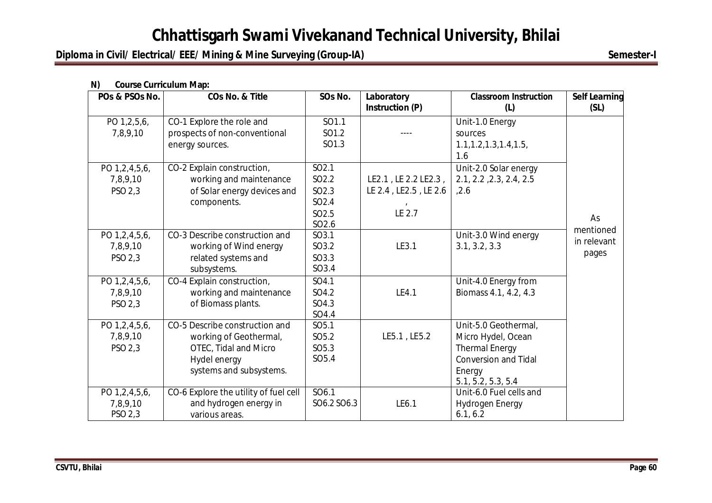### **Diploma in Civil/ Electrical/ EEE/ Mining & Mine Surveying (Group-IA)** Semester-I

| POs & PSOs No. | COs No. & Title                       | SOs No.           | Laboratory            | <b>Classroom Instruction</b> | <b>Self Learning</b> |
|----------------|---------------------------------------|-------------------|-----------------------|------------------------------|----------------------|
|                |                                       |                   | Instruction (P)       | (L)                          | (SL)                 |
| PO 1,2,5,6,    | CO-1 Explore the role and             | SO1.1             |                       | Unit-1.0 Energy              |                      |
| 7,8,9,10       | prospects of non-conventional         | SO1.2             |                       | sources                      |                      |
|                | energy sources.                       | SO1.3             |                       | 1.1, 1.2, 1.3, 1.4, 1.5,     |                      |
|                |                                       |                   |                       | 1.6                          |                      |
| PO 1,2,4,5,6,  | CO-2 Explain construction,            | SO2.1             |                       | Unit-2.0 Solar energy        |                      |
| 7,8,9,10       | working and maintenance               | SO <sub>2.2</sub> | LE2.1, LE 2.2 LE2.3,  | 2.1, 2.2, 2.3, 2.4, 2.5      |                      |
| PSO 2,3        | of Solar energy devices and           | SO2.3             | LE 2.4, LE2.5, LE 2.6 | ,2.6                         |                      |
|                | components.                           | SO <sub>2.4</sub> |                       |                              |                      |
|                |                                       | SO <sub>2.5</sub> | LE 2.7                |                              | As                   |
|                |                                       | SO <sub>2.6</sub> |                       |                              | mentioned            |
| PO 1,2,4,5,6,  | CO-3 Describe construction and        | SO3.1             |                       | Unit-3.0 Wind energy         | in relevant          |
| 7,8,9,10       | working of Wind energy                | SO3.2             | LE3.1                 | 3.1, 3.2, 3.3                |                      |
| PSO 2,3        | related systems and                   | SO3.3             |                       |                              | pages                |
|                | subsystems.                           | SO3.4             |                       |                              |                      |
| PO 1,2,4,5,6,  | CO-4 Explain construction,            | SO4.1             |                       | Unit-4.0 Energy from         |                      |
| 7,8,9,10       | working and maintenance               | SO4.2             | LE4.1                 | Biomass 4.1, 4.2, 4.3        |                      |
| PSO 2,3        | of Biomass plants.                    | SO4.3             |                       |                              |                      |
|                |                                       | SO4.4             |                       |                              |                      |
| PO 1,2,4,5,6,  | CO-5 Describe construction and        | SO5.1             |                       | Unit-5.0 Geothermal,         |                      |
| 7,8,9,10       | working of Geothermal,                | SO5.2             | LE5.1, LE5.2          | Micro Hydel, Ocean           |                      |
| PSO 2,3        | OTEC, Tidal and Micro                 | SO <sub>5.3</sub> |                       | <b>Thermal Energy</b>        |                      |
|                | Hydel energy                          | SO <sub>5.4</sub> |                       | <b>Conversion and Tidal</b>  |                      |
|                | systems and subsystems.               |                   |                       | Energy                       |                      |
|                |                                       |                   |                       | 5.1, 5.2, 5.3, 5.4           |                      |
| PO 1,2,4,5,6,  | CO-6 Explore the utility of fuel cell | SO <sub>6.1</sub> |                       | Unit-6.0 Fuel cells and      |                      |
| 7,8,9,10       | and hydrogen energy in                | SO6.2 SO6.3       | LE6.1                 | <b>Hydrogen Energy</b>       |                      |
| PSO 2,3        | various areas.                        |                   |                       | 6.1, 6.2                     |                      |

#### **N) Course Curriculum Map:**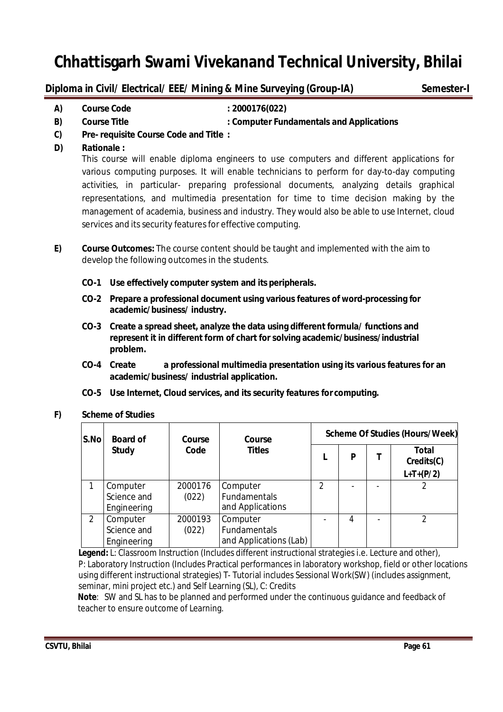### **Diploma in Civil/ Electrical/ EEE/ Mining & Mine Surveying (Group-IA) Semester-I**

**A) Course Code : 2000176(022)**

### **B) Course Title : Computer Fundamentals and Applications**

- **C) Pre- requisite Course Code and Title :**
- **D) Rationale :**

This course will enable diploma engineers to use computers and different applications for various computing purposes. It will enable technicians to perform for day-to-day computing activities, in particular- preparing professional documents, analyzing details graphical representations, and multimedia presentation for time to time decision making by the management of academia, business and industry. They would also be able to use Internet, cloud services and its security features for effective computing.

- **E) Course Outcomes:** The course content should be taught and implemented with the aim to develop the following outcomes in the students.
	- **CO-1 Use effectively computer system and its peripherals.**
	- **CO-2 Prepare a professional document using various features of word-processing for academic/business/ industry.**
	- **CO-3 Create a spread sheet, analyze the data using different formula/ functions and represent it in different form of chart for solving academic/business/industrial problem.**
	- **CO-4 Create a professional multimedia presentation using its various features for an academic/business/ industrial application.**
	- **CO-5 Use Internet, Cloud services, and its security features for computing.**

#### **F) Scheme of Studies**

| S.No          | <b>Board of</b><br>Course              |                  | Course                                                    | <b>Scheme Of Studies (Hours/Week)</b> |   |  |                                    |  |  |
|---------------|----------------------------------------|------------------|-----------------------------------------------------------|---------------------------------------|---|--|------------------------------------|--|--|
|               | <b>Study</b>                           | Code             | <b>Titles</b>                                             |                                       | P |  | Total<br>Credits(C)<br>$L+T+(P/2)$ |  |  |
|               | Computer<br>Science and<br>Engineering | 2000176<br>(022) | Computer<br><b>Fundamentals</b><br>and Applications       | $\mathcal{P}$                         |   |  |                                    |  |  |
| $\mathcal{P}$ | Computer<br>Science and<br>Engineering | 2000193<br>(022) | Computer<br><b>Fundamentals</b><br>and Applications (Lab) |                                       | 4 |  | C                                  |  |  |

**Legend:** L: Classroom Instruction (Includes different instructional strategies i.e. Lecture and other), P: Laboratory Instruction (Includes Practical performances in laboratory workshop, field or other locations using different instructional strategies) T- Tutorial includes Sessional Work(SW) (includes assignment, seminar, mini project etc.) and Self Learning (SL), C: Credits

 **Note**: SW and SL has to be planned and performed under the continuous guidance and feedback of teacher to ensure outcome of Learning.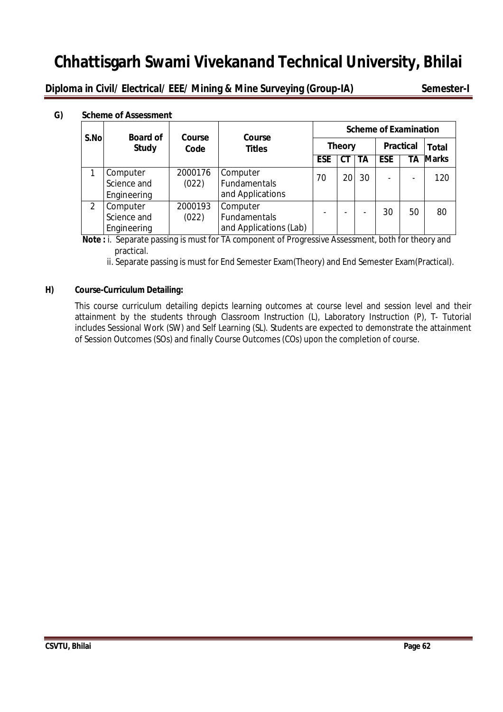**Diploma in Civil/ Electrical/ EEE/ Mining & Mine Surveying (Group-IA) Semester-I** 

### **G) Scheme of Assessment**

| S.No | <b>Board of</b>                        |                  |                                                     |                          |    | <b>Scheme of Examination</b> |                  |                          |              |  |              |
|------|----------------------------------------|------------------|-----------------------------------------------------|--------------------------|----|------------------------------|------------------|--------------------------|--------------|--|--------------|
|      | <b>Study</b>                           | Course<br>Code   | Course<br><b>Titles</b>                             | <b>Theory</b>            |    |                              | <b>Practical</b> |                          |              |  | <b>Total</b> |
|      |                                        |                  |                                                     | <b>ESE</b>               | СT | ТA                           | <b>ESE</b>       | TΑ                       | <b>Marks</b> |  |              |
|      | Computer<br>Science and<br>Engineering | 2000176<br>(022) | Computer<br><b>Fundamentals</b><br>and Applications | 70                       | 20 | 30                           | $\blacksquare$   | $\overline{\phantom{0}}$ | 120          |  |              |
| 2    | Computer<br>Science and<br>Engineering | 2000193<br>(022) | Computer<br>Fundamentals<br>and Applications (Lab)  | $\overline{\phantom{0}}$ |    | $\overline{\phantom{a}}$     | 30               | 50                       | 80           |  |              |

**Note :** i. Separate passing is must for TA component of Progressive Assessment, both for theory and practical.

ii. Separate passing is must for End Semester Exam(Theory) and End Semester Exam(Practical).

#### **H) Course-Curriculum Detailing:**

This course curriculum detailing depicts learning outcomes at course level and session level and their attainment by the students through Classroom Instruction (L), Laboratory Instruction (P), T- Tutorial includes Sessional Work (SW) and Self Learning (SL). Students are expected to demonstrate the attainment of Session Outcomes (SOs) and finally Course Outcomes (COs) upon the completion of course.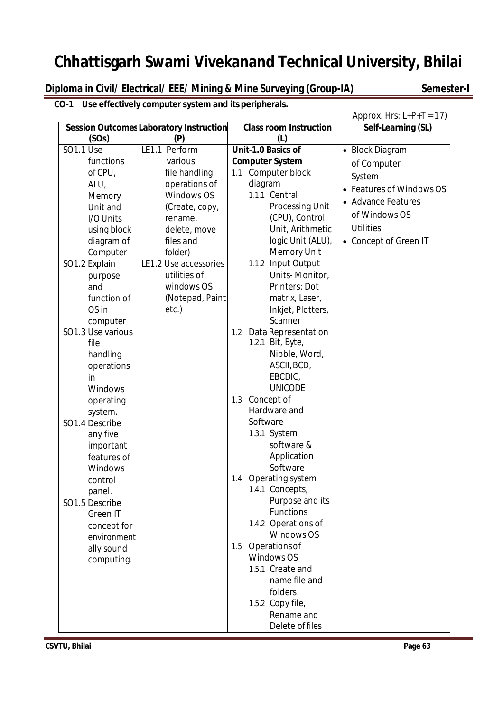**Diploma in Civil/ Electrical/ EEE/ Mining & Mine Surveying (Group-IA)** Semester-I

### **CO-1 Use effectively computer system and its peripherals.**

|                   |                                                |                                     | Approx. Hrs: $L+P+T = 17$ )                |
|-------------------|------------------------------------------------|-------------------------------------|--------------------------------------------|
|                   | <b>Session Outcomes Laboratory Instruction</b> | <b>Class room Instruction</b>       | Self-Learning (SL)                         |
| (SOs)             | (P)                                            | (L)                                 |                                            |
| <b>SO1.1 Use</b>  | LE1.1 Perform                                  | Unit-1.0 Basics of                  | • Block Diagram                            |
| functions         | various                                        | <b>Computer System</b>              | of Computer                                |
| of CPU,           | file handling                                  | 1.1 Computer block                  | System                                     |
| ALU,              | operations of                                  | diagram                             | <b>Features of Windows OS</b><br>$\bullet$ |
| Memory            | Windows OS                                     | 1.1.1 Central                       | • Advance Features                         |
| Unit and          | (Create, copy,                                 | <b>Processing Unit</b>              |                                            |
| I/O Units         | rename,                                        | (CPU), Control                      | of Windows OS                              |
| using block       | delete, move                                   | Unit, Arithmetic                    | <b>Utilities</b>                           |
| diagram of        | files and                                      | logic Unit (ALU),                   | • Concept of Green IT                      |
| Computer          | folder)                                        | <b>Memory Unit</b>                  |                                            |
| SO1.2 Explain     | LE1.2 Use accessories                          | 1.1.2 Input Output                  |                                            |
| purpose           | utilities of                                   | Units-Monitor,                      |                                            |
| and               | windows OS                                     | Printers: Dot                       |                                            |
| function of       | (Notepad, Paint                                | matrix, Laser,                      |                                            |
| OS in             | etc.)                                          | Inkjet, Plotters,                   |                                            |
| computer          |                                                | Scanner                             |                                            |
| SO1.3 Use various |                                                | Data Representation<br>1.2          |                                            |
| file              |                                                | 1.2.1 Bit, Byte,                    |                                            |
| handling          |                                                | Nibble, Word,                       |                                            |
| operations        |                                                | ASCII, BCD,                         |                                            |
| in                |                                                | EBCDIC,                             |                                            |
| Windows           |                                                | <b>UNICODE</b>                      |                                            |
| operating         |                                                | Concept of<br>1.3                   |                                            |
| system.           |                                                | Hardware and                        |                                            |
| SO1.4 Describe    |                                                | Software                            |                                            |
| any five          |                                                | 1.3.1 System                        |                                            |
| important         |                                                | software &                          |                                            |
| features of       |                                                | Application                         |                                            |
| Windows           |                                                | Software                            |                                            |
| control           |                                                | Operating system<br>1.4             |                                            |
| panel.            |                                                | 1.4.1 Concepts,                     |                                            |
| SO1.5 Describe    |                                                | Purpose and its<br><b>Functions</b> |                                            |
| <b>Green IT</b>   |                                                |                                     |                                            |
| concept for       |                                                | 1.4.2 Operations of<br>Windows OS   |                                            |
| environment       |                                                | Operations of                       |                                            |
| ally sound        |                                                | 1.5<br>Windows OS                   |                                            |
| computing.        |                                                | 1.5.1 Create and                    |                                            |
|                   |                                                | name file and                       |                                            |
|                   |                                                | folders                             |                                            |
|                   |                                                | 1.5.2 Copy file,                    |                                            |
|                   |                                                | Rename and                          |                                            |
|                   |                                                | Delete of files                     |                                            |
|                   |                                                |                                     |                                            |

**CSVTU, Bhilai** Page 63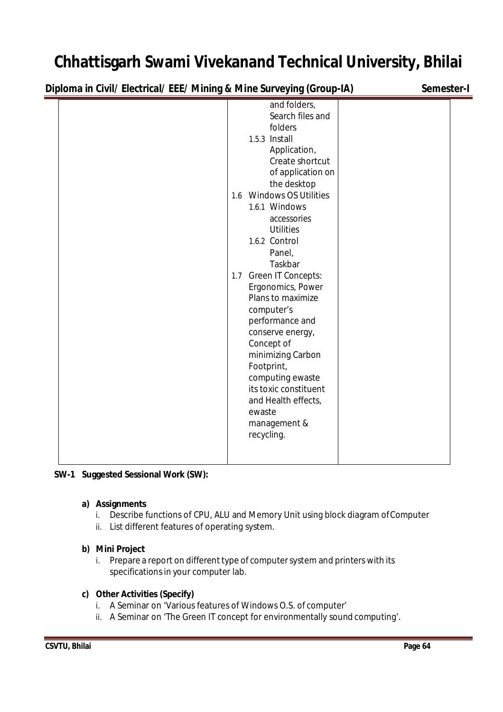**Diploma in Civil/ Electrical/ EEE/ Mining & Mine Surveying (Group-IA) Semester-I**

|  |            | and folders,             |  |
|--|------------|--------------------------|--|
|  |            | Search files and         |  |
|  |            | folders                  |  |
|  |            | 1.5.3 Install            |  |
|  |            | Application,             |  |
|  |            | Create shortcut          |  |
|  |            | of application on        |  |
|  |            | the desktop              |  |
|  |            | 1.6 Windows OS Utilities |  |
|  |            | 1.6.1 Windows            |  |
|  |            | accessories              |  |
|  |            | <b>Utilities</b>         |  |
|  |            | 1.6.2 Control            |  |
|  |            | Panel,                   |  |
|  |            | Taskbar                  |  |
|  |            | 1.7 Green IT Concepts:   |  |
|  |            | Ergonomics, Power        |  |
|  |            | Plans to maximize        |  |
|  |            | computer's               |  |
|  |            | performance and          |  |
|  |            | conserve energy,         |  |
|  |            | Concept of               |  |
|  |            | minimizing Carbon        |  |
|  | Footprint, |                          |  |
|  |            | computing ewaste         |  |
|  |            | its toxic constituent    |  |
|  |            | and Health effects,      |  |
|  | ewaste     |                          |  |
|  |            | management &             |  |
|  | recycling. |                          |  |
|  |            |                          |  |
|  |            |                          |  |
|  |            |                          |  |

### **SW-1 Suggested Sessional Work (SW):**

### **a) Assignments**

- i. Describe functions of CPU, ALU and Memory Unit using block diagram ofComputer
- ii. List different features of operating system.

### **b) Mini Project**

i. Prepare a report on different type of computer system and printers with its specifications in your computer lab.

### **c) Other Activities (Specify)**

- i. A Seminar on 'Various features of Windows O.S. of computer'
- ii. A Seminar on 'The Green IT concept for environmentally sound computing'.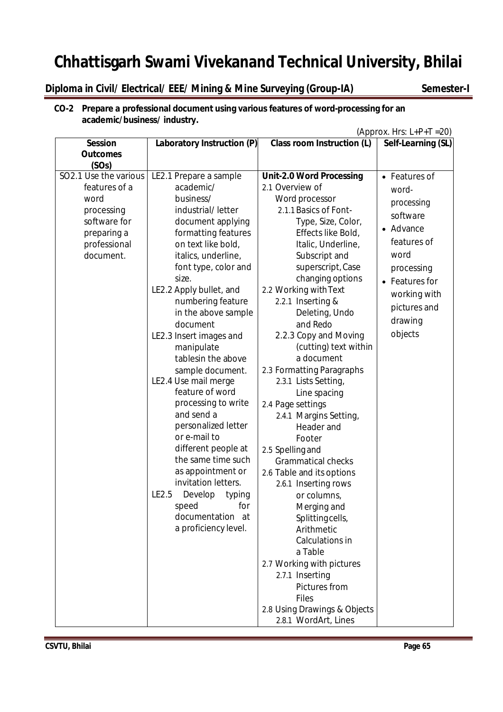### **Diploma in Civil/ Electrical/ EEE/ Mining & Mine Surveying (Group-IA) Semester-I**

#### **CO-2 Prepare a professional document using various features of word-processing for an academic/business/ industry.**

(Approx. Hrs:  $L+P+T = 20$ )

| <b>Session</b>        | Laboratory Instruction (P) | <b>Class room Instruction (L)</b> | Self-Learning (SL) |
|-----------------------|----------------------------|-----------------------------------|--------------------|
| <b>Outcomes</b>       |                            |                                   |                    |
| (SOs)                 |                            |                                   |                    |
| SO2.1 Use the various | LE2.1 Prepare a sample     | <b>Unit-2.0 Word Processing</b>   | • Features of      |
| features of a         | academic/                  | 2.1 Overview of                   | word-              |
| word                  | business/                  | Word processor                    | processing         |
| processing            | industrial/letter          | 2.1.1 Basics of Font-             | software           |
| software for          | document applying          | Type, Size, Color,                | • Advance          |
| preparing a           | formatting features        | Effects like Bold,                |                    |
| professional          | on text like bold,         | Italic, Underline,                | features of        |
| document.             | italics, underline,        | Subscript and                     | word               |
|                       | font type, color and       | superscript, Case                 | processing         |
|                       | size.                      | changing options                  | • Features for     |
|                       | LE2.2 Apply bullet, and    | 2.2 Working with Text             | working with       |
|                       | numbering feature          | 2.2.1 Inserting &                 | pictures and       |
|                       | in the above sample        | Deleting, Undo                    | drawing            |
|                       | document                   | and Redo                          |                    |
|                       | LE2.3 Insert images and    | 2.2.3 Copy and Moving             | objects            |
|                       | manipulate                 | (cutting) text within             |                    |
|                       | tablesin the above         | a document                        |                    |
|                       | sample document.           | 2.3 Formatting Paragraphs         |                    |
|                       | LE2.4 Use mail merge       | 2.3.1 Lists Setting,              |                    |
|                       | feature of word            | Line spacing                      |                    |
|                       | processing to write        | 2.4 Page settings                 |                    |
|                       | and send a                 | 2.4.1 Margins Setting,            |                    |
|                       | personalized letter        | Header and                        |                    |
|                       | or e-mail to               | Footer                            |                    |
|                       | different people at        | 2.5 Spelling and                  |                    |
|                       | the same time such         | <b>Grammatical checks</b>         |                    |
|                       | as appointment or          | 2.6 Table and its options         |                    |
|                       | invitation letters.        | 2.6.1 Inserting rows              |                    |
|                       | LE2.5<br>Develop<br>typing | or columns,                       |                    |
|                       | speed<br>for               | Merging and                       |                    |
|                       | documentation at           | Splittingcells,                   |                    |
|                       | a proficiency level.       | Arithmetic                        |                    |
|                       |                            | Calculations in                   |                    |
|                       |                            | a Table                           |                    |
|                       |                            | 2.7 Working with pictures         |                    |
|                       |                            | 2.7.1 Inserting                   |                    |
|                       |                            | Pictures from                     |                    |
|                       |                            | <b>Files</b>                      |                    |
|                       |                            | 2.8 Using Drawings & Objects      |                    |
|                       |                            | 2.8.1 WordArt, Lines              |                    |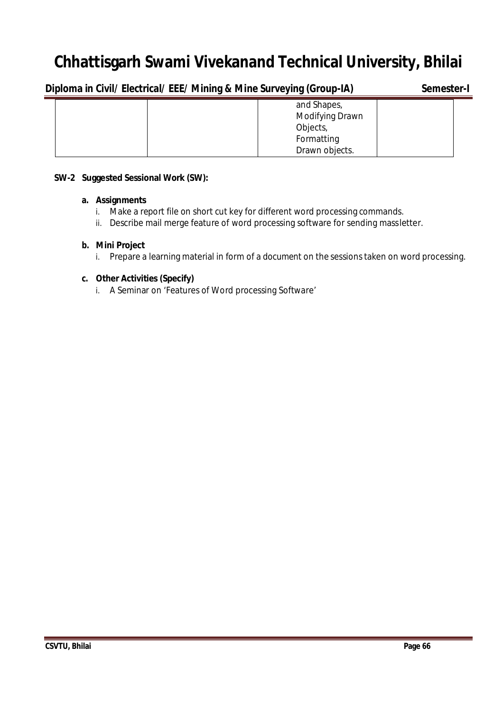| Semester-I |
|------------|
|            |
|            |

#### **SW-2 Suggested Sessional Work (SW):**

#### **a. Assignments**

- i. Make a report file on short cut key for different word processing commands.
- ii. Describe mail merge feature of word processing software for sending massletter.

#### **b. Mini Project**

i. Prepare a learning material in form of a document on the sessions taken on word processing.

#### **c. Other Activities (Specify)**

i. A Seminar on 'Features of Word processing Software'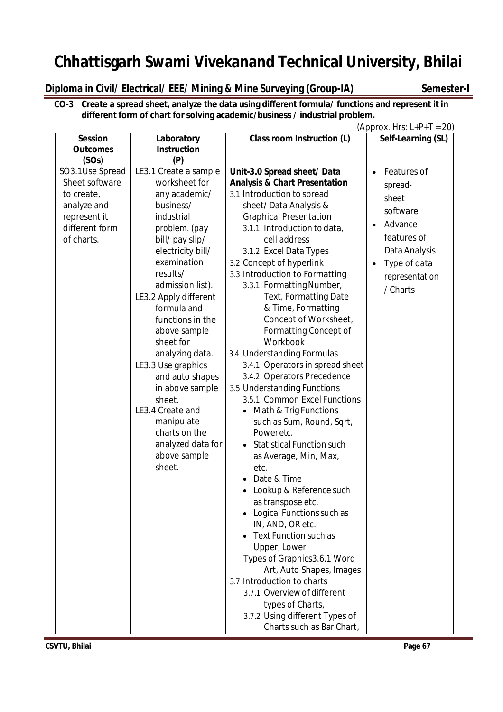**Diploma in Civil/ Electrical/ EEE/ Mining & Mine Surveying (Group-IA) Semester-I**

**CO-3 Create a spread sheet, analyze the data using different formula/ functions and represent it in different form of chart for solving academic/business / industrial problem.**

|                                                                                                                         |                                                                                                                                                                                                                                                                                                                                                                                                                                                                                       |                                                                                                                                                                                                                                                                                                                                                                                                                                                                                                                                                                                                                                                                                                                                                                                                                                                                                                                                                                                                                                                                                                                                               | (Approx. Hrs: $L+P+T = 20$ )                                                                                                                                   |
|-------------------------------------------------------------------------------------------------------------------------|---------------------------------------------------------------------------------------------------------------------------------------------------------------------------------------------------------------------------------------------------------------------------------------------------------------------------------------------------------------------------------------------------------------------------------------------------------------------------------------|-----------------------------------------------------------------------------------------------------------------------------------------------------------------------------------------------------------------------------------------------------------------------------------------------------------------------------------------------------------------------------------------------------------------------------------------------------------------------------------------------------------------------------------------------------------------------------------------------------------------------------------------------------------------------------------------------------------------------------------------------------------------------------------------------------------------------------------------------------------------------------------------------------------------------------------------------------------------------------------------------------------------------------------------------------------------------------------------------------------------------------------------------|----------------------------------------------------------------------------------------------------------------------------------------------------------------|
| <b>Session</b>                                                                                                          | Laboratory                                                                                                                                                                                                                                                                                                                                                                                                                                                                            | <b>Class room Instruction (L)</b>                                                                                                                                                                                                                                                                                                                                                                                                                                                                                                                                                                                                                                                                                                                                                                                                                                                                                                                                                                                                                                                                                                             | Self-Learning (SL)                                                                                                                                             |
| <b>Outcomes</b>                                                                                                         | <b>Instruction</b>                                                                                                                                                                                                                                                                                                                                                                                                                                                                    |                                                                                                                                                                                                                                                                                                                                                                                                                                                                                                                                                                                                                                                                                                                                                                                                                                                                                                                                                                                                                                                                                                                                               |                                                                                                                                                                |
| (SOs)<br>SO3.1Use Spread<br>Sheet software<br>to create,<br>analyze and<br>represent it<br>different form<br>of charts. | (P)<br>LE3.1 Create a sample<br>worksheet for<br>any academic/<br>business/<br>industrial<br>problem. (pay<br>bill/ pay slip/<br>electricity bill/<br>examination<br>results/<br>admission list).<br>LE3.2 Apply different<br>formula and<br>functions in the<br>above sample<br>sheet for<br>analyzing data.<br>LE3.3 Use graphics<br>and auto shapes<br>in above sample<br>sheet.<br>LE3.4 Create and<br>manipulate<br>charts on the<br>analyzed data for<br>above sample<br>sheet. | Unit-3.0 Spread sheet/ Data<br><b>Analysis &amp; Chart Presentation</b><br>3.1 Introduction to spread<br>sheet/Data Analysis &<br><b>Graphical Presentation</b><br>3.1.1 Introduction to data,<br>cell address<br>3.1.2 Excel Data Types<br>3.2 Concept of hyperlink<br>3.3 Introduction to Formatting<br>3.3.1 Formatting Number,<br>Text, Formatting Date<br>& Time, Formatting<br>Concept of Worksheet,<br><b>Formatting Concept of</b><br>Workbook<br>3.4 Understanding Formulas<br>3.4.1 Operators in spread sheet<br>3.4.2 Operators Precedence<br>3.5 Understanding Functions<br>3.5.1 Common Excel Functions<br>Math & Trig Functions<br>$\bullet$<br>such as Sum, Round, Sqrt,<br>Poweretc.<br><b>Statistical Function such</b><br>as Average, Min, Max,<br>etc.<br>Date & Time<br>Lookup & Reference such<br>as transpose etc.<br>Logical Functions such as<br>IN, AND, OR etc.<br>Text Function such as<br>Upper, Lower<br>Types of Graphics3.6.1 Word<br>Art, Auto Shapes, Images<br>3.7 Introduction to charts<br>3.7.1 Overview of different<br>types of Charts,<br>3.7.2 Using different Types of<br>Charts such as Bar Chart, | Features of<br>$\bullet$<br>spread-<br>sheet<br>software<br>Advance<br>$\bullet$<br>features of<br>Data Analysis<br>Type of data<br>representation<br>/ Charts |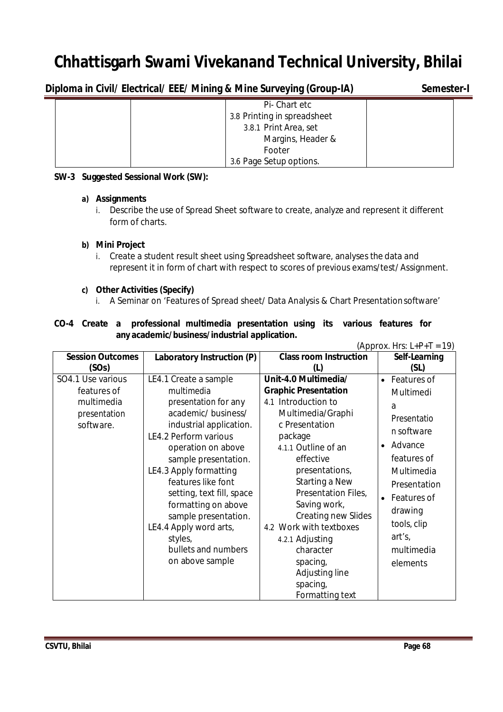**Diploma in Civil/ Electrical/ EEE/ Mining & Mine Surveying (Group-IA) Semester-I**

| Pi-Chart etc                |  |
|-----------------------------|--|
| 3.8 Printing in spreadsheet |  |
| 3.8.1 Print Area, set       |  |
| Margins, Header &           |  |
| Footer                      |  |
| 3.6 Page Setup options.     |  |

#### **SW-3 Suggested Sessional Work (SW):**

#### **a) Assignments**

i. Describe the use of Spread Sheet software to create, analyze and represent it different form of charts.

### **b) Mini Project**

i. Create a student result sheet using Spreadsheet software, analyses the data and represent it in form of chart with respect to scores of previous exams/test/ Assignment.

#### **c) Other Activities (Specify)**

i. A Seminar on 'Features of Spread sheet/ Data Analysis & Chart Presentationsoftware'

|                                               |  |  | CO-4 Create a professional multimedia presentation using its various features for |  |  |  |  |  |  |  |
|-----------------------------------------------|--|--|-----------------------------------------------------------------------------------|--|--|--|--|--|--|--|
| any academic/business/industrial application. |  |  |                                                                                   |  |  |  |  |  |  |  |

| (Approx. Hrs: $L+P+T = 19$ ) |                            |                               |                      |  |
|------------------------------|----------------------------|-------------------------------|----------------------|--|
| <b>Session Outcomes</b>      | Laboratory Instruction (P) | <b>Class room Instruction</b> | Self-Learning        |  |
| (SOs)                        |                            | (1)                           | (SL)                 |  |
| SO4.1 Use various            | LE4.1 Create a sample      | Unit-4.0 Multimedia/          | • Features of        |  |
| features of                  | multimedia                 | <b>Graphic Presentation</b>   | Multimedi            |  |
| multimedia                   | presentation for any       | 4.1 Introduction to           | a                    |  |
| presentation                 | academic/business/         | Multimedia/Graphi             | Presentatio          |  |
| software.                    | industrial application.    | c Presentation                | n software           |  |
|                              | LE4.2 Perform various      | package                       |                      |  |
|                              | operation on above         | 4.1.1 Outline of an           | Advance<br>$\bullet$ |  |
|                              | sample presentation.       | effective                     | features of          |  |
|                              | LE4.3 Apply formatting     | presentations,                | Multimedia           |  |
|                              | features like font         | Starting a New                | Presentation         |  |
|                              | setting, text fill, space  | Presentation Files,           | Features of          |  |
|                              | formatting on above        | Saving work,                  | drawing              |  |
|                              | sample presentation.       | <b>Creating new Slides</b>    |                      |  |
|                              | LE4.4 Apply word arts,     | 4.2 Work with textboxes       | tools, clip          |  |
|                              | styles,                    | 4.2.1 Adjusting               | art's,               |  |
|                              | bullets and numbers        | character                     | multimedia           |  |
|                              | on above sample            | spacing,                      | elements             |  |
|                              |                            | Adjusting line                |                      |  |
|                              |                            | spacing,                      |                      |  |
|                              |                            | Formatting text               |                      |  |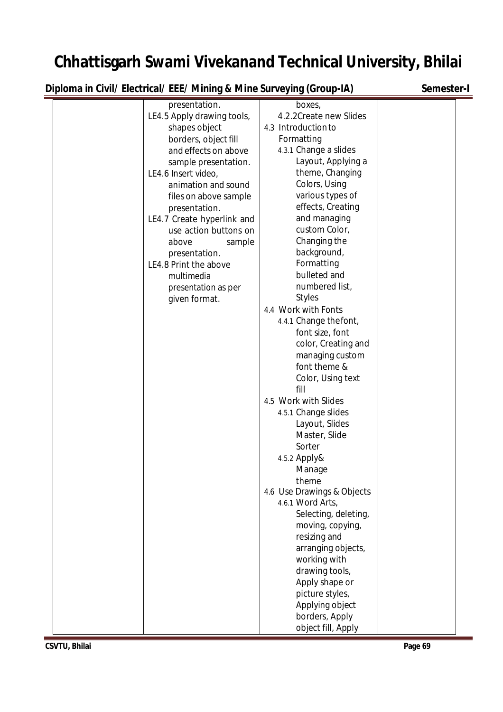**Diploma in Civil/ Electrical/ EEE/ Mining & Mine Surveying (Group-IA) Semester-I**

| presentation.              | boxes,                     |
|----------------------------|----------------------------|
| LE4.5 Apply drawing tools, | 4.2.2Create new Slides     |
| shapes object              | 4.3 Introduction to        |
|                            |                            |
| borders, object fill       | Formatting                 |
| and effects on above       | 4.3.1 Change a slides      |
| sample presentation.       | Layout, Applying a         |
| LE4.6 Insert video,        | theme, Changing            |
| animation and sound        | Colors, Using              |
| files on above sample      | various types of           |
| presentation.              | effects, Creating          |
| LE4.7 Create hyperlink and | and managing               |
| use action buttons on      | custom Color,              |
|                            |                            |
| above<br>sample            | Changing the               |
| presentation.              | background,                |
| LE4.8 Print the above      | Formatting                 |
| multimedia                 | bulleted and               |
| presentation as per        | numbered list,             |
| given format.              | <b>Styles</b>              |
|                            | 4.4 Work with Fonts        |
|                            | 4.4.1 Change thefont,      |
|                            | font size, font            |
|                            | color, Creating and        |
|                            |                            |
|                            | managing custom            |
|                            | font theme &               |
|                            | Color, Using text          |
|                            | fill                       |
|                            | 4.5 Work with Slides       |
|                            | 4.5.1 Change slides        |
|                            | Layout, Slides             |
|                            | Master, Slide              |
|                            | Sorter                     |
|                            |                            |
|                            | 4.5.2 Apply&               |
|                            | Manage                     |
|                            | theme                      |
|                            | 4.6 Use Drawings & Objects |
|                            | 4.6.1 Word Arts,           |
|                            | Selecting, deleting,       |
|                            | moving, copying,           |
|                            | resizing and               |
|                            | arranging objects,         |
|                            | working with               |
|                            | drawing tools,             |
|                            |                            |
|                            | Apply shape or             |
|                            | picture styles,            |
|                            | Applying object            |
|                            | borders, Apply             |
|                            | object fill, Apply         |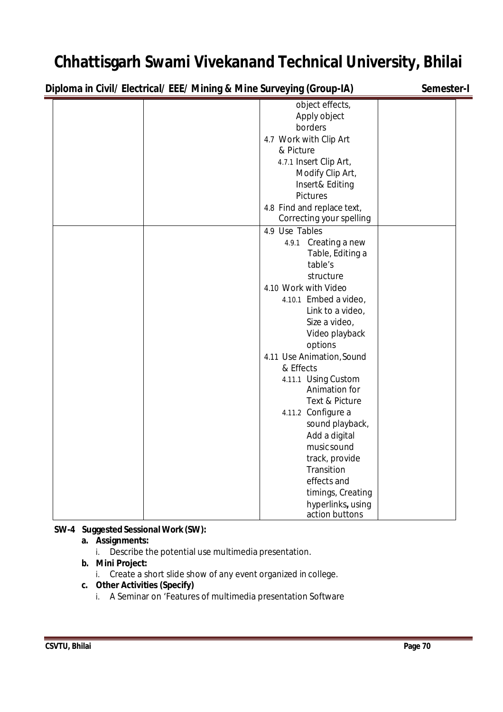| Diploma in Civil/ Electrical/ EEE/ Mining & Mine Surveying (Group-IA) | Semester-I                                                                                                                                                                                                                                                                                                                                                                                                                                                                                    |  |
|-----------------------------------------------------------------------|-----------------------------------------------------------------------------------------------------------------------------------------------------------------------------------------------------------------------------------------------------------------------------------------------------------------------------------------------------------------------------------------------------------------------------------------------------------------------------------------------|--|
|                                                                       | object effects,<br>Apply object<br>borders<br>4.7 Work with Clip Art<br>& Picture<br>4.7.1 Insert Clip Art,<br>Modify Clip Art,<br>Insert& Editing                                                                                                                                                                                                                                                                                                                                            |  |
|                                                                       | <b>Pictures</b><br>4.8 Find and replace text,<br>Correcting your spelling                                                                                                                                                                                                                                                                                                                                                                                                                     |  |
|                                                                       | 4.9 Use Tables<br>4.9.1 Creating a new<br>Table, Editing a<br>table's<br>structure<br>4.10 Work with Video<br>4.10.1 Embed a video,<br>Link to a video,<br>Size a video,<br>Video playback<br>options<br>4.11 Use Animation, Sound<br>& Effects<br>4.11.1 Using Custom<br>Animation for<br>Text & Picture<br>4.11.2 Configure a<br>sound playback,<br>Add a digital<br>music sound<br>track, provide<br>Transition<br>effects and<br>timings, Creating<br>hyperlinks, using<br>action buttons |  |

### **SW-4 Suggested Sessional Work (SW):**

### **a. Assignments:**

i. Describe the potential use multimedia presentation.

### **b. Mini Project:**

i. Create a short slide show of any event organized in college.

#### **c. Other Activities (Specify)**

i. A Seminar on 'Features of multimedia presentation Software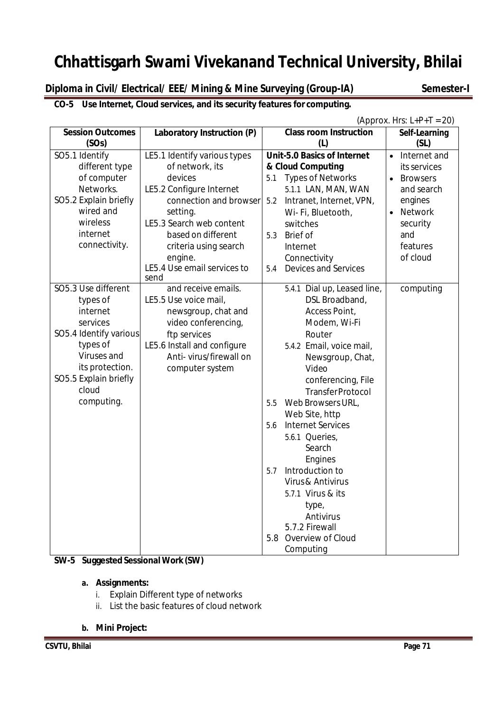**Diploma in Civil/ Electrical/ EEE/ Mining & Mine Surveying (Group-IA) Semester-I**

### **CO-5 Use Internet, Cloud services, and its security features for computing.**

| (Approx. Hrs: $L+P+T = 20$ ) |                              |                                    |                              |  |  |  |
|------------------------------|------------------------------|------------------------------------|------------------------------|--|--|--|
| <b>Session Outcomes</b>      | Laboratory Instruction (P)   | <b>Class room Instruction</b>      | Self-Learning                |  |  |  |
| (SOs)                        |                              | (L)                                | (SL)                         |  |  |  |
| SO5.1 Identify               | LE5.1 Identify various types | <b>Unit-5.0 Basics of Internet</b> | Internet and<br>$\bullet$    |  |  |  |
| different type               | of network, its              | & Cloud Computing                  | its services                 |  |  |  |
| of computer                  | devices                      | <b>Types of Networks</b><br>5.1    | <b>Browsers</b><br>$\bullet$ |  |  |  |
| Networks.                    | LE5.2 Configure Internet     | 5.1.1 LAN, MAN, WAN                | and search                   |  |  |  |
| SO5.2 Explain briefly        | connection and browser       | 5.2<br>Intranet, Internet, VPN,    | engines                      |  |  |  |
| wired and                    | setting.                     | Wi-Fi, Bluetooth,                  | <b>Network</b><br>$\bullet$  |  |  |  |
| wireless                     | LE5.3 Search web content     | switches                           | security                     |  |  |  |
| internet                     | based on different           | <b>Brief of</b><br>5.3             | and                          |  |  |  |
| connectivity.                | criteria using search        | Internet                           | features                     |  |  |  |
|                              | engine.                      | Connectivity                       | of cloud                     |  |  |  |
|                              | LE5.4 Use email services to  | Devices and Services<br>5.4        |                              |  |  |  |
|                              | send                         |                                    |                              |  |  |  |
| SO5.3 Use different          | and receive emails.          | 5.4.1 Dial up, Leased line,        | computing                    |  |  |  |
| types of                     | LE5.5 Use voice mail,        | DSL Broadband,                     |                              |  |  |  |
| internet                     | newsgroup, chat and          | Access Point,                      |                              |  |  |  |
| services                     | video conferencing,          | Modem, Wi-Fi                       |                              |  |  |  |
| SO5.4 Identify various       | ftp services                 | Router                             |                              |  |  |  |
| types of                     | LE5.6 Install and configure  | 5.4.2 Email, voice mail,           |                              |  |  |  |
| Viruses and                  | Anti-virus/firewall on       | Newsgroup, Chat,                   |                              |  |  |  |
| its protection.              | computer system              | Video                              |                              |  |  |  |
| SO5.5 Explain briefly        |                              | conferencing, File                 |                              |  |  |  |
| cloud                        |                              | <b>TransferProtocol</b>            |                              |  |  |  |
| computing.                   |                              | Web Browsers URL,<br>5.5           |                              |  |  |  |
|                              |                              | Web Site, http                     |                              |  |  |  |
|                              |                              | 5.6<br><b>Internet Services</b>    |                              |  |  |  |
|                              |                              | 5.6.1 Queries,                     |                              |  |  |  |
|                              |                              | Search                             |                              |  |  |  |
|                              |                              | Engines                            |                              |  |  |  |
|                              |                              | Introduction to<br>5.7             |                              |  |  |  |
|                              |                              | Virus & Antivirus                  |                              |  |  |  |
|                              |                              | 5.7.1 Virus & its                  |                              |  |  |  |
|                              |                              | type,                              |                              |  |  |  |
|                              |                              | Antivirus                          |                              |  |  |  |
|                              |                              | 5.7.2 Firewall                     |                              |  |  |  |
|                              |                              | 5.8 Overview of Cloud              |                              |  |  |  |
|                              |                              | Computing                          |                              |  |  |  |

### **SW-5 Suggested Sessional Work (SW)**

#### **a. Assignments:**

- i. Explain Different type of networks
- ii. List the basic features of cloud network
- **b. Mini Project:**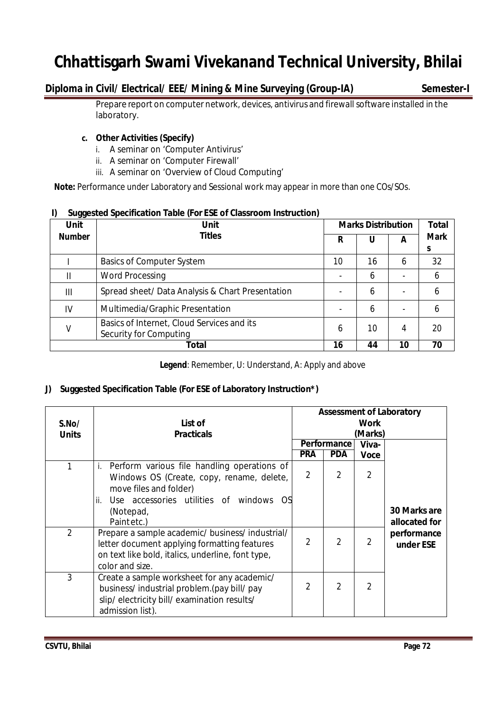### **Diploma in Civil/ Electrical/ EEE/ Mining & Mine Surveying (Group-IA) Semester-I**

Prepare report on computer network, devices, antivirus and firewall software installed in the laboratory.

#### **c. Other Activities (Specify)**

- i. A seminar on 'Computer Antivirus'
- ii. A seminar on 'Computer Firewall'
- iii. A seminar on 'Overview of Cloud Computing'

**Note:** Performance under Laboratory and Sessional work may appear in more than one COs/SOs.

#### **I) Suggested Specification Table (For ESE of Classroom Instruction)**

| <b>Unit</b>   | <b>Unit</b>                                                          | <b>Marks Distribution</b> | <b>Total</b> |    |                  |  |
|---------------|----------------------------------------------------------------------|---------------------------|--------------|----|------------------|--|
| <b>Number</b> | <b>Titles</b>                                                        |                           | U            | A  | <b>Mark</b><br>S |  |
|               | <b>Basics of Computer System</b>                                     | 10                        | 16           | 6  | 32               |  |
| Ш             | <b>Word Processing</b>                                               |                           | 6            |    | 6                |  |
| Ш             | Spread sheet/ Data Analysis & Chart Presentation                     |                           | 6            |    | 6                |  |
| IV            | Multimedia/Graphic Presentation                                      |                           | 6            |    | 6                |  |
| V             | Basics of Internet, Cloud Services and its<br>Security for Computing | 6                         | 10           | 4  | 20               |  |
|               | <b>Total</b>                                                         | 16                        | 44           | 10 | 70               |  |

**Legend**: Remember, U: Understand, A: Apply and above

### **J) Suggested Specification Table (For ESE of Laboratory Instruction\*)**

| S.No/<br><b>Units</b> | List of<br><b>Practicals</b>                                                                                                                                             | <b>Assessment of Laboratory</b><br><b>Work</b><br>(Marks) |                |                |                               |  |
|-----------------------|--------------------------------------------------------------------------------------------------------------------------------------------------------------------------|-----------------------------------------------------------|----------------|----------------|-------------------------------|--|
|                       |                                                                                                                                                                          | Performance                                               |                | Viva-          |                               |  |
|                       |                                                                                                                                                                          | <b>PRA</b>                                                | <b>PDA</b>     | <b>Voce</b>    |                               |  |
| 1                     | Perform various file handling operations of<br>i.<br>Windows OS (Create, copy, rename, delete,<br>move files and folder)                                                 | $\mathfrak{D}$                                            | $\overline{2}$ | $\overline{2}$ |                               |  |
|                       | Use accessories utilities of windows OS<br>ii.<br>(Notepad,<br>Paintetc.)                                                                                                |                                                           |                |                | 30 Marks are<br>allocated for |  |
| $\overline{2}$        | Prepare a sample academic/ business/ industrial/<br>letter document applying formatting features<br>on text like bold, italics, underline, font type,<br>color and size. | $\overline{2}$                                            | $\overline{2}$ | $\overline{2}$ | performance<br>under ESE      |  |
| 3                     | Create a sample worksheet for any academic/<br>business/industrial problem.(pay bill/ pay<br>slip/electricity bill/examination results/<br>admission list).              | $\mathcal{P}$                                             | $\overline{2}$ | $\mathfrak{D}$ |                               |  |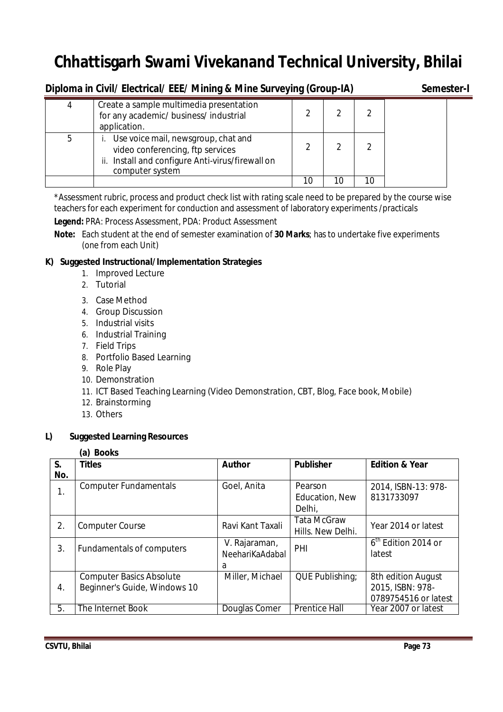| Diploma in Civil/ Electrical/ EEE/ Mining & Mine Surveying (Group-IA) | Semester-I                                                                                                                                     |    |    |    |  |
|-----------------------------------------------------------------------|------------------------------------------------------------------------------------------------------------------------------------------------|----|----|----|--|
| 4                                                                     | Create a sample multimedia presentation<br>for any academic/business/industrial<br>application.                                                |    |    |    |  |
| 5                                                                     | Use voice mail, newsgroup, chat and<br>video conferencing, ftp services<br>ii. Install and configure Anti-virus/firewall on<br>computer system |    |    |    |  |
|                                                                       |                                                                                                                                                | 10 | 10 | 10 |  |

\*Assessment rubric, process and product check list with rating scale need to be prepared by the course wise teachers for each experiment for conduction and assessment of laboratory experiments /practicals

**Legend:** PRA: Process Assessment, PDA: Product Assessment

**Note:** Each student at the end of semester examination of **30 Marks**; has to undertake five experiments (one from each Unit)

# **K) Suggested Instructional/Implementation Strategies**

- 1. Improved Lecture
- 2. Tutorial
- 3. Case Method
- 4. Group Discussion
- 5. Industrial visits
- 6. Industrial Training
- 7. Field Trips
- 8. Portfolio Based Learning
- 9. Role Play
- 10. Demonstration
- 11. ICT Based Teaching Learning (Video Demonstration, CBT, Blog, Face book, Mobile)
- 12. Brainstorming
- 13. Others

## **L) Suggested Learning Resources**

### **(a) Books**

| S.  | <b>Titles</b>                   | <b>Author</b>    | <b>Publisher</b>     | <b>Edition &amp; Year</b>       |  |
|-----|---------------------------------|------------------|----------------------|---------------------------------|--|
| No. |                                 |                  |                      |                                 |  |
| 1.  | <b>Computer Fundamentals</b>    | Goel, Anita      | Pearson              | 2014, ISBN-13: 978-             |  |
|     |                                 |                  | Education, New       | 8131733097                      |  |
|     |                                 |                  | Delhi,               |                                 |  |
| 2.  | <b>Computer Course</b>          | Ravi Kant Taxali | <b>Tata McGraw</b>   | Year 2014 or latest             |  |
|     |                                 |                  | Hills. New Delhi.    |                                 |  |
| 3.  | Fundamentals of computers       | V. Rajaraman,    | PHI                  | 6 <sup>th</sup> Edition 2014 or |  |
|     |                                 | NeehariKaAdabal  |                      | latest                          |  |
|     |                                 | a                |                      |                                 |  |
|     | <b>Computer Basics Absolute</b> | Miller, Michael  | QUE Publishing;      | 8th edition August              |  |
| 4.  | Beginner's Guide, Windows 10    |                  |                      | 2015, ISBN: 978-                |  |
|     |                                 |                  |                      | 0789754516 or latest            |  |
| 5.  | The Internet Book               | Douglas Comer    | <b>Prentice Hall</b> | Year 2007 or latest             |  |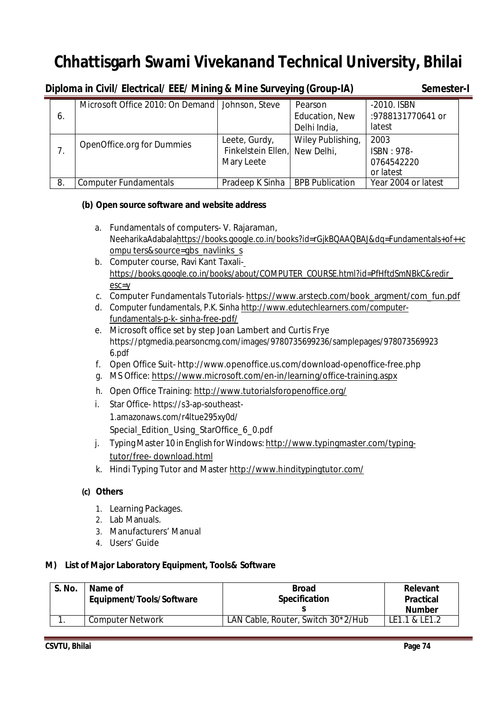|    | Diploma in Civil/ Electrical/ EEE/ Mining & Mine Surveying (Group-IA) | Semester-I                                                   |                                           |                                               |  |
|----|-----------------------------------------------------------------------|--------------------------------------------------------------|-------------------------------------------|-----------------------------------------------|--|
| 6. | Microsoft Office 2010: On Demand   Johnson, Steve                     |                                                              | Pearson<br>Education, New<br>Delhi India, | -2010. ISBN<br>:9788131770641 or<br>latest    |  |
| 7. | OpenOffice.org for Dummies                                            | Leete, Gurdy,<br>Finkelstein Ellen, New Delhi,<br>Mary Leete | Wiley Publishing,                         | 2003<br>ISBN: 978-<br>0764542220<br>or latest |  |
| 8. | <b>Computer Fundamentals</b>                                          | Pradeep K Sinha                                              | <b>BPB Publication</b>                    | Year 2004 or latest                           |  |

## **(b) Open source software and website address**

- a. Fundamentals of computers- V. Rajaraman, NeeharikaAdabalahttps://books.google.co.in/books?id=rGjkBQAAQBAJ&dq=Fundamentals+of++c ompu ters&source=gbs\_navlinks\_s
- b. Computer course, Ravi Kant Taxalihttps://books.google.co.in/books/about/COMPUTER\_COURSE.html?id=PfHftdSmNBkC&redir\_ esc=y
- c. Computer Fundamentals Tutorials- https://www.arstecb.com/book\_argment/com\_fun.pdf
- d. Computer fundamentals, P.K. Sinha http://www.edutechlearners.com/computerfundamentals-p-k- sinha-free-pdf/
- e. Microsoft office set by step Joan Lambert and Curtis Frye https://ptgmedia.pearsoncmg.com/images/9780735699236/samplepages/978073569923 6.pdf
- f. Open Office Suit- http://www.openoffice.us.com/download-openoffice-free.php
- g. MS Office: https://www.microsoft.com/en-in/learning/office-training.aspx
- h. Open Office Training: http://www.tutorialsforopenoffice.org/
- i. Star Office- https://s3-ap-southeast-1.amazonaws.com/r4ltue295xy0d/ Special\_Edition\_Using\_StarOffice\_6\_0.pdf
- j. Typing Master 10 in English for Windows: http://www.typingmaster.com/typingtutor/free- download.html
- k. Hindi Typing Tutor and Master http://www.hinditypingtutor.com/

## **(c) Others**

- 1. Learning Packages.
- 2. Lab Manuals.
- 3. Manufacturers' Manual
- 4. Users' Guide

## **M) List of Major Laboratory Equipment, Tools& Software**

| S. No. | Name of<br>Equipment/Tools/Software | <b>Broad</b><br><b>Specification</b> | Relevant<br><b>Practical</b> |
|--------|-------------------------------------|--------------------------------------|------------------------------|
|        |                                     |                                      | <b>Number</b>                |
|        | <b>Computer Network</b>             | LAN Cable, Router, Switch 30*2/Hub   | LE1.1 & LE1.2                |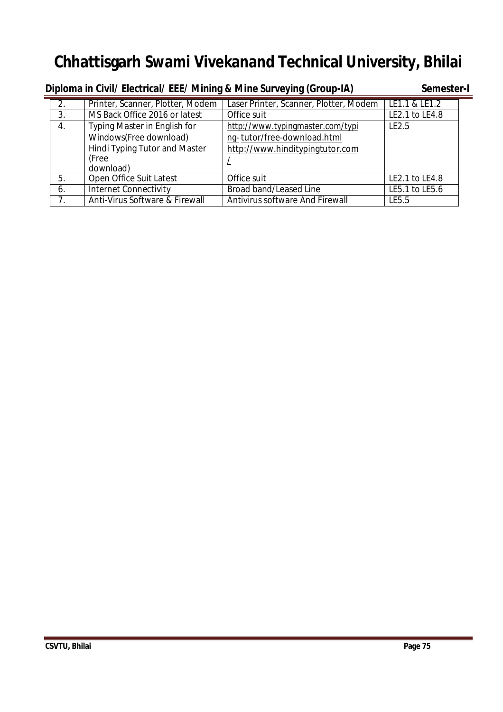| Diploma in Civil/ Electrical/ EEE/ Mining & Mine Surveying (Group-IA) |                                      |                                        |                |  |  |  |  |
|-----------------------------------------------------------------------|--------------------------------------|----------------------------------------|----------------|--|--|--|--|
| 2.                                                                    | Printer, Scanner, Plotter, Modem     | Laser Printer, Scanner, Plotter, Modem | LE1.1 & LE1.2  |  |  |  |  |
| 3.                                                                    | MS Back Office 2016 or latest        | Office suit                            | LE2.1 to LE4.8 |  |  |  |  |
| 4.                                                                    | Typing Master in English for         | http://www.typingmaster.com/typi       | LE2.5          |  |  |  |  |
|                                                                       | Windows(Free download)               | ng-tutor/free-download.html            |                |  |  |  |  |
|                                                                       | <b>Hindi Typing Tutor and Master</b> | http://www.hinditypingtutor.com        |                |  |  |  |  |
|                                                                       | (Free                                |                                        |                |  |  |  |  |
|                                                                       | download)                            |                                        |                |  |  |  |  |
| 5.                                                                    | Open Office Suit Latest              | Office suit                            | LE2.1 to LE4.8 |  |  |  |  |
| 6.                                                                    | <b>Internet Connectivity</b>         | Broad band/Leased Line                 | LE5.1 to LE5.6 |  |  |  |  |
|                                                                       | Anti-Virus Software & Firewall       | Antivirus software And Firewall        | LE5.5          |  |  |  |  |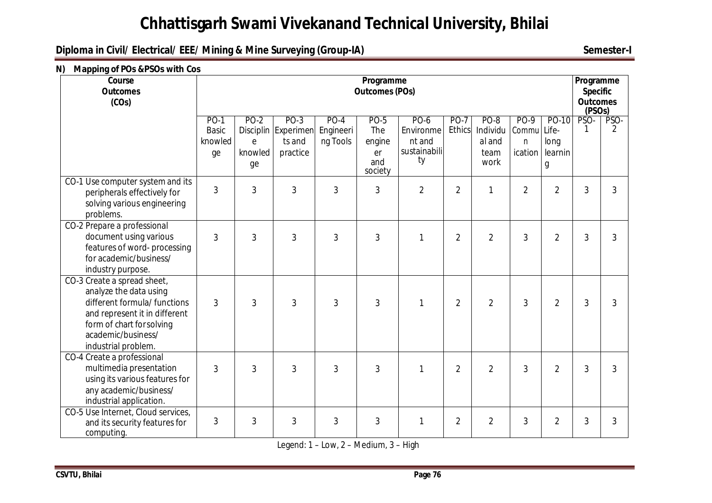# **Diploma in Civil/ Electrical/ EEE/ Mining & Mine Surveying (Group-IA) Semester-I**

#### **N) Mapping of POs &PSOs with Cos**

| Course<br><b>Outcomes</b><br>(COs)                                                                                                                                                               | Programme<br><b>Outcomes (POs)</b>      |                                   |                                                     |                                 |                                                      |                                                   |                              |                                                   | Programme<br><b>Specific</b><br><b>Outcomes</b><br>(PSOs) |                                        |           |           |
|--------------------------------------------------------------------------------------------------------------------------------------------------------------------------------------------------|-----------------------------------------|-----------------------------------|-----------------------------------------------------|---------------------------------|------------------------------------------------------|---------------------------------------------------|------------------------------|---------------------------------------------------|-----------------------------------------------------------|----------------------------------------|-----------|-----------|
|                                                                                                                                                                                                  | $PO-1$<br><b>Basic</b><br>knowled<br>ge | <b>PO-2</b><br>e<br>knowled<br>ge | $PO-3$<br>Disciplin Experimen<br>ts and<br>practice | $PO-4$<br>Engineeri<br>ng Tools | <b>PO-5</b><br>The<br>engine<br>er<br>and<br>society | PO-6<br>Environme<br>nt and<br>sustainabili<br>ty | <b>PO-7</b><br><b>Ethics</b> | <b>PO-8</b><br>Individu<br>al and<br>team<br>work | PO-9<br>Commu<br>n<br>ication                             | PO-10<br>Life-<br>long<br>learnin<br>g | PSO-<br>1 | PSO-<br>2 |
| CO-1 Use computer system and its<br>peripherals effectively for<br>solving various engineering<br>problems.                                                                                      | $\mathfrak{Z}$                          | 3                                 | $\overline{3}$                                      | 3                               | $\overline{3}$                                       | $\overline{2}$                                    | $\overline{2}$               | $\mathbf{1}$                                      | $\overline{2}$                                            | $\overline{2}$                         | 3         | 3         |
| CO-2 Prepare a professional<br>document using various<br>features of word-processing<br>for academic/business/<br>industry purpose.                                                              | 3                                       | 3                                 | $\mathfrak{Z}$                                      | 3                               | $\mathfrak{Z}$                                       | $\mathbf{1}$                                      | $\overline{2}$               | $\overline{2}$                                    | 3                                                         | $\overline{2}$                         | 3         | 3         |
| CO-3 Create a spread sheet,<br>analyze the data using<br>different formula/ functions<br>and represent it in different<br>form of chart for solving<br>academic/business/<br>industrial problem. | 3                                       | 3                                 | $\overline{3}$                                      | 3                               | $\overline{3}$                                       | 1                                                 | $\overline{2}$               | $\overline{2}$                                    | 3                                                         | $\overline{2}$                         | 3         | 3         |
| CO-4 Create a professional<br>multimedia presentation<br>using its various features for<br>any academic/business/<br>industrial application.                                                     | 3                                       | 3                                 | 3                                                   | 3                               | $\overline{3}$                                       | $\mathbf{1}$                                      | $\overline{2}$               | $\overline{2}$                                    | 3                                                         | $\overline{2}$                         | 3         | 3         |
| CO-5 Use Internet, Cloud services,<br>and its security features for<br>computing.                                                                                                                | 3                                       | 3                                 | 3                                                   | 3                               | 3                                                    | 1                                                 | $\overline{2}$               | $\overline{2}$                                    | 3                                                         | $\overline{2}$                         | 3         | 3         |

Legend: 1 – Low, 2 – Medium, 3 – High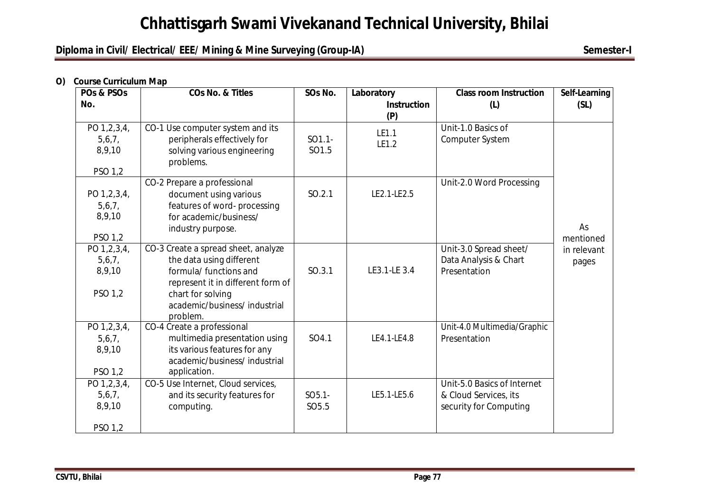# **Diploma in Civil/ Electrical/ EEE/ Mining & Mine Surveying (Group-IA) Semester-I**

#### **O) Course Curriculum Map**

| POs & PSOs       | <b>COs No. &amp; Titles</b>                                   | SOs No.           | Laboratory                | <b>Class room Instruction</b>         | Self-Learning |
|------------------|---------------------------------------------------------------|-------------------|---------------------------|---------------------------------------|---------------|
| No.              |                                                               |                   | <b>Instruction</b><br>(P) | (L)                                   | (SL)          |
| PO 1,2,3,4,      | CO-1 Use computer system and its                              | $SO1.1-$          | LE1.1                     | Unit-1.0 Basics of                    |               |
| 5,6,7,<br>8,9,10 | peripherals effectively for<br>solving various engineering    | SO1.5             | LE1.2                     | Computer System                       |               |
| PSO 1,2          | problems.                                                     |                   |                           |                                       |               |
| PO 1,2,3,4,      | CO-2 Prepare a professional<br>document using various         | SO.2.1            | LE2.1-LE2.5               | Unit-2.0 Word Processing              |               |
| 5,6,7,           | features of word-processing                                   |                   |                           |                                       |               |
| 8,9,10           | for academic/business/<br>industry purpose.                   |                   |                           |                                       | As            |
| PSO 1,2          |                                                               |                   |                           |                                       | mentioned     |
| PO 1,2,3,4,      | CO-3 Create a spread sheet, analyze                           |                   |                           | Unit-3.0 Spread sheet/                | in relevant   |
| 5,6,7,<br>8,9,10 | the data using different<br>formula/ functions and            | SO.3.1            | LE3.1-LE 3.4              | Data Analysis & Chart<br>Presentation | pages         |
|                  | represent it in different form of                             |                   |                           |                                       |               |
| PSO 1,2          | chart for solving                                             |                   |                           |                                       |               |
|                  | academic/business/ industrial                                 |                   |                           |                                       |               |
|                  | problem.                                                      |                   |                           |                                       |               |
| PO 1,2,3,4,      | CO-4 Create a professional                                    | SO4.1             | LE4.1-LE4.8               | Unit-4.0 Multimedia/Graphic           |               |
| 5,6,7,<br>8,9,10 | multimedia presentation using<br>its various features for any |                   |                           | Presentation                          |               |
|                  | academic/business/ industrial                                 |                   |                           |                                       |               |
| PSO 1,2          | application.                                                  |                   |                           |                                       |               |
| PO 1,2,3,4,      | CO-5 Use Internet, Cloud services,                            |                   |                           | Unit-5.0 Basics of Internet           |               |
| 5,6,7,           | and its security features for                                 | $SO5.1-$          | LE5.1-LE5.6               | & Cloud Services, its                 |               |
| 8,9,10           | computing.                                                    | SO <sub>5.5</sub> |                           | security for Computing                |               |
| PSO 1,2          |                                                               |                   |                           |                                       |               |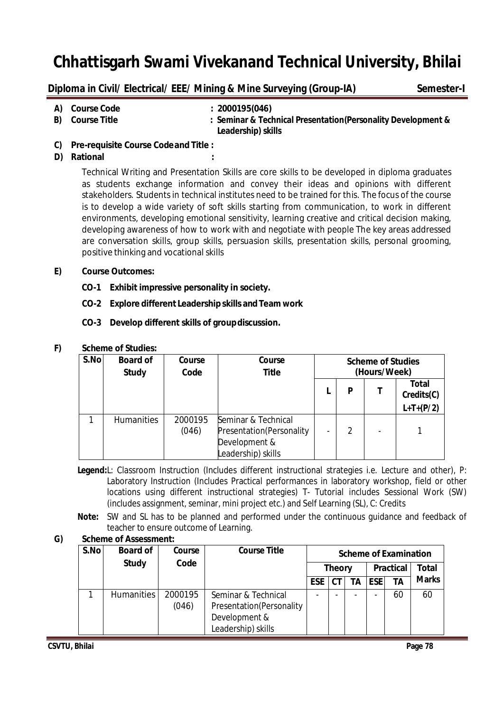|              | Diploma in Civil/ Electrical/ EEE/ Mining & Mine Surveying (Group-IA) |                                                                                     |  |  |  |  |
|--------------|-----------------------------------------------------------------------|-------------------------------------------------------------------------------------|--|--|--|--|
| A)           | <b>Course Code</b>                                                    | : 2000195(046)                                                                      |  |  |  |  |
| B)           | <b>Course Title</b>                                                   | : Seminar & Technical Presentation (Personality Development &<br>Leadership) skills |  |  |  |  |
| $\mathbf{C}$ | Pre-requisite Course Code and Title                                   |                                                                                     |  |  |  |  |

**C) Pre-requisite Course Codeand Title :**

### **D) Rational :**

Technical Writing and Presentation Skills are core skills to be developed in diploma graduates as students exchange information and convey their ideas and opinions with different stakeholders. Students in technical institutes need to be trained for this. The focus of the course is to develop a wide variety of soft skills starting from communication, to work in different environments, developing emotional sensitivity, learning creative and critical decision making, developing awareness of how to work with and negotiate with people The key areas addressed are conversation skills, group skills, persuasion skills, presentation skills, personal grooming, positive thinking and vocational skills

### **E) Course Outcomes:**

- **CO-1 Exhibit impressive personality in society.**
- **CO-2 Explore different Leadership skills and Team work**
- **CO-3 Develop different skills of groupdiscussion.**

### **F) Scheme of Studies:**

| S.No | <b>Board of</b><br><b>Study</b> | Course<br>Code   | Course<br>Title                                                                         | <b>Scheme of Studies</b><br>(Hours/Week) |   |  |                                           |
|------|---------------------------------|------------------|-----------------------------------------------------------------------------------------|------------------------------------------|---|--|-------------------------------------------|
|      |                                 |                  |                                                                                         |                                          | P |  | <b>Total</b><br>Credits(C)<br>$L+T+(P/2)$ |
|      | <b>Humanities</b>               | 2000195<br>(046) | Seminar & Technical<br>Presentation (Personality<br>Development &<br>Leadership) skills |                                          | 2 |  |                                           |

**Legend:**L: Classroom Instruction (Includes different instructional strategies i.e. Lecture and other), P: Laboratory Instruction (Includes Practical performances in laboratory workshop, field or other locations using different instructional strategies) T- Tutorial includes Sessional Work (SW) (includes assignment, seminar, mini project etc.) and Self Learning (SL), C: Credits

**Note:** SW and SL has to be planned and performed under the continuous guidance and feedback of teacher to ensure outcome of Learning.

### **G) Scheme of Assessment:**

| S.No | <b>Board of</b>   | Course  | <b>Course Title</b>       | <b>Scheme of Examination</b><br><b>Practical</b><br><b>Theory</b> |       |    |            |              |              |
|------|-------------------|---------|---------------------------|-------------------------------------------------------------------|-------|----|------------|--------------|--------------|
|      | <b>Study</b>      | Code    |                           |                                                                   |       |    |            | <b>Total</b> |              |
|      |                   |         |                           | <b>ESE</b>                                                        | $C$ T | ΤA | <b>ESE</b> | TΑ           | <b>Marks</b> |
|      | <b>Humanities</b> | 2000195 | Seminar & Technical       |                                                                   |       |    |            | 60           | 60           |
|      |                   | (046)   | Presentation (Personality |                                                                   |       |    |            |              |              |
|      |                   |         | Development &             |                                                                   |       |    |            |              |              |
|      |                   |         | Leadership) skills        |                                                                   |       |    |            |              |              |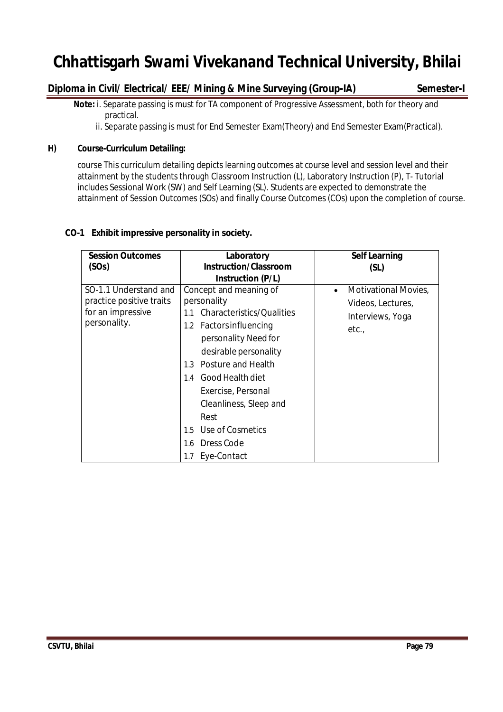# **Diploma in Civil/ Electrical/ EEE/ Mining & Mine Surveying (Group-IA) Semester-I**

 **Note:** i. Separate passing is must for TA component of Progressive Assessment, both for theory and practical.

ii. Separate passing is must for End Semester Exam(Theory) and End Semester Exam(Practical).

### **H) Course-Curriculum Detailing:**

course This curriculum detailing depicts learning outcomes at course level and session level and their attainment by the students through Classroom Instruction (L), Laboratory Instruction (P), T- Tutorial includes Sessional Work (SW) and Self Learning (SL). Students are expected to demonstrate the attainment of Session Outcomes (SOs) and finally Course Outcomes (COs) upon the completion of course.

### **CO-1 Exhibit impressive personality in society.**

| <b>Session Outcomes</b><br>(SOs)                                                       | Laboratory<br><b>Instruction/Classroom</b>                                                                                                                                                                                                                                                                                          | <b>Self Learning</b><br>(SL)                                                               |
|----------------------------------------------------------------------------------------|-------------------------------------------------------------------------------------------------------------------------------------------------------------------------------------------------------------------------------------------------------------------------------------------------------------------------------------|--------------------------------------------------------------------------------------------|
|                                                                                        | <b>Instruction (P/L)</b>                                                                                                                                                                                                                                                                                                            |                                                                                            |
| SO-1.1 Understand and<br>practice positive traits<br>for an impressive<br>personality. | Concept and meaning of<br>personality<br>Characteristics/Qualities<br>1.1<br>1.2 Factors influencing<br>personality Need for<br>desirable personality<br>Posture and Health<br>$1.3 -$<br>Good Health diet<br>1.4<br>Exercise, Personal<br>Cleanliness, Sleep and<br>Rest<br>Use of Cosmetics<br>$1.5^{\circ}$<br>Dress Code<br>1.6 | <b>Motivational Movies,</b><br>$\bullet$<br>Videos, Lectures,<br>Interviews, Yoga<br>etc., |
|                                                                                        | Eye-Contact<br>1.7                                                                                                                                                                                                                                                                                                                  |                                                                                            |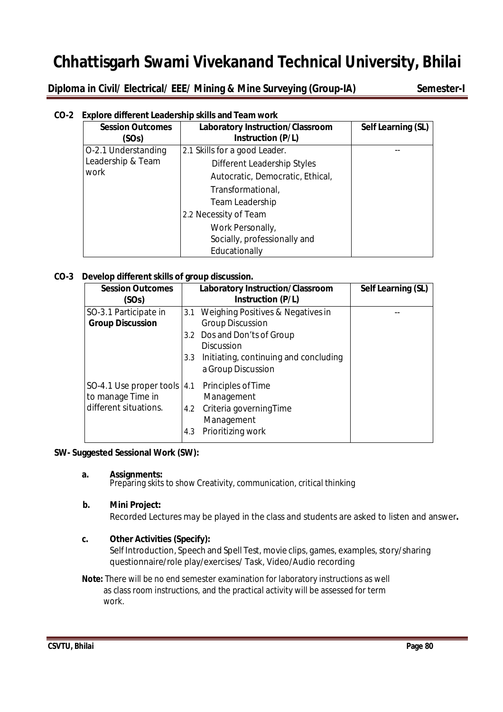**Diploma in Civil/ Electrical/ EEE/ Mining & Mine Surveying (Group-IA) Semester-I** 

## **CO-2 Explore different Leadership skills and Team work**

| <b>Session Outcomes</b><br>(SOs) | <b>Laboratory Instruction/Classroom</b><br><b>Instruction (P/L)</b> | Self Learning (SL) |
|----------------------------------|---------------------------------------------------------------------|--------------------|
| O-2.1 Understanding              | 2.1 Skills for a good Leader.                                       |                    |
| Leadership & Team                | Different Leadership Styles                                         |                    |
| work                             | Autocratic, Democratic, Ethical,                                    |                    |
|                                  | Transformational,                                                   |                    |
|                                  | Team Leadership                                                     |                    |
|                                  | 2.2 Necessity of Team                                               |                    |
|                                  | Work Personally,                                                    |                    |
|                                  | Socially, professionally and                                        |                    |
|                                  | Educationally                                                       |                    |

### **CO-3 Develop different skills of group discussion.**

| <b>Session Outcomes</b><br>(SOs)                                                                | Laboratory Instruction/Classroom<br>Instruction (P/L)                                                                      | Self Learning (SL) |
|-------------------------------------------------------------------------------------------------|----------------------------------------------------------------------------------------------------------------------------|--------------------|
| SO-3.1 Participate in<br><b>Group Discussion</b>                                                | 3.1 Weighing Positives & Negatives in<br><b>Group Discussion</b>                                                           |                    |
|                                                                                                 | 3.2 Dos and Don'ts of Group<br><b>Discussion</b><br>Initiating, continuing and concluding<br>$3.3 -$<br>a Group Discussion |                    |
| SO-4.1 Use proper tools $ 4.1$ Principles of Time<br>to manage Time in<br>different situations. | Management<br>Criteria governing Time<br>4.2<br>Management<br>Prioritizing work<br>4.3                                     |                    |

### **SW- Suggested Sessional Work (SW):**

#### **a. Assignments:**

Preparing skits to show Creativity, communication, critical thinking

### **b. Mini Project:**

Recorded Lectures may be played in the class and students are asked to listen and answer**.**

### **c. Other Activities (Specify):**

Self Introduction, Speech and Spell Test, movie clips, games, examples, story/sharing questionnaire/role play/exercises/ Task, Video/Audio recording

**Note:** There will be no end semester examination for laboratory instructions as well as class room instructions, and the practical activity will be assessed for term work.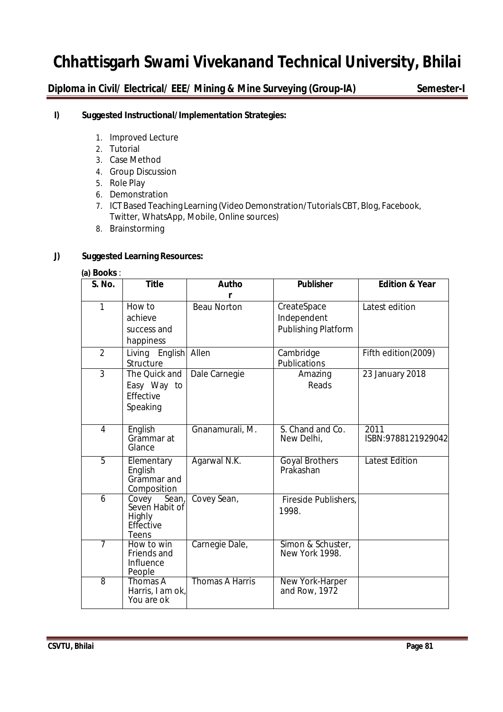**Diploma in Civil/ Electrical/ EEE/ Mining & Mine Surveying (Group-IA) Semester-I**

### **I) Suggested Instructional/Implementation Strategies:**

- 1. Improved Lecture
- 2. Tutorial
- 3. Case Method
- 4. Group Discussion
- 5. Role Play
- 6. Demonstration
- 7. ICT Based Teaching Learning (Video Demonstration/Tutorials CBT, Blog, Facebook, Twitter, WhatsApp, Mobile, Online sources)
- 8. Brainstorming

### **J) Suggested Learning Resources:**

#### **(a) Books** :

| <b>S. No.</b>  | <b>Title</b>                                                            | Autho                  | <b>Publisher</b>                    | <b>Edition &amp; Year</b>  |  |  |
|----------------|-------------------------------------------------------------------------|------------------------|-------------------------------------|----------------------------|--|--|
|                |                                                                         | r                      |                                     |                            |  |  |
| 1              | How to<br>achieve                                                       | <b>Beau Norton</b>     | CreateSpace<br>Independent          | Latest edition             |  |  |
|                | success and<br>happiness                                                |                        | Publishing Platform                 |                            |  |  |
| $\overline{2}$ | Living English Allen<br>Structure                                       |                        | Cambridge<br>Publications           | Fifth edition(2009)        |  |  |
| $\overline{3}$ | The Quick and<br>Easy Way to<br>Effective<br>Speaking                   | Dale Carnegie          | Amazing<br>Reads                    | 23 January 2018            |  |  |
| 4              | English<br>Grammar at<br>Glance                                         | Gnanamurali, M.        | S. Chand and Co.<br>New Delhi,      | 2011<br>ISBN:9788121929042 |  |  |
| 5              | Elementary<br>English<br>Grammar and<br>Composition                     | Agarwal N.K.           | <b>Goyal Brothers</b><br>Prakashan  | <b>Latest Edition</b>      |  |  |
| 6              | Covey<br>Sean,<br>Seven Habit of<br><b>Highly</b><br>Effective<br>Teens | Covey Sean,            | Fireside Publishers,<br>1998.       |                            |  |  |
| 7              | How to win<br>Friends and<br>Influence<br>People                        | Carnegie Dale,         | Simon & Schuster,<br>New York 1998. |                            |  |  |
| $\overline{8}$ | Thomas A<br>Harris, I am ok,<br>You are ok                              | <b>Thomas A Harris</b> | New York-Harper<br>and Row, 1972    |                            |  |  |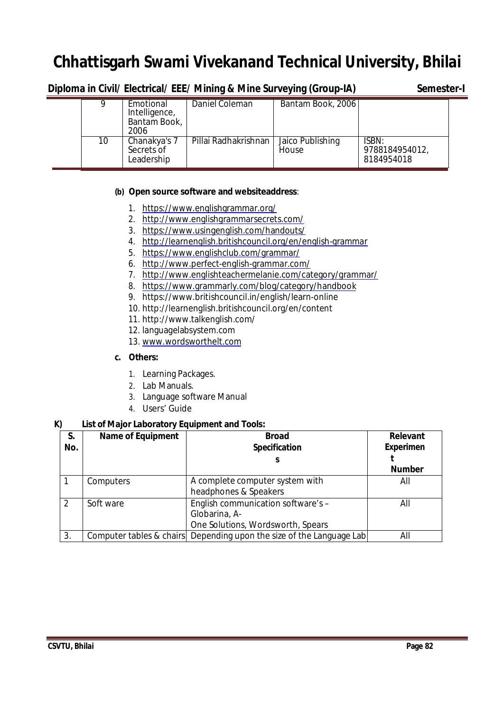|    |                                                    | Diploma in Civil/ Electrical/ EEE/ Mining & Mine Surveying (Group-IA) |                           | Semester-I                            |
|----|----------------------------------------------------|-----------------------------------------------------------------------|---------------------------|---------------------------------------|
|    | Emotional<br>Intelligence,<br>Bantam Book,<br>2006 | Daniel Coleman                                                        | Bantam Book, 2006         |                                       |
| 10 | Chanakya's 7<br>Secrets of<br>Leadership           | Pillai Radhakrishnan                                                  | Jaico Publishing<br>House | ISBN:<br>9788184954012,<br>8184954018 |

### **(b) Open source software and websiteaddress**:

- 1. https://www.englishgrammar.org/
- 2. http://www.englishgrammarsecrets.com/
- 3. https://www.usingenglish.com/handouts/
- 4. http://learnenglish.britishcouncil.org/en/english-grammar
- 5. https://www.englishclub.com/grammar/
- 6. http://www.perfect-english-grammar.com/
- 7. http://www.englishteachermelanie.com/category/grammar/
- 8. https://www.grammarly.com/blog/category/handbook
- 9. https://www.britishcouncil.in/english/learn-online
- 10. http://learnenglish.britishcouncil.org/en/content
- 11. http://www.talkenglish.com/
- 12. languagelabsystem.com
- 13. www.wordsworthelt.com

### **c. Others:**

- 1. Learning Packages.
- 2. Lab Manuals.
- 3. Language software Manual
- 4. Users' Guide

### **K) List of Major Laboratory Equipment and Tools:**

| S.<br>No.     | <b>Name of Equipment</b> | <b>Broad</b><br>Specification                                                            | <b>Relevant</b><br><b>Experimen</b> |
|---------------|--------------------------|------------------------------------------------------------------------------------------|-------------------------------------|
|               |                          |                                                                                          | <b>Number</b>                       |
|               | Computers                | A complete computer system with<br>headphones & Speakers                                 | All                                 |
| $\mathcal{P}$ | Soft ware                | English communication software's -<br>Globarina, A-<br>One Solutions, Wordsworth, Spears | All                                 |
| 3.            |                          | Computer tables & chairs Depending upon the size of the Language Lab                     | All                                 |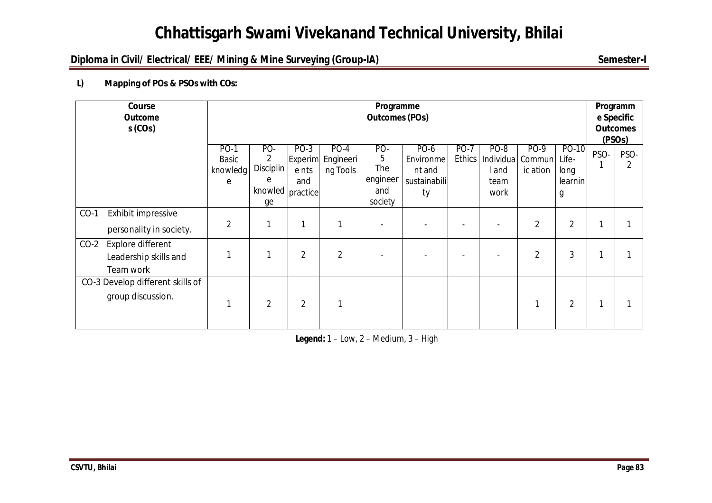# **Diploma in Civil/ Electrical/ EEE/ Mining & Mine Surveying (Group-IA) Semester-I**

# **L) Mapping of POs & PSOs with COs:**

| Course<br><b>Outcome</b><br>$s$ (COs)                             | Programme<br><b>Outcomes (POs)</b>           |                                                             |                                   |                                 |                                               |                                                   |                              | Programm<br>e Specific<br><b>Outcomes</b><br>(PSO <sub>S</sub> ) |                            |                                        |      |      |
|-------------------------------------------------------------------|----------------------------------------------|-------------------------------------------------------------|-----------------------------------|---------------------------------|-----------------------------------------------|---------------------------------------------------|------------------------------|------------------------------------------------------------------|----------------------------|----------------------------------------|------|------|
|                                                                   | <b>PO-1</b><br><b>Basic</b><br>knowledg<br>e | PO-<br>2<br><b>Disciplin</b><br>e<br>knowled practice<br>ge | $PO-3$<br>Experim<br>e nts<br>and | $PO-4$<br>Engineeri<br>ng Tools | PO-<br>5<br>The<br>engineer<br>and<br>society | PO-6<br>Environme<br>nt and<br>sustainabili<br>ty | <b>PO-7</b><br><b>Ethics</b> | $PO-8$<br>Individua<br>l and<br>team<br>work                     | PO-9<br>Commun<br>ic ation | PO-10<br>Life-<br>long<br>learnin<br>g | PSO- | PSO- |
| $CO-1$<br>Exhibit impressive<br>personality in society.           | $\overline{2}$                               |                                                             |                                   |                                 |                                               |                                                   |                              |                                                                  | $\overline{2}$             | 2                                      |      |      |
| $CO-2$<br>Explore different<br>Leadership skills and<br>Team work |                                              |                                                             | $\overline{2}$                    | $\overline{2}$                  |                                               |                                                   |                              |                                                                  | $\overline{2}$             | 3                                      |      |      |
| CO-3 Develop different skills of<br>group discussion.             |                                              | $\overline{2}$                                              | $\overline{2}$                    |                                 |                                               |                                                   |                              |                                                                  |                            | 2                                      |      |      |

**Legend:** 1 – Low, 2 – Medium, 3 – High